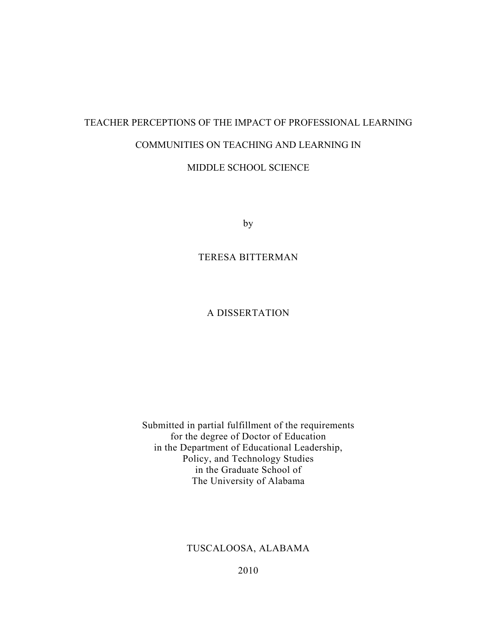# TEACHER PERCEPTIONS OF THE IMPACT OF PROFESSIONAL LEARNING COMMUNITIES ON TEACHING AND LEARNING IN MIDDLE SCHOOL SCIENCE

by

### TERESA BITTERMAN

## A DISSERTATION

Submitted in partial fulfillment of the requirements for the degree of Doctor of Education in the Department of Educational Leadership, Policy, and Technology Studies in the Graduate School of The University of Alabama

# TUSCALOOSA, ALABAMA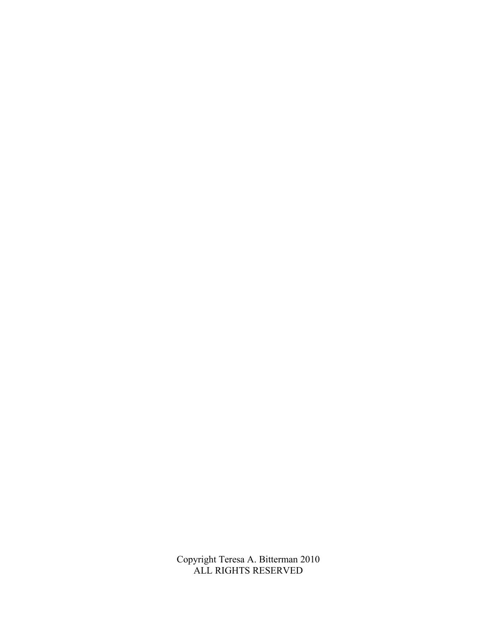Copyright Teresa A. Bitterman 2010 ALL RIGHTS RESERVED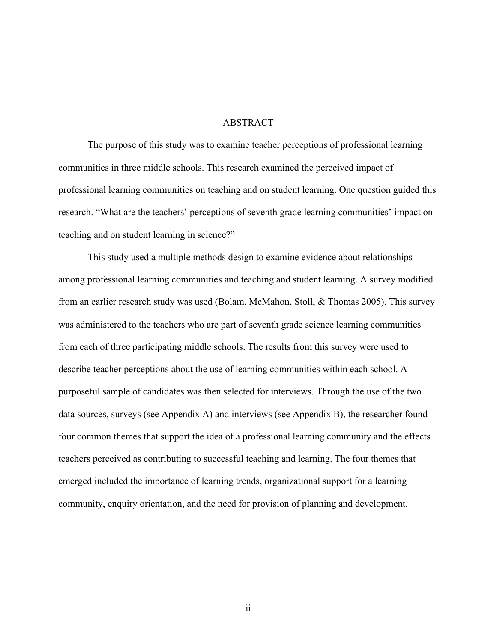#### ABSTRACT

The purpose of this study was to examine teacher perceptions of professional learning communities in three middle schools. This research examined the perceived impact of professional learning communities on teaching and on student learning. One question guided this research. "What are the teachers' perceptions of seventh grade learning communities' impact on teaching and on student learning in science?"

This study used a multiple methods design to examine evidence about relationships among professional learning communities and teaching and student learning. A survey modified from an earlier research study was used (Bolam, McMahon, Stoll, & Thomas 2005). This survey was administered to the teachers who are part of seventh grade science learning communities from each of three participating middle schools. The results from this survey were used to describe teacher perceptions about the use of learning communities within each school. A purposeful sample of candidates was then selected for interviews. Through the use of the two data sources, surveys (see Appendix A) and interviews (see Appendix B), the researcher found four common themes that support the idea of a professional learning community and the effects teachers perceived as contributing to successful teaching and learning. The four themes that emerged included the importance of learning trends, organizational support for a learning community, enquiry orientation, and the need for provision of planning and development.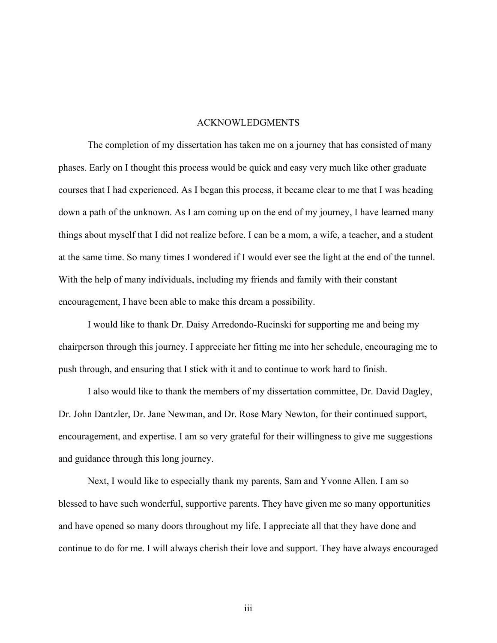#### ACKNOWLEDGMENTS

 The completion of my dissertation has taken me on a journey that has consisted of many phases. Early on I thought this process would be quick and easy very much like other graduate courses that I had experienced. As I began this process, it became clear to me that I was heading down a path of the unknown. As I am coming up on the end of my journey, I have learned many things about myself that I did not realize before. I can be a mom, a wife, a teacher, and a student at the same time. So many times I wondered if I would ever see the light at the end of the tunnel. With the help of many individuals, including my friends and family with their constant encouragement, I have been able to make this dream a possibility.

 I would like to thank Dr. Daisy Arredondo-Rucinski for supporting me and being my chairperson through this journey. I appreciate her fitting me into her schedule, encouraging me to push through, and ensuring that I stick with it and to continue to work hard to finish.

 I also would like to thank the members of my dissertation committee, Dr. David Dagley, Dr. John Dantzler, Dr. Jane Newman, and Dr. Rose Mary Newton, for their continued support, encouragement, and expertise. I am so very grateful for their willingness to give me suggestions and guidance through this long journey.

 Next, I would like to especially thank my parents, Sam and Yvonne Allen. I am so blessed to have such wonderful, supportive parents. They have given me so many opportunities and have opened so many doors throughout my life. I appreciate all that they have done and continue to do for me. I will always cherish their love and support. They have always encouraged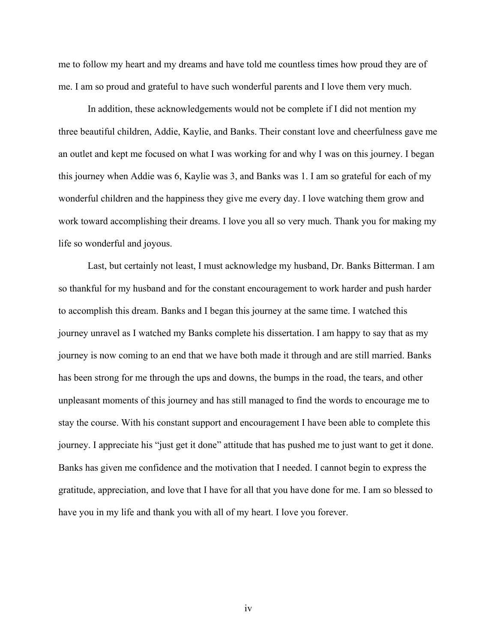me to follow my heart and my dreams and have told me countless times how proud they are of me. I am so proud and grateful to have such wonderful parents and I love them very much.

 In addition, these acknowledgements would not be complete if I did not mention my three beautiful children, Addie, Kaylie, and Banks. Their constant love and cheerfulness gave me an outlet and kept me focused on what I was working for and why I was on this journey. I began this journey when Addie was 6, Kaylie was 3, and Banks was 1. I am so grateful for each of my wonderful children and the happiness they give me every day. I love watching them grow and work toward accomplishing their dreams. I love you all so very much. Thank you for making my life so wonderful and joyous.

 Last, but certainly not least, I must acknowledge my husband, Dr. Banks Bitterman. I am so thankful for my husband and for the constant encouragement to work harder and push harder to accomplish this dream. Banks and I began this journey at the same time. I watched this journey unravel as I watched my Banks complete his dissertation. I am happy to say that as my journey is now coming to an end that we have both made it through and are still married. Banks has been strong for me through the ups and downs, the bumps in the road, the tears, and other unpleasant moments of this journey and has still managed to find the words to encourage me to stay the course. With his constant support and encouragement I have been able to complete this journey. I appreciate his "just get it done" attitude that has pushed me to just want to get it done. Banks has given me confidence and the motivation that I needed. I cannot begin to express the gratitude, appreciation, and love that I have for all that you have done for me. I am so blessed to have you in my life and thank you with all of my heart. I love you forever.

iv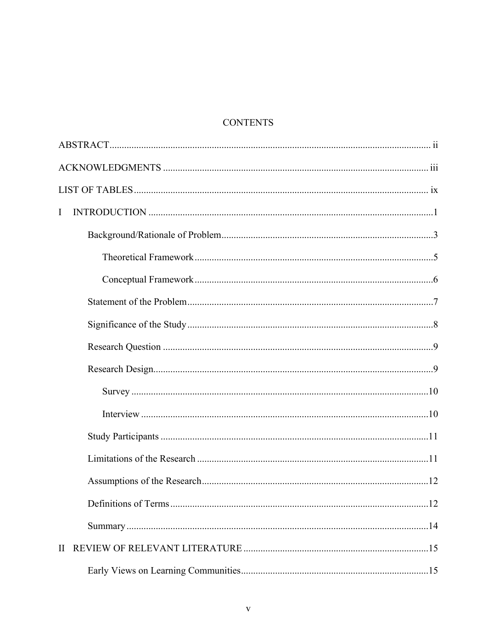# **CONTENTS**

| $\bf{I}$     |  |  |  |
|--------------|--|--|--|
|              |  |  |  |
|              |  |  |  |
|              |  |  |  |
|              |  |  |  |
|              |  |  |  |
|              |  |  |  |
|              |  |  |  |
|              |  |  |  |
|              |  |  |  |
|              |  |  |  |
|              |  |  |  |
|              |  |  |  |
|              |  |  |  |
|              |  |  |  |
| $\mathbf{H}$ |  |  |  |
|              |  |  |  |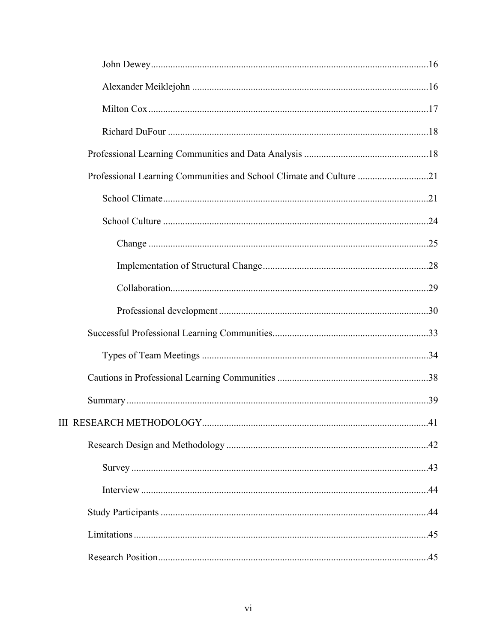| Professional Learning Communities and School Climate and Culture 21 |  |
|---------------------------------------------------------------------|--|
|                                                                     |  |
|                                                                     |  |
|                                                                     |  |
|                                                                     |  |
|                                                                     |  |
|                                                                     |  |
|                                                                     |  |
|                                                                     |  |
|                                                                     |  |
|                                                                     |  |
|                                                                     |  |
|                                                                     |  |
|                                                                     |  |
|                                                                     |  |
|                                                                     |  |
|                                                                     |  |
|                                                                     |  |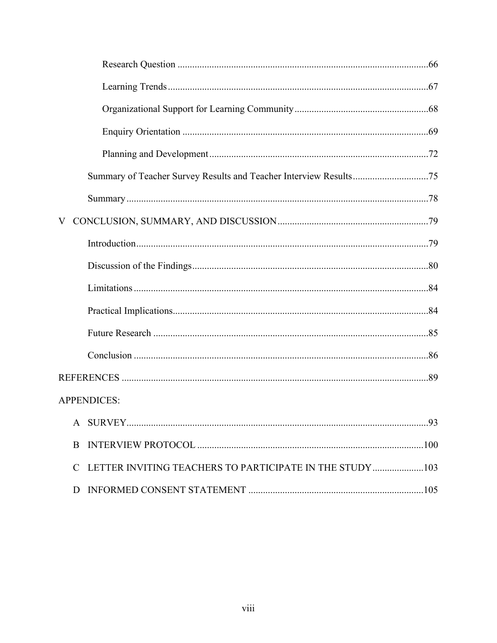|               | <b>APPENDICES:</b>                                       |  |
|---------------|----------------------------------------------------------|--|
|               |                                                          |  |
| B             |                                                          |  |
| $\mathcal{C}$ | LETTER INVITING TEACHERS TO PARTICIPATE IN THE STUDY 103 |  |
| D             |                                                          |  |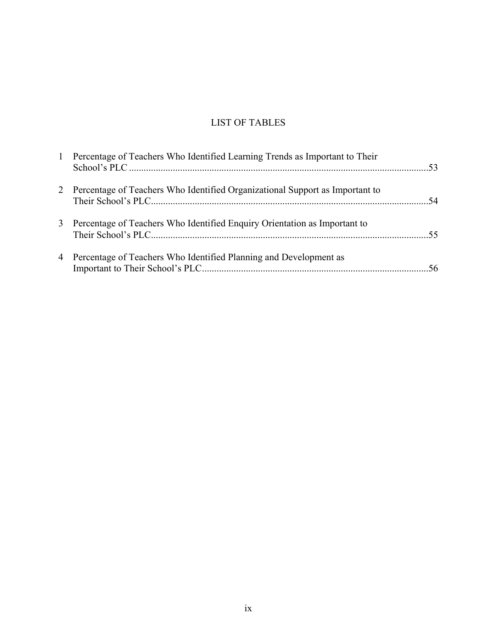# LIST OF TABLES

| $\mathbf{1}$ | Percentage of Teachers Who Identified Learning Trends as Important to Their    |  |
|--------------|--------------------------------------------------------------------------------|--|
|              | 2 Percentage of Teachers Who Identified Organizational Support as Important to |  |
| 3            | Percentage of Teachers Who Identified Enquiry Orientation as Important to      |  |
|              | 4 Percentage of Teachers Who Identified Planning and Development as            |  |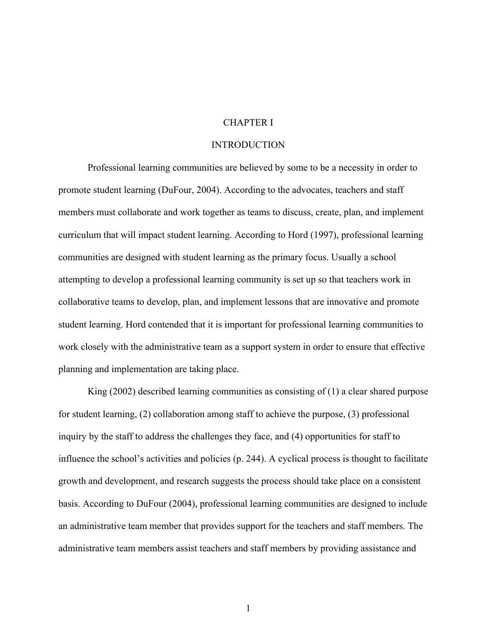#### CHAPTER I

#### INTRODUCTION

Professional learning communities are believed by some to be a necessity in order to promote student learning (DuFour, 2004). According to the advocates, teachers and staff members must collaborate and work together as teams to discuss, create, plan, and implement curriculum that will impact student learning. According to Hord (1997), professional learning communities are designed with student learning as the primary focus. Usually a school attempting to develop a professional learning community is set up so that teachers work in collaborative teams to develop, plan, and implement lessons that are innovative and promote student learning. Hord contended that it is important for professional learning communities to work closely with the administrative team as a support system in order to ensure that effective planning and implementation are taking place.

King (2002) described learning communities as consisting of (1) a clear shared purpose for student learning, (2) collaboration among staff to achieve the purpose, (3) professional inquiry by the staff to address the challenges they face, and (4) opportunities for staff to influence the school's activities and policies (p. 244). A cyclical process is thought to facilitate growth and development, and research suggests the process should take place on a consistent basis. According to DuFour (2004), professional learning communities are designed to include an administrative team member that provides support for the teachers and staff members. The administrative team members assist teachers and staff members by providing assistance and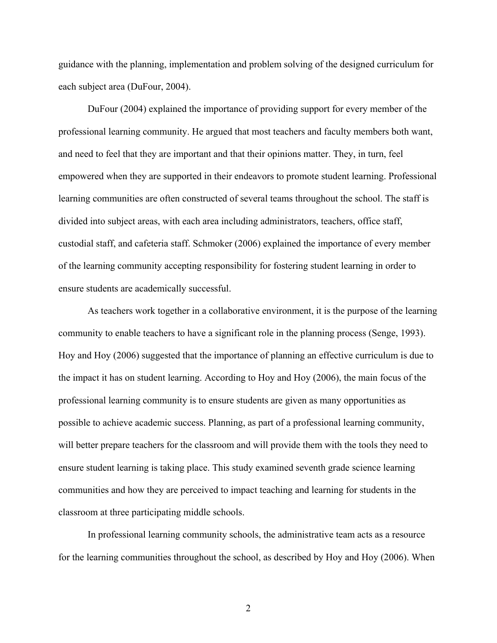guidance with the planning, implementation and problem solving of the designed curriculum for each subject area (DuFour, 2004).

DuFour (2004) explained the importance of providing support for every member of the professional learning community. He argued that most teachers and faculty members both want, and need to feel that they are important and that their opinions matter. They, in turn, feel empowered when they are supported in their endeavors to promote student learning. Professional learning communities are often constructed of several teams throughout the school. The staff is divided into subject areas, with each area including administrators, teachers, office staff, custodial staff, and cafeteria staff. Schmoker (2006) explained the importance of every member of the learning community accepting responsibility for fostering student learning in order to ensure students are academically successful.

As teachers work together in a collaborative environment, it is the purpose of the learning community to enable teachers to have a significant role in the planning process (Senge, 1993). Hoy and Hoy (2006) suggested that the importance of planning an effective curriculum is due to the impact it has on student learning. According to Hoy and Hoy (2006), the main focus of the professional learning community is to ensure students are given as many opportunities as possible to achieve academic success. Planning, as part of a professional learning community, will better prepare teachers for the classroom and will provide them with the tools they need to ensure student learning is taking place. This study examined seventh grade science learning communities and how they are perceived to impact teaching and learning for students in the classroom at three participating middle schools.

In professional learning community schools, the administrative team acts as a resource for the learning communities throughout the school, as described by Hoy and Hoy (2006). When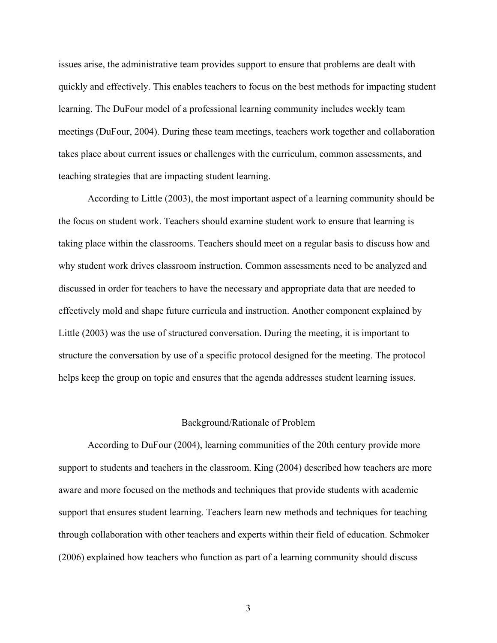issues arise, the administrative team provides support to ensure that problems are dealt with quickly and effectively. This enables teachers to focus on the best methods for impacting student learning. The DuFour model of a professional learning community includes weekly team meetings (DuFour, 2004). During these team meetings, teachers work together and collaboration takes place about current issues or challenges with the curriculum, common assessments, and teaching strategies that are impacting student learning.

According to Little (2003), the most important aspect of a learning community should be the focus on student work. Teachers should examine student work to ensure that learning is taking place within the classrooms. Teachers should meet on a regular basis to discuss how and why student work drives classroom instruction. Common assessments need to be analyzed and discussed in order for teachers to have the necessary and appropriate data that are needed to effectively mold and shape future curricula and instruction. Another component explained by Little (2003) was the use of structured conversation. During the meeting, it is important to structure the conversation by use of a specific protocol designed for the meeting. The protocol helps keep the group on topic and ensures that the agenda addresses student learning issues.

#### Background/Rationale of Problem

 According to DuFour (2004), learning communities of the 20th century provide more support to students and teachers in the classroom. King (2004) described how teachers are more aware and more focused on the methods and techniques that provide students with academic support that ensures student learning. Teachers learn new methods and techniques for teaching through collaboration with other teachers and experts within their field of education. Schmoker (2006) explained how teachers who function as part of a learning community should discuss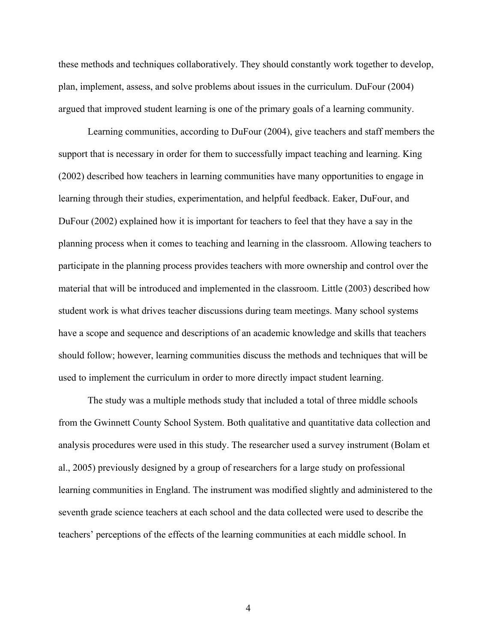these methods and techniques collaboratively. They should constantly work together to develop, plan, implement, assess, and solve problems about issues in the curriculum. DuFour (2004) argued that improved student learning is one of the primary goals of a learning community.

 Learning communities, according to DuFour (2004), give teachers and staff members the support that is necessary in order for them to successfully impact teaching and learning. King (2002) described how teachers in learning communities have many opportunities to engage in learning through their studies, experimentation, and helpful feedback. Eaker, DuFour, and DuFour (2002) explained how it is important for teachers to feel that they have a say in the planning process when it comes to teaching and learning in the classroom. Allowing teachers to participate in the planning process provides teachers with more ownership and control over the material that will be introduced and implemented in the classroom. Little (2003) described how student work is what drives teacher discussions during team meetings. Many school systems have a scope and sequence and descriptions of an academic knowledge and skills that teachers should follow; however, learning communities discuss the methods and techniques that will be used to implement the curriculum in order to more directly impact student learning.

The study was a multiple methods study that included a total of three middle schools from the Gwinnett County School System. Both qualitative and quantitative data collection and analysis procedures were used in this study. The researcher used a survey instrument (Bolam et al., 2005) previously designed by a group of researchers for a large study on professional learning communities in England. The instrument was modified slightly and administered to the seventh grade science teachers at each school and the data collected were used to describe the teachers' perceptions of the effects of the learning communities at each middle school. In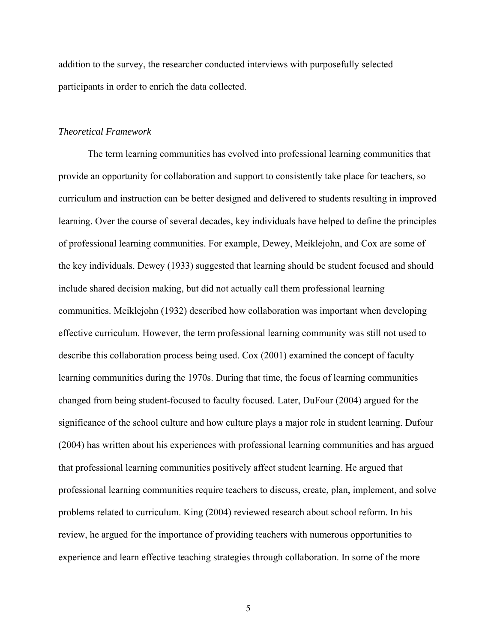addition to the survey, the researcher conducted interviews with purposefully selected participants in order to enrich the data collected.

#### *Theoretical Framework*

 The term learning communities has evolved into professional learning communities that provide an opportunity for collaboration and support to consistently take place for teachers, so curriculum and instruction can be better designed and delivered to students resulting in improved learning. Over the course of several decades, key individuals have helped to define the principles of professional learning communities. For example, Dewey, Meiklejohn, and Cox are some of the key individuals. Dewey (1933) suggested that learning should be student focused and should include shared decision making, but did not actually call them professional learning communities. Meiklejohn (1932) described how collaboration was important when developing effective curriculum. However, the term professional learning community was still not used to describe this collaboration process being used. Cox (2001) examined the concept of faculty learning communities during the 1970s. During that time, the focus of learning communities changed from being student-focused to faculty focused. Later, DuFour (2004) argued for the significance of the school culture and how culture plays a major role in student learning. Dufour (2004) has written about his experiences with professional learning communities and has argued that professional learning communities positively affect student learning. He argued that professional learning communities require teachers to discuss, create, plan, implement, and solve problems related to curriculum. King (2004) reviewed research about school reform. In his review, he argued for the importance of providing teachers with numerous opportunities to experience and learn effective teaching strategies through collaboration. In some of the more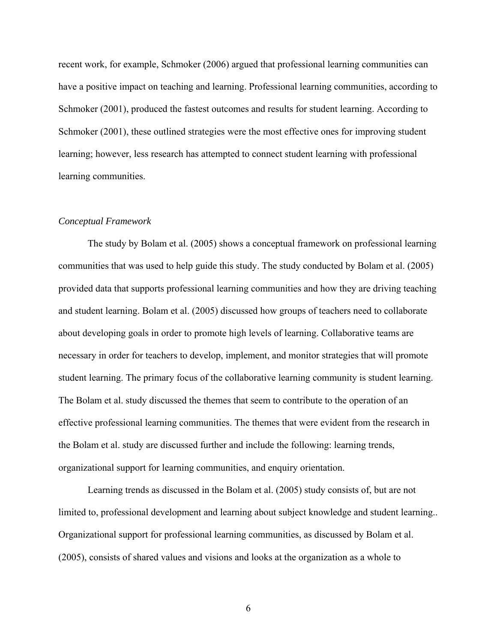recent work, for example, Schmoker (2006) argued that professional learning communities can have a positive impact on teaching and learning. Professional learning communities, according to Schmoker (2001), produced the fastest outcomes and results for student learning. According to Schmoker (2001), these outlined strategies were the most effective ones for improving student learning; however, less research has attempted to connect student learning with professional learning communities.

#### *Conceptual Framework*

 The study by Bolam et al. (2005) shows a conceptual framework on professional learning communities that was used to help guide this study. The study conducted by Bolam et al. (2005) provided data that supports professional learning communities and how they are driving teaching and student learning. Bolam et al. (2005) discussed how groups of teachers need to collaborate about developing goals in order to promote high levels of learning. Collaborative teams are necessary in order for teachers to develop, implement, and monitor strategies that will promote student learning. The primary focus of the collaborative learning community is student learning. The Bolam et al. study discussed the themes that seem to contribute to the operation of an effective professional learning communities. The themes that were evident from the research in the Bolam et al. study are discussed further and include the following: learning trends, organizational support for learning communities, and enquiry orientation.

Learning trends as discussed in the Bolam et al. (2005) study consists of, but are not limited to, professional development and learning about subject knowledge and student learning.. Organizational support for professional learning communities, as discussed by Bolam et al. (2005), consists of shared values and visions and looks at the organization as a whole to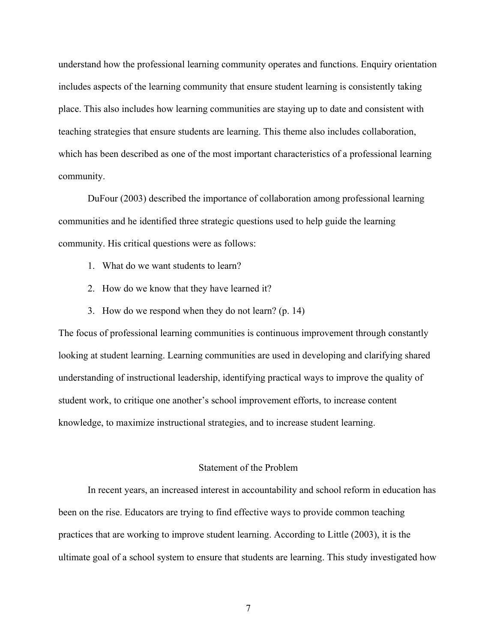understand how the professional learning community operates and functions. Enquiry orientation includes aspects of the learning community that ensure student learning is consistently taking place. This also includes how learning communities are staying up to date and consistent with teaching strategies that ensure students are learning. This theme also includes collaboration, which has been described as one of the most important characteristics of a professional learning community.

DuFour (2003) described the importance of collaboration among professional learning communities and he identified three strategic questions used to help guide the learning community. His critical questions were as follows:

- 1. What do we want students to learn?
- 2. How do we know that they have learned it?
- 3. How do we respond when they do not learn? (p. 14)

The focus of professional learning communities is continuous improvement through constantly looking at student learning. Learning communities are used in developing and clarifying shared understanding of instructional leadership, identifying practical ways to improve the quality of student work, to critique one another's school improvement efforts, to increase content knowledge, to maximize instructional strategies, and to increase student learning.

#### Statement of the Problem

In recent years, an increased interest in accountability and school reform in education has been on the rise. Educators are trying to find effective ways to provide common teaching practices that are working to improve student learning. According to Little (2003), it is the ultimate goal of a school system to ensure that students are learning. This study investigated how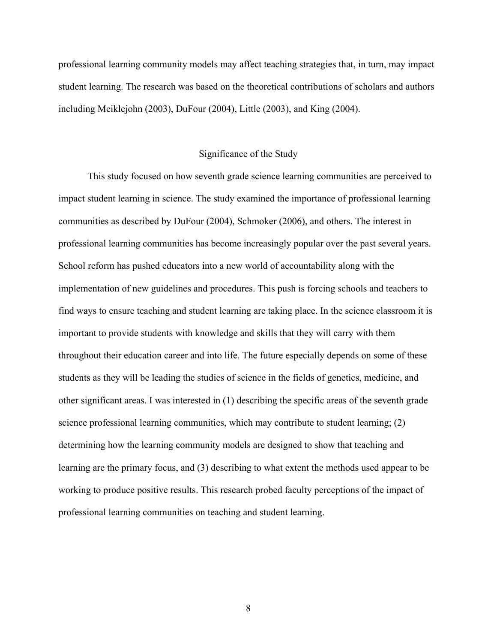professional learning community models may affect teaching strategies that, in turn, may impact student learning. The research was based on the theoretical contributions of scholars and authors including Meiklejohn (2003), DuFour (2004), Little (2003), and King (2004).

#### Significance of the Study

This study focused on how seventh grade science learning communities are perceived to impact student learning in science. The study examined the importance of professional learning communities as described by DuFour (2004), Schmoker (2006), and others. The interest in professional learning communities has become increasingly popular over the past several years. School reform has pushed educators into a new world of accountability along with the implementation of new guidelines and procedures. This push is forcing schools and teachers to find ways to ensure teaching and student learning are taking place. In the science classroom it is important to provide students with knowledge and skills that they will carry with them throughout their education career and into life. The future especially depends on some of these students as they will be leading the studies of science in the fields of genetics, medicine, and other significant areas. I was interested in (1) describing the specific areas of the seventh grade science professional learning communities, which may contribute to student learning; (2) determining how the learning community models are designed to show that teaching and learning are the primary focus, and (3) describing to what extent the methods used appear to be working to produce positive results. This research probed faculty perceptions of the impact of professional learning communities on teaching and student learning.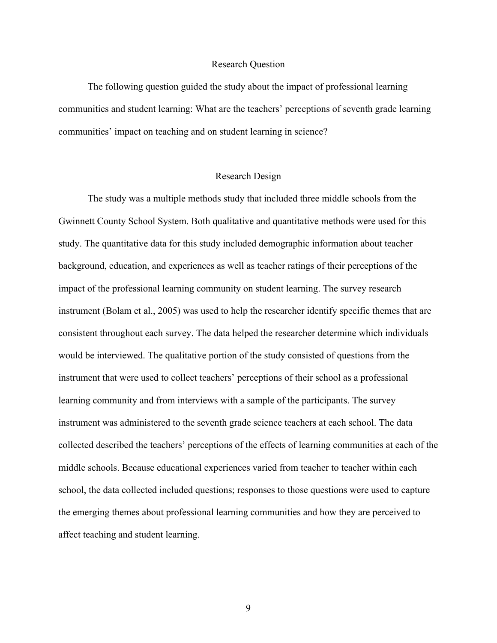#### Research Question

The following question guided the study about the impact of professional learning communities and student learning: What are the teachers' perceptions of seventh grade learning communities' impact on teaching and on student learning in science?

#### Research Design

The study was a multiple methods study that included three middle schools from the Gwinnett County School System. Both qualitative and quantitative methods were used for this study. The quantitative data for this study included demographic information about teacher background, education, and experiences as well as teacher ratings of their perceptions of the impact of the professional learning community on student learning. The survey research instrument (Bolam et al., 2005) was used to help the researcher identify specific themes that are consistent throughout each survey. The data helped the researcher determine which individuals would be interviewed. The qualitative portion of the study consisted of questions from the instrument that were used to collect teachers' perceptions of their school as a professional learning community and from interviews with a sample of the participants. The survey instrument was administered to the seventh grade science teachers at each school. The data collected described the teachers' perceptions of the effects of learning communities at each of the middle schools. Because educational experiences varied from teacher to teacher within each school, the data collected included questions; responses to those questions were used to capture the emerging themes about professional learning communities and how they are perceived to affect teaching and student learning.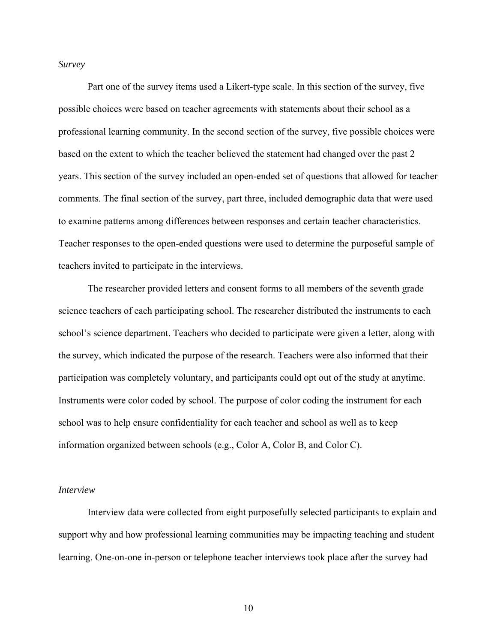*Survey*

Part one of the survey items used a Likert-type scale. In this section of the survey, five possible choices were based on teacher agreements with statements about their school as a professional learning community. In the second section of the survey, five possible choices were based on the extent to which the teacher believed the statement had changed over the past 2 years. This section of the survey included an open-ended set of questions that allowed for teacher comments. The final section of the survey, part three, included demographic data that were used to examine patterns among differences between responses and certain teacher characteristics. Teacher responses to the open-ended questions were used to determine the purposeful sample of teachers invited to participate in the interviews.

The researcher provided letters and consent forms to all members of the seventh grade science teachers of each participating school. The researcher distributed the instruments to each school's science department. Teachers who decided to participate were given a letter, along with the survey, which indicated the purpose of the research. Teachers were also informed that their participation was completely voluntary, and participants could opt out of the study at anytime. Instruments were color coded by school. The purpose of color coding the instrument for each school was to help ensure confidentiality for each teacher and school as well as to keep information organized between schools (e.g., Color A, Color B, and Color C).

#### *Interview*

Interview data were collected from eight purposefully selected participants to explain and support why and how professional learning communities may be impacting teaching and student learning. One-on-one in-person or telephone teacher interviews took place after the survey had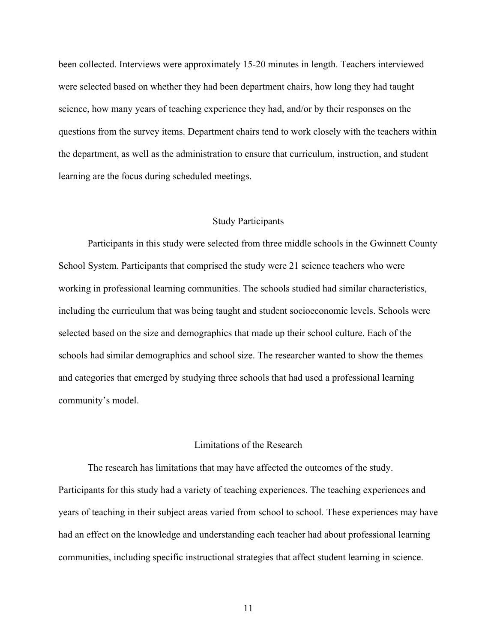been collected. Interviews were approximately 15-20 minutes in length. Teachers interviewed were selected based on whether they had been department chairs, how long they had taught science, how many years of teaching experience they had, and/or by their responses on the questions from the survey items. Department chairs tend to work closely with the teachers within the department, as well as the administration to ensure that curriculum, instruction, and student learning are the focus during scheduled meetings.

#### Study Participants

Participants in this study were selected from three middle schools in the Gwinnett County School System. Participants that comprised the study were 21 science teachers who were working in professional learning communities. The schools studied had similar characteristics, including the curriculum that was being taught and student socioeconomic levels. Schools were selected based on the size and demographics that made up their school culture. Each of the schools had similar demographics and school size. The researcher wanted to show the themes and categories that emerged by studying three schools that had used a professional learning community's model.

#### Limitations of the Research

 The research has limitations that may have affected the outcomes of the study. Participants for this study had a variety of teaching experiences. The teaching experiences and years of teaching in their subject areas varied from school to school. These experiences may have had an effect on the knowledge and understanding each teacher had about professional learning communities, including specific instructional strategies that affect student learning in science.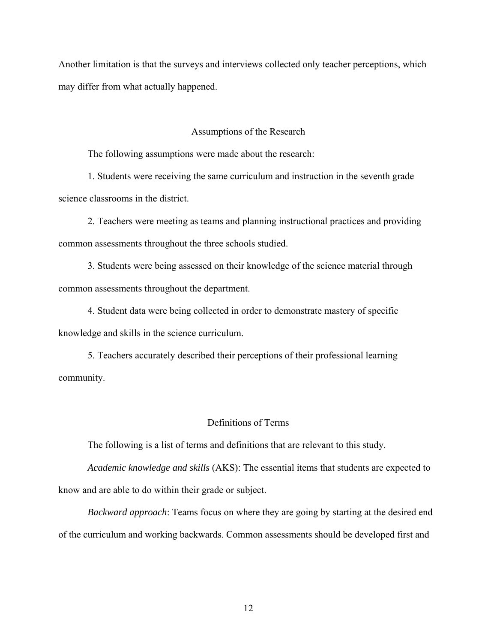Another limitation is that the surveys and interviews collected only teacher perceptions, which may differ from what actually happened.

#### Assumptions of the Research

The following assumptions were made about the research:

1. Students were receiving the same curriculum and instruction in the seventh grade science classrooms in the district.

2. Teachers were meeting as teams and planning instructional practices and providing common assessments throughout the three schools studied.

3. Students were being assessed on their knowledge of the science material through common assessments throughout the department.

4. Student data were being collected in order to demonstrate mastery of specific knowledge and skills in the science curriculum.

5. Teachers accurately described their perceptions of their professional learning community.

#### Definitions of Terms

The following is a list of terms and definitions that are relevant to this study.

*Academic knowledge and skills* (AKS): The essential items that students are expected to know and are able to do within their grade or subject.

*Backward approach*: Teams focus on where they are going by starting at the desired end of the curriculum and working backwards. Common assessments should be developed first and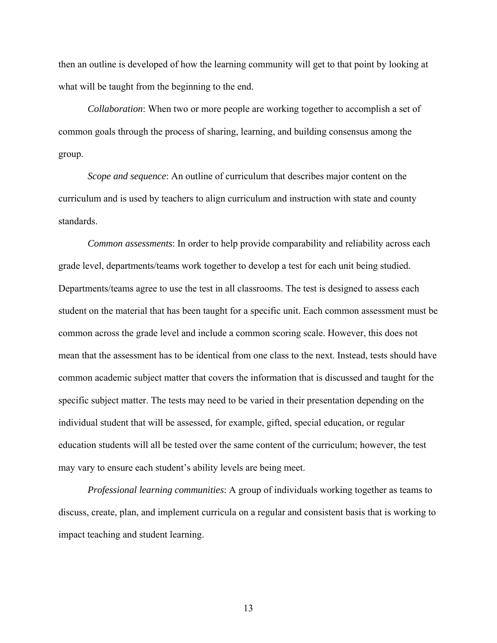then an outline is developed of how the learning community will get to that point by looking at what will be taught from the beginning to the end.

*Collaboration*: When two or more people are working together to accomplish a set of common goals through the process of sharing, learning, and building consensus among the group.

*Scope and sequence*: An outline of curriculum that describes major content on the curriculum and is used by teachers to align curriculum and instruction with state and county standards.

*Common assessments*: In order to help provide comparability and reliability across each grade level, departments/teams work together to develop a test for each unit being studied. Departments/teams agree to use the test in all classrooms. The test is designed to assess each student on the material that has been taught for a specific unit. Each common assessment must be common across the grade level and include a common scoring scale. However, this does not mean that the assessment has to be identical from one class to the next. Instead, tests should have common academic subject matter that covers the information that is discussed and taught for the specific subject matter. The tests may need to be varied in their presentation depending on the individual student that will be assessed, for example, gifted, special education, or regular education students will all be tested over the same content of the curriculum; however, the test may vary to ensure each student's ability levels are being meet.

*Professional learning communities*: A group of individuals working together as teams to discuss, create, plan, and implement curricula on a regular and consistent basis that is working to impact teaching and student learning.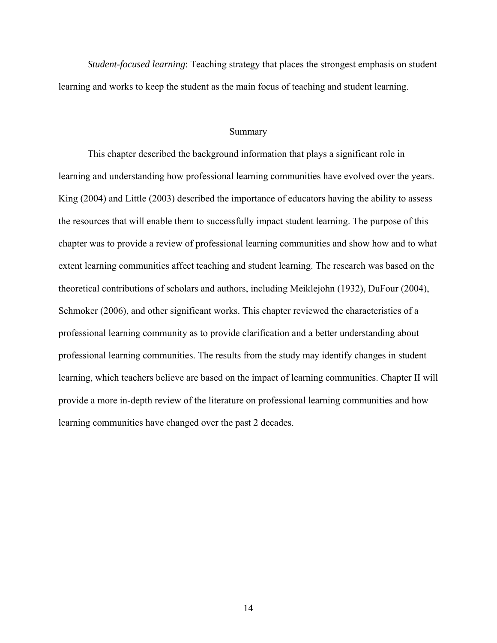*Student-focused learning*: Teaching strategy that places the strongest emphasis on student learning and works to keep the student as the main focus of teaching and student learning.

#### Summary

This chapter described the background information that plays a significant role in learning and understanding how professional learning communities have evolved over the years. King (2004) and Little (2003) described the importance of educators having the ability to assess the resources that will enable them to successfully impact student learning. The purpose of this chapter was to provide a review of professional learning communities and show how and to what extent learning communities affect teaching and student learning. The research was based on the theoretical contributions of scholars and authors, including Meiklejohn (1932), DuFour (2004), Schmoker (2006), and other significant works. This chapter reviewed the characteristics of a professional learning community as to provide clarification and a better understanding about professional learning communities. The results from the study may identify changes in student learning, which teachers believe are based on the impact of learning communities. Chapter II will provide a more in-depth review of the literature on professional learning communities and how learning communities have changed over the past 2 decades.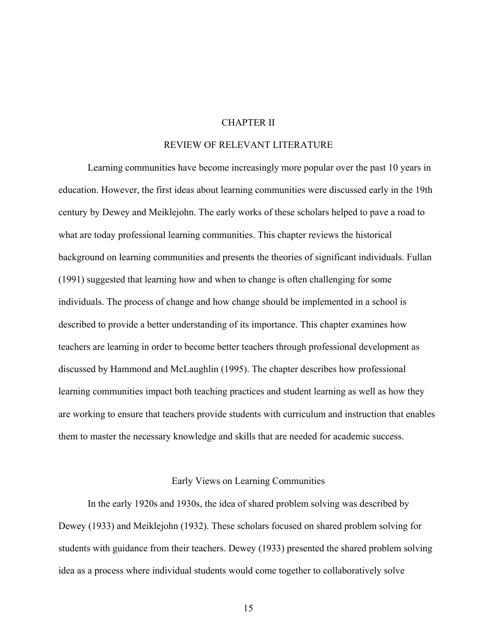#### CHAPTER II

#### REVIEW OF RELEVANT LITERATURE

 Learning communities have become increasingly more popular over the past 10 years in education. However, the first ideas about learning communities were discussed early in the 19th century by Dewey and Meiklejohn. The early works of these scholars helped to pave a road to what are today professional learning communities. This chapter reviews the historical background on learning communities and presents the theories of significant individuals. Fullan (1991) suggested that learning how and when to change is often challenging for some individuals. The process of change and how change should be implemented in a school is described to provide a better understanding of its importance. This chapter examines how teachers are learning in order to become better teachers through professional development as discussed by Hammond and McLaughlin (1995). The chapter describes how professional learning communities impact both teaching practices and student learning as well as how they are working to ensure that teachers provide students with curriculum and instruction that enables them to master the necessary knowledge and skills that are needed for academic success.

#### Early Views on Learning Communities

In the early 1920s and 1930s, the idea of shared problem solving was described by Dewey (1933) and Meiklejohn (1932). These scholars focused on shared problem solving for students with guidance from their teachers. Dewey (1933) presented the shared problem solving idea as a process where individual students would come together to collaboratively solve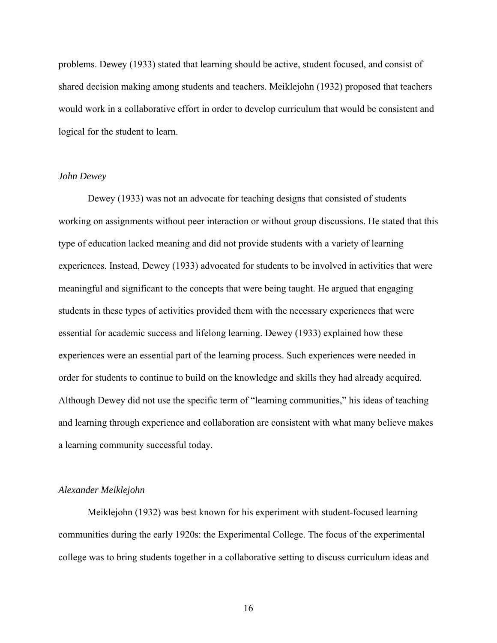problems. Dewey (1933) stated that learning should be active, student focused, and consist of shared decision making among students and teachers. Meiklejohn (1932) proposed that teachers would work in a collaborative effort in order to develop curriculum that would be consistent and logical for the student to learn.

#### *John Dewey*

Dewey (1933) was not an advocate for teaching designs that consisted of students working on assignments without peer interaction or without group discussions. He stated that this type of education lacked meaning and did not provide students with a variety of learning experiences. Instead, Dewey (1933) advocated for students to be involved in activities that were meaningful and significant to the concepts that were being taught. He argued that engaging students in these types of activities provided them with the necessary experiences that were essential for academic success and lifelong learning. Dewey (1933) explained how these experiences were an essential part of the learning process. Such experiences were needed in order for students to continue to build on the knowledge and skills they had already acquired. Although Dewey did not use the specific term of "learning communities," his ideas of teaching and learning through experience and collaboration are consistent with what many believe makes a learning community successful today.

#### *Alexander Meiklejohn*

Meiklejohn (1932) was best known for his experiment with student-focused learning communities during the early 1920s: the Experimental College. The focus of the experimental college was to bring students together in a collaborative setting to discuss curriculum ideas and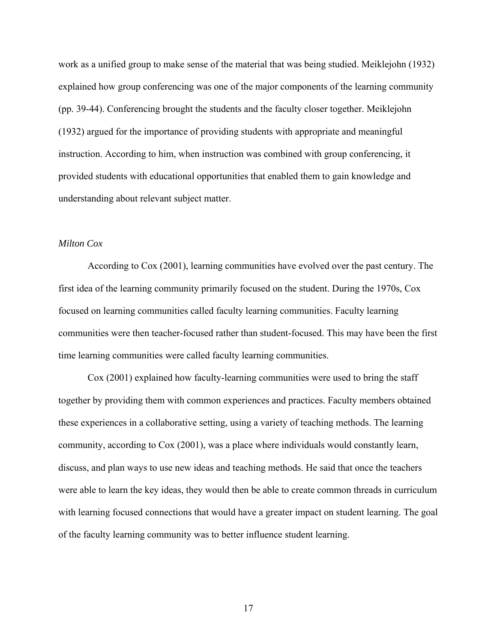work as a unified group to make sense of the material that was being studied. Meiklejohn (1932) explained how group conferencing was one of the major components of the learning community (pp. 39-44). Conferencing brought the students and the faculty closer together. Meiklejohn (1932) argued for the importance of providing students with appropriate and meaningful instruction. According to him, when instruction was combined with group conferencing, it provided students with educational opportunities that enabled them to gain knowledge and understanding about relevant subject matter.

#### *Milton Cox*

According to Cox (2001), learning communities have evolved over the past century. The first idea of the learning community primarily focused on the student. During the 1970s, Cox focused on learning communities called faculty learning communities. Faculty learning communities were then teacher-focused rather than student-focused. This may have been the first time learning communities were called faculty learning communities.

Cox (2001) explained how faculty-learning communities were used to bring the staff together by providing them with common experiences and practices. Faculty members obtained these experiences in a collaborative setting, using a variety of teaching methods. The learning community, according to Cox (2001), was a place where individuals would constantly learn, discuss, and plan ways to use new ideas and teaching methods. He said that once the teachers were able to learn the key ideas, they would then be able to create common threads in curriculum with learning focused connections that would have a greater impact on student learning. The goal of the faculty learning community was to better influence student learning.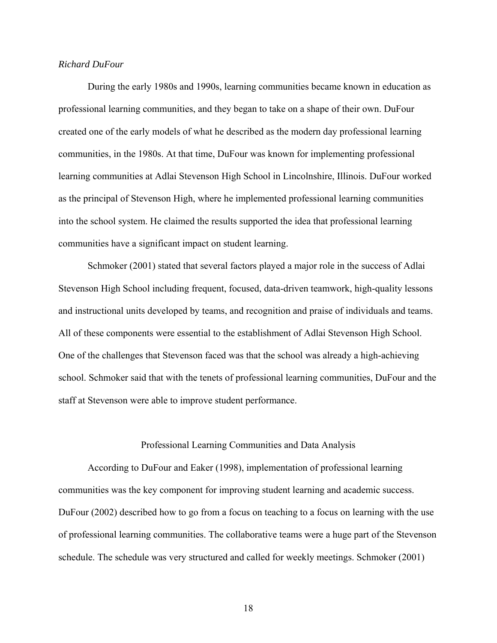#### *Richard DuFour*

During the early 1980s and 1990s, learning communities became known in education as professional learning communities, and they began to take on a shape of their own. DuFour created one of the early models of what he described as the modern day professional learning communities, in the 1980s. At that time, DuFour was known for implementing professional learning communities at Adlai Stevenson High School in Lincolnshire, Illinois. DuFour worked as the principal of Stevenson High, where he implemented professional learning communities into the school system. He claimed the results supported the idea that professional learning communities have a significant impact on student learning.

Schmoker (2001) stated that several factors played a major role in the success of Adlai Stevenson High School including frequent, focused, data-driven teamwork, high-quality lessons and instructional units developed by teams, and recognition and praise of individuals and teams. All of these components were essential to the establishment of Adlai Stevenson High School. One of the challenges that Stevenson faced was that the school was already a high-achieving school. Schmoker said that with the tenets of professional learning communities, DuFour and the staff at Stevenson were able to improve student performance.

#### Professional Learning Communities and Data Analysis

According to DuFour and Eaker (1998), implementation of professional learning communities was the key component for improving student learning and academic success. DuFour (2002) described how to go from a focus on teaching to a focus on learning with the use of professional learning communities. The collaborative teams were a huge part of the Stevenson schedule. The schedule was very structured and called for weekly meetings. Schmoker (2001)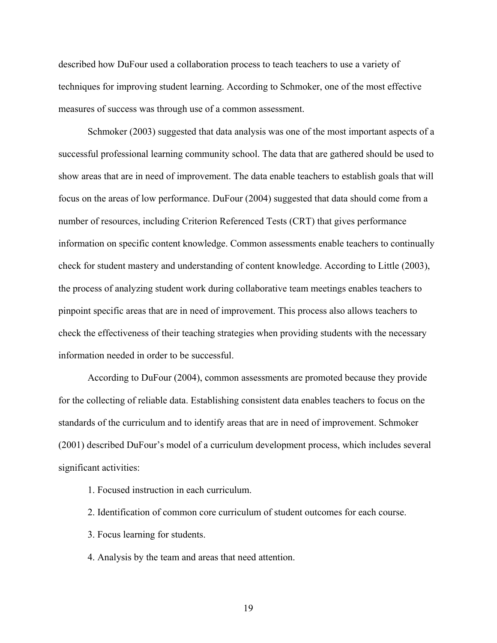described how DuFour used a collaboration process to teach teachers to use a variety of techniques for improving student learning. According to Schmoker, one of the most effective measures of success was through use of a common assessment.

Schmoker (2003) suggested that data analysis was one of the most important aspects of a successful professional learning community school. The data that are gathered should be used to show areas that are in need of improvement. The data enable teachers to establish goals that will focus on the areas of low performance. DuFour (2004) suggested that data should come from a number of resources, including Criterion Referenced Tests (CRT) that gives performance information on specific content knowledge. Common assessments enable teachers to continually check for student mastery and understanding of content knowledge. According to Little (2003), the process of analyzing student work during collaborative team meetings enables teachers to pinpoint specific areas that are in need of improvement. This process also allows teachers to check the effectiveness of their teaching strategies when providing students with the necessary information needed in order to be successful.

According to DuFour (2004), common assessments are promoted because they provide for the collecting of reliable data. Establishing consistent data enables teachers to focus on the standards of the curriculum and to identify areas that are in need of improvement. Schmoker (2001) described DuFour's model of a curriculum development process, which includes several significant activities:

- 1. Focused instruction in each curriculum.
- 2. Identification of common core curriculum of student outcomes for each course.
- 3. Focus learning for students.
- 4. Analysis by the team and areas that need attention.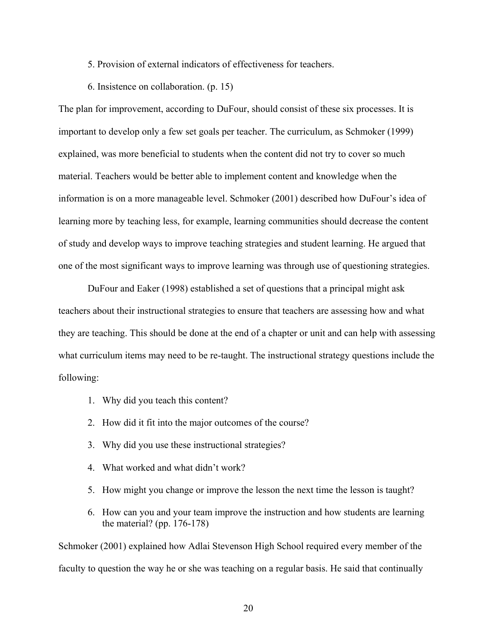5. Provision of external indicators of effectiveness for teachers.

6. Insistence on collaboration. (p. 15)

The plan for improvement, according to DuFour, should consist of these six processes. It is important to develop only a few set goals per teacher. The curriculum, as Schmoker (1999) explained, was more beneficial to students when the content did not try to cover so much material. Teachers would be better able to implement content and knowledge when the information is on a more manageable level. Schmoker (2001) described how DuFour's idea of learning more by teaching less, for example, learning communities should decrease the content of study and develop ways to improve teaching strategies and student learning. He argued that one of the most significant ways to improve learning was through use of questioning strategies.

 DuFour and Eaker (1998) established a set of questions that a principal might ask teachers about their instructional strategies to ensure that teachers are assessing how and what they are teaching. This should be done at the end of a chapter or unit and can help with assessing what curriculum items may need to be re-taught. The instructional strategy questions include the following:

- 1. Why did you teach this content?
- 2. How did it fit into the major outcomes of the course?
- 3. Why did you use these instructional strategies?
- 4. What worked and what didn't work?
- 5. How might you change or improve the lesson the next time the lesson is taught?
- 6. How can you and your team improve the instruction and how students are learning the material? (pp. 176-178)

Schmoker (2001) explained how Adlai Stevenson High School required every member of the faculty to question the way he or she was teaching on a regular basis. He said that continually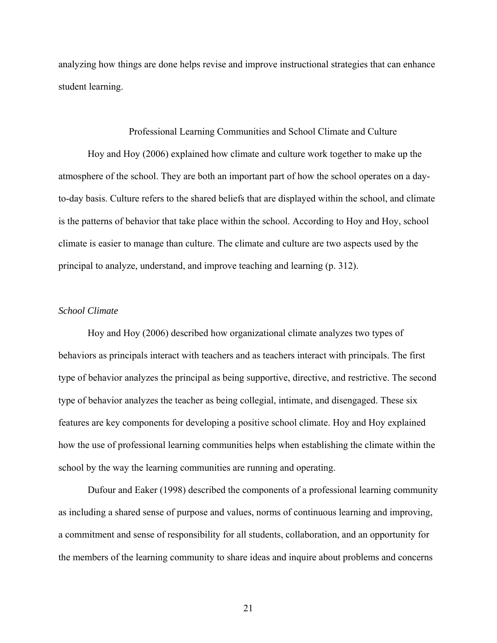analyzing how things are done helps revise and improve instructional strategies that can enhance student learning.

#### Professional Learning Communities and School Climate and Culture

 Hoy and Hoy (2006) explained how climate and culture work together to make up the atmosphere of the school. They are both an important part of how the school operates on a dayto-day basis. Culture refers to the shared beliefs that are displayed within the school, and climate is the patterns of behavior that take place within the school. According to Hoy and Hoy, school climate is easier to manage than culture. The climate and culture are two aspects used by the principal to analyze, understand, and improve teaching and learning (p. 312).

#### *School Climate*

 Hoy and Hoy (2006) described how organizational climate analyzes two types of behaviors as principals interact with teachers and as teachers interact with principals. The first type of behavior analyzes the principal as being supportive, directive, and restrictive. The second type of behavior analyzes the teacher as being collegial, intimate, and disengaged. These six features are key components for developing a positive school climate. Hoy and Hoy explained how the use of professional learning communities helps when establishing the climate within the school by the way the learning communities are running and operating.

Dufour and Eaker (1998) described the components of a professional learning community as including a shared sense of purpose and values, norms of continuous learning and improving, a commitment and sense of responsibility for all students, collaboration, and an opportunity for the members of the learning community to share ideas and inquire about problems and concerns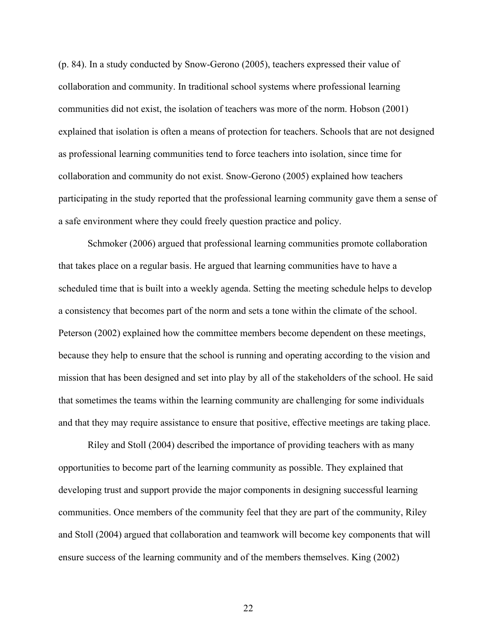(p. 84). In a study conducted by Snow-Gerono (2005), teachers expressed their value of collaboration and community. In traditional school systems where professional learning communities did not exist, the isolation of teachers was more of the norm. Hobson (2001) explained that isolation is often a means of protection for teachers. Schools that are not designed as professional learning communities tend to force teachers into isolation, since time for collaboration and community do not exist. Snow-Gerono (2005) explained how teachers participating in the study reported that the professional learning community gave them a sense of a safe environment where they could freely question practice and policy.

Schmoker (2006) argued that professional learning communities promote collaboration that takes place on a regular basis. He argued that learning communities have to have a scheduled time that is built into a weekly agenda. Setting the meeting schedule helps to develop a consistency that becomes part of the norm and sets a tone within the climate of the school. Peterson (2002) explained how the committee members become dependent on these meetings, because they help to ensure that the school is running and operating according to the vision and mission that has been designed and set into play by all of the stakeholders of the school. He said that sometimes the teams within the learning community are challenging for some individuals and that they may require assistance to ensure that positive, effective meetings are taking place.

Riley and Stoll (2004) described the importance of providing teachers with as many opportunities to become part of the learning community as possible. They explained that developing trust and support provide the major components in designing successful learning communities. Once members of the community feel that they are part of the community, Riley and Stoll (2004) argued that collaboration and teamwork will become key components that will ensure success of the learning community and of the members themselves. King (2002)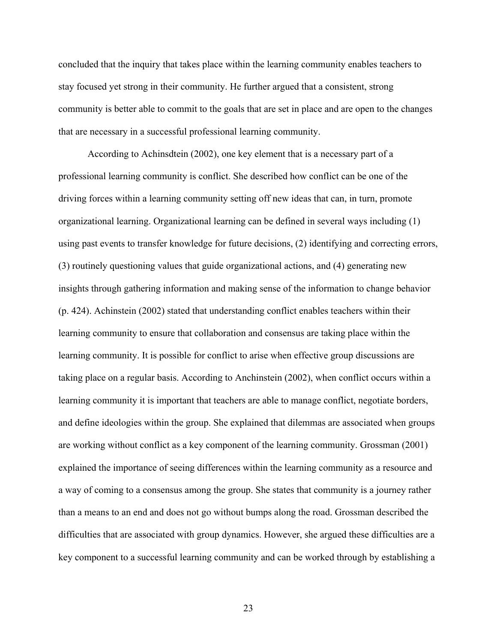concluded that the inquiry that takes place within the learning community enables teachers to stay focused yet strong in their community. He further argued that a consistent, strong community is better able to commit to the goals that are set in place and are open to the changes that are necessary in a successful professional learning community.

According to Achinsdtein (2002), one key element that is a necessary part of a professional learning community is conflict. She described how conflict can be one of the driving forces within a learning community setting off new ideas that can, in turn, promote organizational learning. Organizational learning can be defined in several ways including (1) using past events to transfer knowledge for future decisions, (2) identifying and correcting errors, (3) routinely questioning values that guide organizational actions, and (4) generating new insights through gathering information and making sense of the information to change behavior (p. 424). Achinstein (2002) stated that understanding conflict enables teachers within their learning community to ensure that collaboration and consensus are taking place within the learning community. It is possible for conflict to arise when effective group discussions are taking place on a regular basis. According to Anchinstein (2002), when conflict occurs within a learning community it is important that teachers are able to manage conflict, negotiate borders, and define ideologies within the group. She explained that dilemmas are associated when groups are working without conflict as a key component of the learning community. Grossman (2001) explained the importance of seeing differences within the learning community as a resource and a way of coming to a consensus among the group. She states that community is a journey rather than a means to an end and does not go without bumps along the road. Grossman described the difficulties that are associated with group dynamics. However, she argued these difficulties are a key component to a successful learning community and can be worked through by establishing a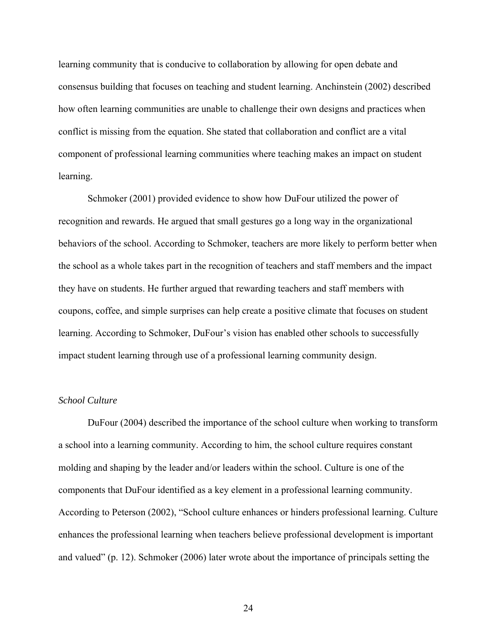learning community that is conducive to collaboration by allowing for open debate and consensus building that focuses on teaching and student learning. Anchinstein (2002) described how often learning communities are unable to challenge their own designs and practices when conflict is missing from the equation. She stated that collaboration and conflict are a vital component of professional learning communities where teaching makes an impact on student learning.

Schmoker (2001) provided evidence to show how DuFour utilized the power of recognition and rewards. He argued that small gestures go a long way in the organizational behaviors of the school. According to Schmoker, teachers are more likely to perform better when the school as a whole takes part in the recognition of teachers and staff members and the impact they have on students. He further argued that rewarding teachers and staff members with coupons, coffee, and simple surprises can help create a positive climate that focuses on student learning. According to Schmoker, DuFour's vision has enabled other schools to successfully impact student learning through use of a professional learning community design.

## *School Culture*

DuFour (2004) described the importance of the school culture when working to transform a school into a learning community. According to him, the school culture requires constant molding and shaping by the leader and/or leaders within the school. Culture is one of the components that DuFour identified as a key element in a professional learning community. According to Peterson (2002), "School culture enhances or hinders professional learning. Culture enhances the professional learning when teachers believe professional development is important and valued" (p. 12). Schmoker (2006) later wrote about the importance of principals setting the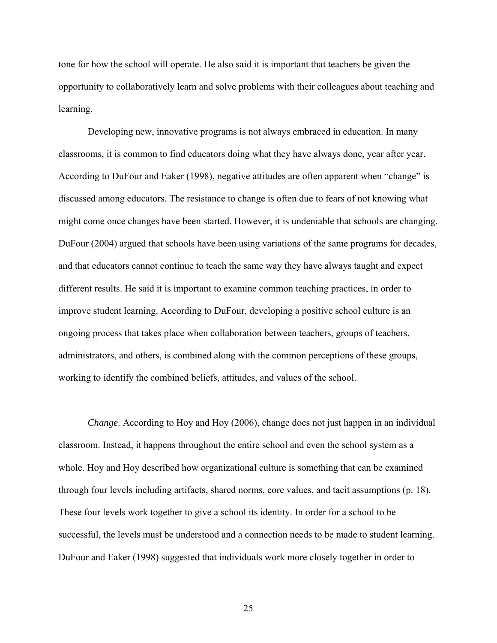tone for how the school will operate. He also said it is important that teachers be given the opportunity to collaboratively learn and solve problems with their colleagues about teaching and learning.

Developing new, innovative programs is not always embraced in education. In many classrooms, it is common to find educators doing what they have always done, year after year. According to DuFour and Eaker (1998), negative attitudes are often apparent when "change" is discussed among educators. The resistance to change is often due to fears of not knowing what might come once changes have been started. However, it is undeniable that schools are changing. DuFour (2004) argued that schools have been using variations of the same programs for decades, and that educators cannot continue to teach the same way they have always taught and expect different results. He said it is important to examine common teaching practices, in order to improve student learning. According to DuFour, developing a positive school culture is an ongoing process that takes place when collaboration between teachers, groups of teachers, administrators, and others, is combined along with the common perceptions of these groups, working to identify the combined beliefs, attitudes, and values of the school.

*Change*. According to Hoy and Hoy (2006), change does not just happen in an individual classroom. Instead, it happens throughout the entire school and even the school system as a whole. Hoy and Hoy described how organizational culture is something that can be examined through four levels including artifacts, shared norms, core values, and tacit assumptions (p. 18). These four levels work together to give a school its identity. In order for a school to be successful, the levels must be understood and a connection needs to be made to student learning. DuFour and Eaker (1998) suggested that individuals work more closely together in order to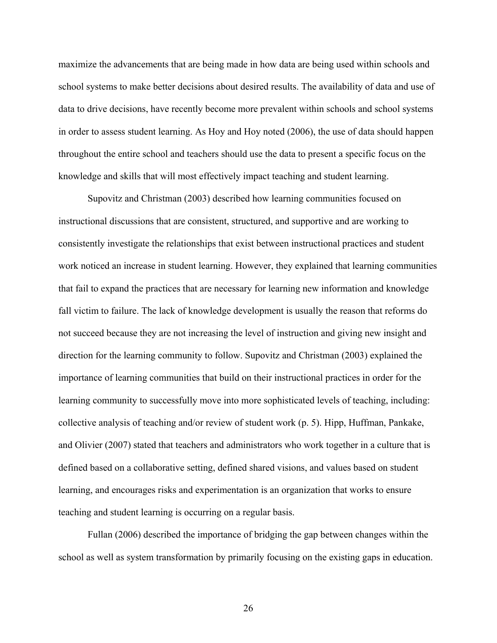maximize the advancements that are being made in how data are being used within schools and school systems to make better decisions about desired results. The availability of data and use of data to drive decisions, have recently become more prevalent within schools and school systems in order to assess student learning. As Hoy and Hoy noted (2006), the use of data should happen throughout the entire school and teachers should use the data to present a specific focus on the knowledge and skills that will most effectively impact teaching and student learning.

 Supovitz and Christman (2003) described how learning communities focused on instructional discussions that are consistent, structured, and supportive and are working to consistently investigate the relationships that exist between instructional practices and student work noticed an increase in student learning. However, they explained that learning communities that fail to expand the practices that are necessary for learning new information and knowledge fall victim to failure. The lack of knowledge development is usually the reason that reforms do not succeed because they are not increasing the level of instruction and giving new insight and direction for the learning community to follow. Supovitz and Christman (2003) explained the importance of learning communities that build on their instructional practices in order for the learning community to successfully move into more sophisticated levels of teaching, including: collective analysis of teaching and/or review of student work (p. 5). Hipp, Huffman, Pankake, and Olivier (2007) stated that teachers and administrators who work together in a culture that is defined based on a collaborative setting, defined shared visions, and values based on student learning, and encourages risks and experimentation is an organization that works to ensure teaching and student learning is occurring on a regular basis.

Fullan (2006) described the importance of bridging the gap between changes within the school as well as system transformation by primarily focusing on the existing gaps in education.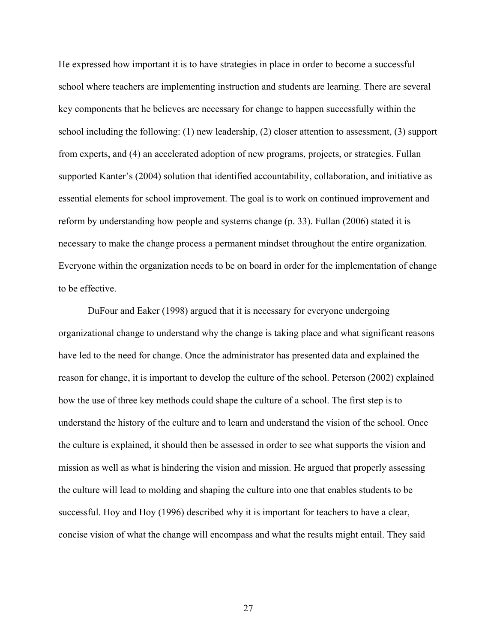He expressed how important it is to have strategies in place in order to become a successful school where teachers are implementing instruction and students are learning. There are several key components that he believes are necessary for change to happen successfully within the school including the following: (1) new leadership, (2) closer attention to assessment, (3) support from experts, and (4) an accelerated adoption of new programs, projects, or strategies. Fullan supported Kanter's (2004) solution that identified accountability, collaboration, and initiative as essential elements for school improvement. The goal is to work on continued improvement and reform by understanding how people and systems change (p. 33). Fullan (2006) stated it is necessary to make the change process a permanent mindset throughout the entire organization. Everyone within the organization needs to be on board in order for the implementation of change to be effective.

DuFour and Eaker (1998) argued that it is necessary for everyone undergoing organizational change to understand why the change is taking place and what significant reasons have led to the need for change. Once the administrator has presented data and explained the reason for change, it is important to develop the culture of the school. Peterson (2002) explained how the use of three key methods could shape the culture of a school. The first step is to understand the history of the culture and to learn and understand the vision of the school. Once the culture is explained, it should then be assessed in order to see what supports the vision and mission as well as what is hindering the vision and mission. He argued that properly assessing the culture will lead to molding and shaping the culture into one that enables students to be successful. Hoy and Hoy (1996) described why it is important for teachers to have a clear, concise vision of what the change will encompass and what the results might entail. They said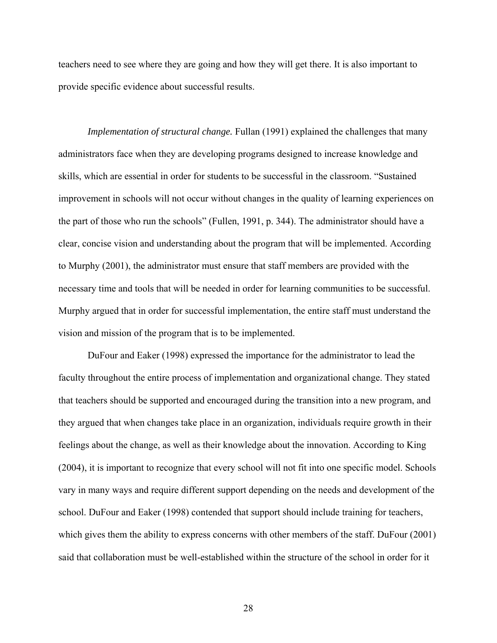teachers need to see where they are going and how they will get there. It is also important to provide specific evidence about successful results.

*Implementation of structural change.* Fullan (1991) explained the challenges that many administrators face when they are developing programs designed to increase knowledge and skills, which are essential in order for students to be successful in the classroom. "Sustained improvement in schools will not occur without changes in the quality of learning experiences on the part of those who run the schools" (Fullen, 1991, p. 344). The administrator should have a clear, concise vision and understanding about the program that will be implemented. According to Murphy (2001), the administrator must ensure that staff members are provided with the necessary time and tools that will be needed in order for learning communities to be successful. Murphy argued that in order for successful implementation, the entire staff must understand the vision and mission of the program that is to be implemented.

DuFour and Eaker (1998) expressed the importance for the administrator to lead the faculty throughout the entire process of implementation and organizational change. They stated that teachers should be supported and encouraged during the transition into a new program, and they argued that when changes take place in an organization, individuals require growth in their feelings about the change, as well as their knowledge about the innovation. According to King (2004), it is important to recognize that every school will not fit into one specific model. Schools vary in many ways and require different support depending on the needs and development of the school. DuFour and Eaker (1998) contended that support should include training for teachers, which gives them the ability to express concerns with other members of the staff. DuFour (2001) said that collaboration must be well-established within the structure of the school in order for it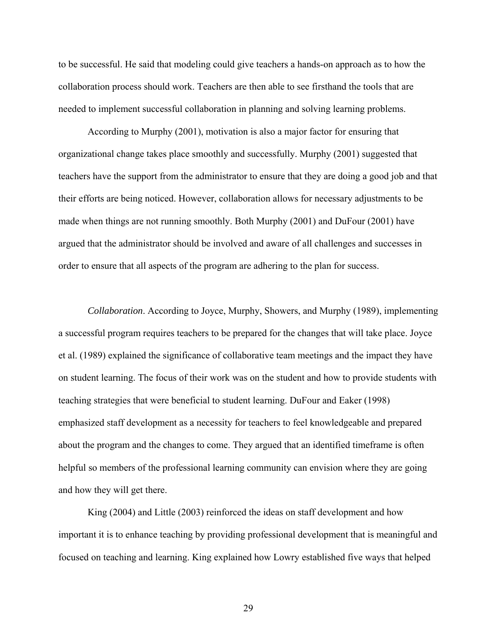to be successful. He said that modeling could give teachers a hands-on approach as to how the collaboration process should work. Teachers are then able to see firsthand the tools that are needed to implement successful collaboration in planning and solving learning problems.

According to Murphy (2001), motivation is also a major factor for ensuring that organizational change takes place smoothly and successfully. Murphy (2001) suggested that teachers have the support from the administrator to ensure that they are doing a good job and that their efforts are being noticed. However, collaboration allows for necessary adjustments to be made when things are not running smoothly. Both Murphy (2001) and DuFour (2001) have argued that the administrator should be involved and aware of all challenges and successes in order to ensure that all aspects of the program are adhering to the plan for success.

*Collaboration*. According to Joyce, Murphy, Showers, and Murphy (1989), implementing a successful program requires teachers to be prepared for the changes that will take place. Joyce et al. (1989) explained the significance of collaborative team meetings and the impact they have on student learning. The focus of their work was on the student and how to provide students with teaching strategies that were beneficial to student learning. DuFour and Eaker (1998) emphasized staff development as a necessity for teachers to feel knowledgeable and prepared about the program and the changes to come. They argued that an identified timeframe is often helpful so members of the professional learning community can envision where they are going and how they will get there.

King (2004) and Little (2003) reinforced the ideas on staff development and how important it is to enhance teaching by providing professional development that is meaningful and focused on teaching and learning. King explained how Lowry established five ways that helped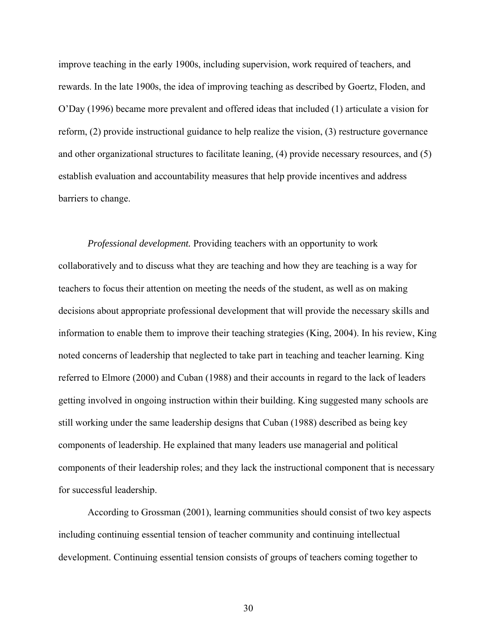improve teaching in the early 1900s, including supervision, work required of teachers, and rewards. In the late 1900s, the idea of improving teaching as described by Goertz, Floden, and O'Day (1996) became more prevalent and offered ideas that included (1) articulate a vision for reform, (2) provide instructional guidance to help realize the vision, (3) restructure governance and other organizational structures to facilitate leaning, (4) provide necessary resources, and (5) establish evaluation and accountability measures that help provide incentives and address barriers to change.

*Professional development.* Providing teachers with an opportunity to work collaboratively and to discuss what they are teaching and how they are teaching is a way for teachers to focus their attention on meeting the needs of the student, as well as on making decisions about appropriate professional development that will provide the necessary skills and information to enable them to improve their teaching strategies (King, 2004). In his review, King noted concerns of leadership that neglected to take part in teaching and teacher learning. King referred to Elmore (2000) and Cuban (1988) and their accounts in regard to the lack of leaders getting involved in ongoing instruction within their building. King suggested many schools are still working under the same leadership designs that Cuban (1988) described as being key components of leadership. He explained that many leaders use managerial and political components of their leadership roles; and they lack the instructional component that is necessary for successful leadership.

According to Grossman (2001), learning communities should consist of two key aspects including continuing essential tension of teacher community and continuing intellectual development. Continuing essential tension consists of groups of teachers coming together to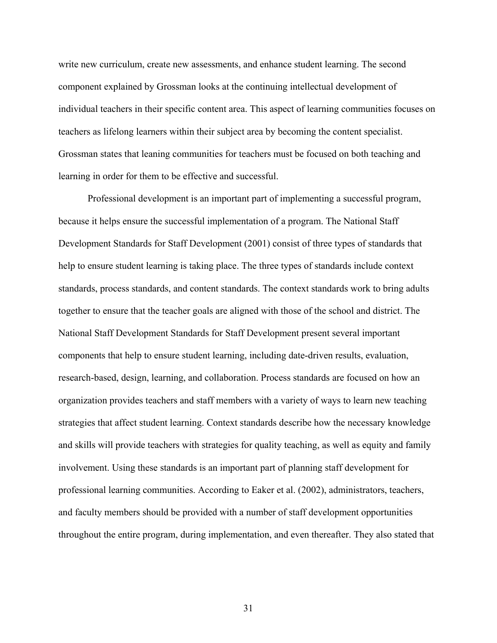write new curriculum, create new assessments, and enhance student learning. The second component explained by Grossman looks at the continuing intellectual development of individual teachers in their specific content area. This aspect of learning communities focuses on teachers as lifelong learners within their subject area by becoming the content specialist. Grossman states that leaning communities for teachers must be focused on both teaching and learning in order for them to be effective and successful.

Professional development is an important part of implementing a successful program, because it helps ensure the successful implementation of a program. The National Staff Development Standards for Staff Development (2001) consist of three types of standards that help to ensure student learning is taking place. The three types of standards include context standards, process standards, and content standards. The context standards work to bring adults together to ensure that the teacher goals are aligned with those of the school and district. The National Staff Development Standards for Staff Development present several important components that help to ensure student learning, including date-driven results, evaluation, research-based, design, learning, and collaboration. Process standards are focused on how an organization provides teachers and staff members with a variety of ways to learn new teaching strategies that affect student learning. Context standards describe how the necessary knowledge and skills will provide teachers with strategies for quality teaching, as well as equity and family involvement. Using these standards is an important part of planning staff development for professional learning communities. According to Eaker et al. (2002), administrators, teachers, and faculty members should be provided with a number of staff development opportunities throughout the entire program, during implementation, and even thereafter. They also stated that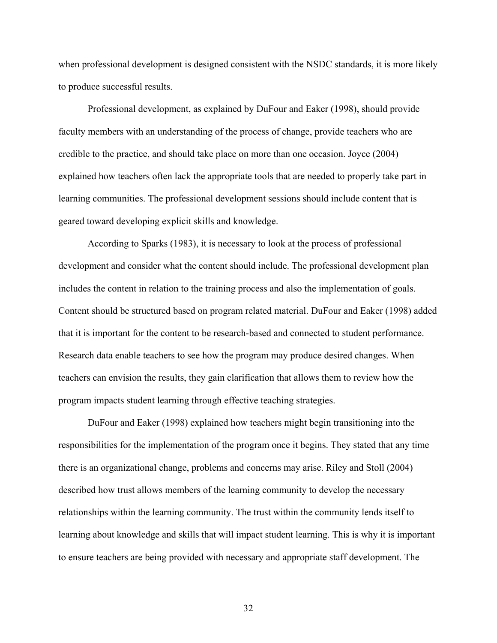when professional development is designed consistent with the NSDC standards, it is more likely to produce successful results.

Professional development, as explained by DuFour and Eaker (1998), should provide faculty members with an understanding of the process of change, provide teachers who are credible to the practice, and should take place on more than one occasion. Joyce (2004) explained how teachers often lack the appropriate tools that are needed to properly take part in learning communities. The professional development sessions should include content that is geared toward developing explicit skills and knowledge.

According to Sparks (1983), it is necessary to look at the process of professional development and consider what the content should include. The professional development plan includes the content in relation to the training process and also the implementation of goals. Content should be structured based on program related material. DuFour and Eaker (1998) added that it is important for the content to be research-based and connected to student performance. Research data enable teachers to see how the program may produce desired changes. When teachers can envision the results, they gain clarification that allows them to review how the program impacts student learning through effective teaching strategies.

DuFour and Eaker (1998) explained how teachers might begin transitioning into the responsibilities for the implementation of the program once it begins. They stated that any time there is an organizational change, problems and concerns may arise. Riley and Stoll (2004) described how trust allows members of the learning community to develop the necessary relationships within the learning community. The trust within the community lends itself to learning about knowledge and skills that will impact student learning. This is why it is important to ensure teachers are being provided with necessary and appropriate staff development. The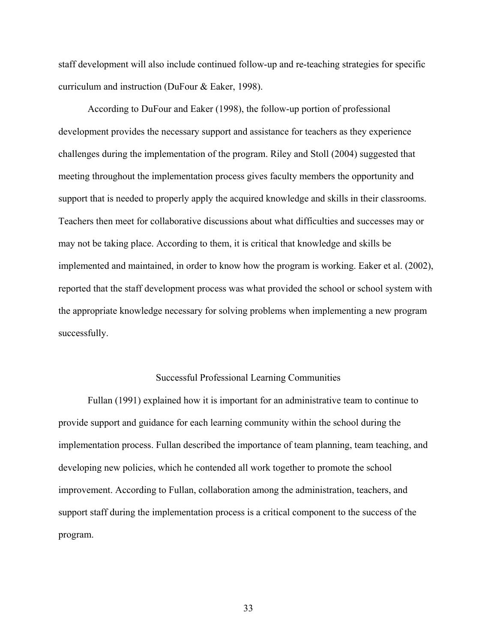staff development will also include continued follow-up and re-teaching strategies for specific curriculum and instruction (DuFour & Eaker, 1998).

According to DuFour and Eaker (1998), the follow-up portion of professional development provides the necessary support and assistance for teachers as they experience challenges during the implementation of the program. Riley and Stoll (2004) suggested that meeting throughout the implementation process gives faculty members the opportunity and support that is needed to properly apply the acquired knowledge and skills in their classrooms. Teachers then meet for collaborative discussions about what difficulties and successes may or may not be taking place. According to them, it is critical that knowledge and skills be implemented and maintained, in order to know how the program is working. Eaker et al. (2002), reported that the staff development process was what provided the school or school system with the appropriate knowledge necessary for solving problems when implementing a new program successfully.

#### Successful Professional Learning Communities

Fullan (1991) explained how it is important for an administrative team to continue to provide support and guidance for each learning community within the school during the implementation process. Fullan described the importance of team planning, team teaching, and developing new policies, which he contended all work together to promote the school improvement. According to Fullan, collaboration among the administration, teachers, and support staff during the implementation process is a critical component to the success of the program.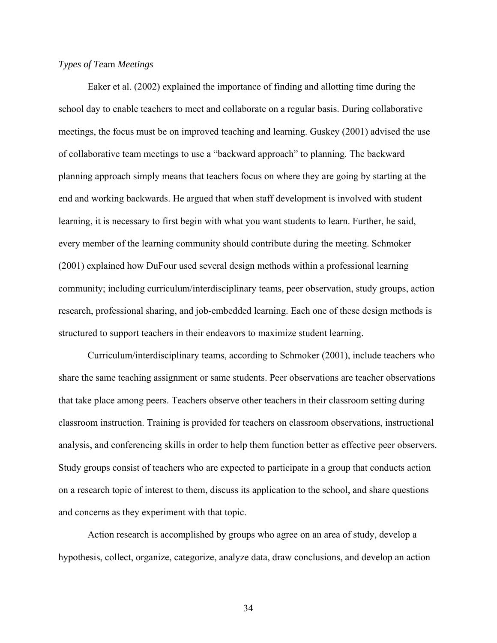# *Types of Te*am *Meetings*

Eaker et al. (2002) explained the importance of finding and allotting time during the school day to enable teachers to meet and collaborate on a regular basis. During collaborative meetings, the focus must be on improved teaching and learning. Guskey (2001) advised the use of collaborative team meetings to use a "backward approach" to planning. The backward planning approach simply means that teachers focus on where they are going by starting at the end and working backwards. He argued that when staff development is involved with student learning, it is necessary to first begin with what you want students to learn. Further, he said, every member of the learning community should contribute during the meeting. Schmoker (2001) explained how DuFour used several design methods within a professional learning community; including curriculum/interdisciplinary teams, peer observation, study groups, action research, professional sharing, and job-embedded learning. Each one of these design methods is structured to support teachers in their endeavors to maximize student learning.

Curriculum/interdisciplinary teams, according to Schmoker (2001), include teachers who share the same teaching assignment or same students. Peer observations are teacher observations that take place among peers. Teachers observe other teachers in their classroom setting during classroom instruction. Training is provided for teachers on classroom observations, instructional analysis, and conferencing skills in order to help them function better as effective peer observers. Study groups consist of teachers who are expected to participate in a group that conducts action on a research topic of interest to them, discuss its application to the school, and share questions and concerns as they experiment with that topic.

Action research is accomplished by groups who agree on an area of study, develop a hypothesis, collect, organize, categorize, analyze data, draw conclusions, and develop an action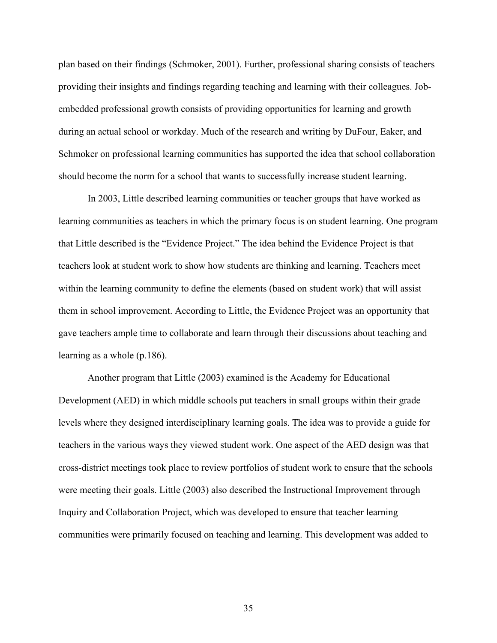plan based on their findings (Schmoker, 2001). Further, professional sharing consists of teachers providing their insights and findings regarding teaching and learning with their colleagues. Jobembedded professional growth consists of providing opportunities for learning and growth during an actual school or workday. Much of the research and writing by DuFour, Eaker, and Schmoker on professional learning communities has supported the idea that school collaboration should become the norm for a school that wants to successfully increase student learning.

 In 2003, Little described learning communities or teacher groups that have worked as learning communities as teachers in which the primary focus is on student learning. One program that Little described is the "Evidence Project." The idea behind the Evidence Project is that teachers look at student work to show how students are thinking and learning. Teachers meet within the learning community to define the elements (based on student work) that will assist them in school improvement. According to Little, the Evidence Project was an opportunity that gave teachers ample time to collaborate and learn through their discussions about teaching and learning as a whole (p.186).

 Another program that Little (2003) examined is the Academy for Educational Development (AED) in which middle schools put teachers in small groups within their grade levels where they designed interdisciplinary learning goals. The idea was to provide a guide for teachers in the various ways they viewed student work. One aspect of the AED design was that cross-district meetings took place to review portfolios of student work to ensure that the schools were meeting their goals. Little (2003) also described the Instructional Improvement through Inquiry and Collaboration Project, which was developed to ensure that teacher learning communities were primarily focused on teaching and learning. This development was added to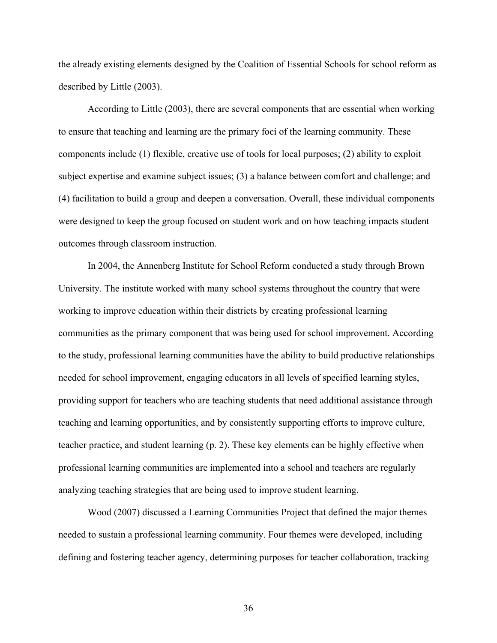the already existing elements designed by the Coalition of Essential Schools for school reform as described by Little (2003).

According to Little (2003), there are several components that are essential when working to ensure that teaching and learning are the primary foci of the learning community. These components include (1) flexible, creative use of tools for local purposes; (2) ability to exploit subject expertise and examine subject issues; (3) a balance between comfort and challenge; and (4) facilitation to build a group and deepen a conversation. Overall, these individual components were designed to keep the group focused on student work and on how teaching impacts student outcomes through classroom instruction.

In 2004, the Annenberg Institute for School Reform conducted a study through Brown University. The institute worked with many school systems throughout the country that were working to improve education within their districts by creating professional learning communities as the primary component that was being used for school improvement. According to the study, professional learning communities have the ability to build productive relationships needed for school improvement, engaging educators in all levels of specified learning styles, providing support for teachers who are teaching students that need additional assistance through teaching and learning opportunities, and by consistently supporting efforts to improve culture, teacher practice, and student learning (p. 2). These key elements can be highly effective when professional learning communities are implemented into a school and teachers are regularly analyzing teaching strategies that are being used to improve student learning.

Wood (2007) discussed a Learning Communities Project that defined the major themes needed to sustain a professional learning community. Four themes were developed, including defining and fostering teacher agency, determining purposes for teacher collaboration, tracking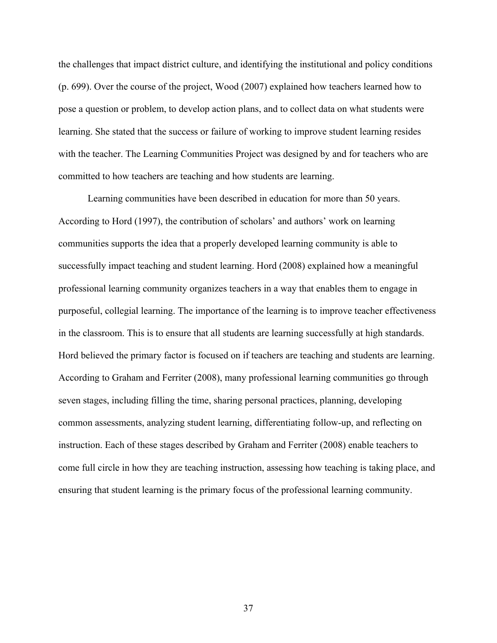the challenges that impact district culture, and identifying the institutional and policy conditions (p. 699). Over the course of the project, Wood (2007) explained how teachers learned how to pose a question or problem, to develop action plans, and to collect data on what students were learning. She stated that the success or failure of working to improve student learning resides with the teacher. The Learning Communities Project was designed by and for teachers who are committed to how teachers are teaching and how students are learning.

Learning communities have been described in education for more than 50 years. According to Hord (1997), the contribution of scholars' and authors' work on learning communities supports the idea that a properly developed learning community is able to successfully impact teaching and student learning. Hord (2008) explained how a meaningful professional learning community organizes teachers in a way that enables them to engage in purposeful, collegial learning. The importance of the learning is to improve teacher effectiveness in the classroom. This is to ensure that all students are learning successfully at high standards. Hord believed the primary factor is focused on if teachers are teaching and students are learning. According to Graham and Ferriter (2008), many professional learning communities go through seven stages, including filling the time, sharing personal practices, planning, developing common assessments, analyzing student learning, differentiating follow-up, and reflecting on instruction. Each of these stages described by Graham and Ferriter (2008) enable teachers to come full circle in how they are teaching instruction, assessing how teaching is taking place, and ensuring that student learning is the primary focus of the professional learning community.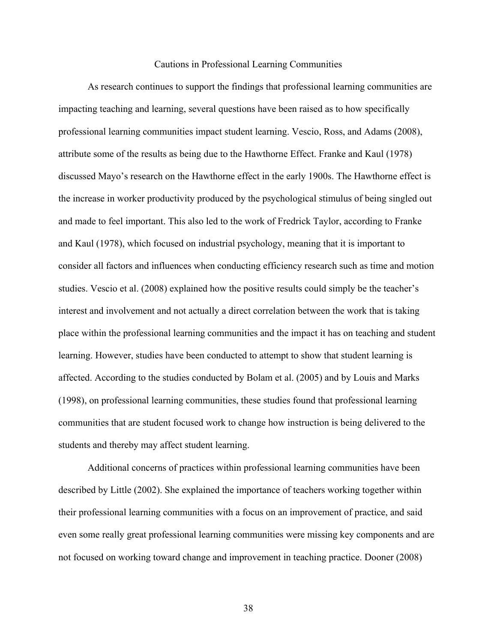#### Cautions in Professional Learning Communities

As research continues to support the findings that professional learning communities are impacting teaching and learning, several questions have been raised as to how specifically professional learning communities impact student learning. Vescio, Ross, and Adams (2008), attribute some of the results as being due to the Hawthorne Effect. Franke and Kaul (1978) discussed Mayo's research on the Hawthorne effect in the early 1900s. The Hawthorne effect is the increase in worker productivity produced by the psychological stimulus of being singled out and made to feel important. This also led to the work of Fredrick Taylor, according to Franke and Kaul (1978), which focused on industrial psychology, meaning that it is important to consider all factors and influences when conducting efficiency research such as time and motion studies. Vescio et al. (2008) explained how the positive results could simply be the teacher's interest and involvement and not actually a direct correlation between the work that is taking place within the professional learning communities and the impact it has on teaching and student learning. However, studies have been conducted to attempt to show that student learning is affected. According to the studies conducted by Bolam et al. (2005) and by Louis and Marks (1998), on professional learning communities, these studies found that professional learning communities that are student focused work to change how instruction is being delivered to the students and thereby may affect student learning.

Additional concerns of practices within professional learning communities have been described by Little (2002). She explained the importance of teachers working together within their professional learning communities with a focus on an improvement of practice, and said even some really great professional learning communities were missing key components and are not focused on working toward change and improvement in teaching practice. Dooner (2008)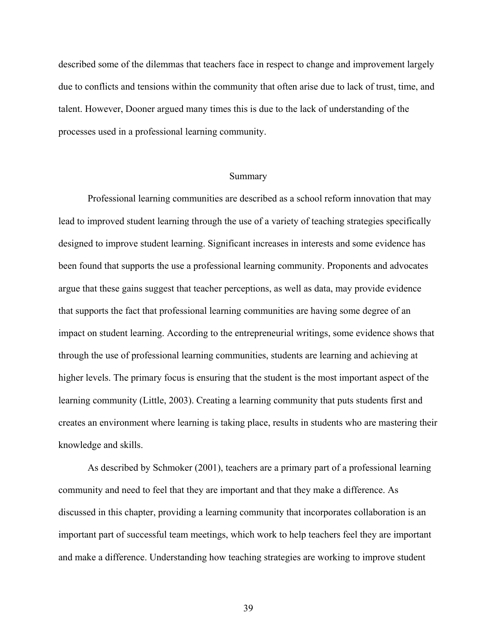described some of the dilemmas that teachers face in respect to change and improvement largely due to conflicts and tensions within the community that often arise due to lack of trust, time, and talent. However, Dooner argued many times this is due to the lack of understanding of the processes used in a professional learning community.

## Summary

 Professional learning communities are described as a school reform innovation that may lead to improved student learning through the use of a variety of teaching strategies specifically designed to improve student learning. Significant increases in interests and some evidence has been found that supports the use a professional learning community. Proponents and advocates argue that these gains suggest that teacher perceptions, as well as data, may provide evidence that supports the fact that professional learning communities are having some degree of an impact on student learning. According to the entrepreneurial writings, some evidence shows that through the use of professional learning communities, students are learning and achieving at higher levels. The primary focus is ensuring that the student is the most important aspect of the learning community (Little, 2003). Creating a learning community that puts students first and creates an environment where learning is taking place, results in students who are mastering their knowledge and skills.

 As described by Schmoker (2001), teachers are a primary part of a professional learning community and need to feel that they are important and that they make a difference. As discussed in this chapter, providing a learning community that incorporates collaboration is an important part of successful team meetings, which work to help teachers feel they are important and make a difference. Understanding how teaching strategies are working to improve student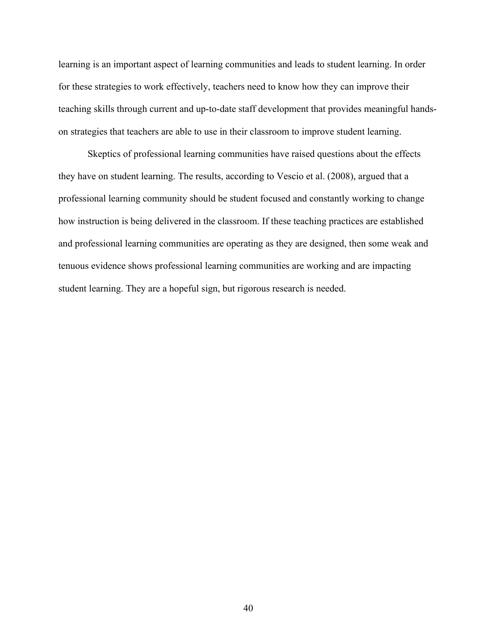learning is an important aspect of learning communities and leads to student learning. In order for these strategies to work effectively, teachers need to know how they can improve their teaching skills through current and up-to-date staff development that provides meaningful handson strategies that teachers are able to use in their classroom to improve student learning.

Skeptics of professional learning communities have raised questions about the effects they have on student learning. The results, according to Vescio et al. (2008), argued that a professional learning community should be student focused and constantly working to change how instruction is being delivered in the classroom. If these teaching practices are established and professional learning communities are operating as they are designed, then some weak and tenuous evidence shows professional learning communities are working and are impacting student learning. They are a hopeful sign, but rigorous research is needed.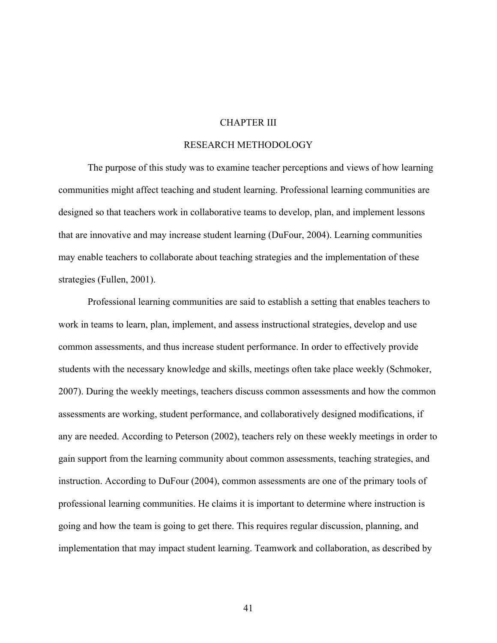## CHAPTER III

# RESEARCH METHODOLOGY

The purpose of this study was to examine teacher perceptions and views of how learning communities might affect teaching and student learning. Professional learning communities are designed so that teachers work in collaborative teams to develop, plan, and implement lessons that are innovative and may increase student learning (DuFour, 2004). Learning communities may enable teachers to collaborate about teaching strategies and the implementation of these strategies (Fullen, 2001).

Professional learning communities are said to establish a setting that enables teachers to work in teams to learn, plan, implement, and assess instructional strategies, develop and use common assessments, and thus increase student performance. In order to effectively provide students with the necessary knowledge and skills, meetings often take place weekly (Schmoker, 2007). During the weekly meetings, teachers discuss common assessments and how the common assessments are working, student performance, and collaboratively designed modifications, if any are needed. According to Peterson (2002), teachers rely on these weekly meetings in order to gain support from the learning community about common assessments, teaching strategies, and instruction. According to DuFour (2004), common assessments are one of the primary tools of professional learning communities. He claims it is important to determine where instruction is going and how the team is going to get there. This requires regular discussion, planning, and implementation that may impact student learning. Teamwork and collaboration, as described by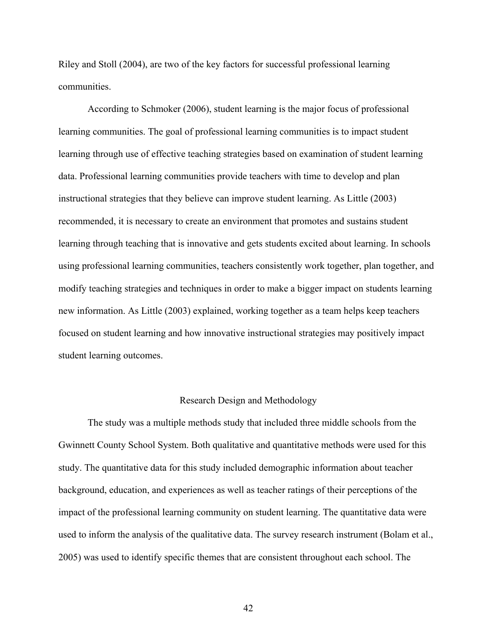Riley and Stoll (2004), are two of the key factors for successful professional learning communities.

According to Schmoker (2006), student learning is the major focus of professional learning communities. The goal of professional learning communities is to impact student learning through use of effective teaching strategies based on examination of student learning data. Professional learning communities provide teachers with time to develop and plan instructional strategies that they believe can improve student learning. As Little (2003) recommended, it is necessary to create an environment that promotes and sustains student learning through teaching that is innovative and gets students excited about learning. In schools using professional learning communities, teachers consistently work together, plan together, and modify teaching strategies and techniques in order to make a bigger impact on students learning new information. As Little (2003) explained, working together as a team helps keep teachers focused on student learning and how innovative instructional strategies may positively impact student learning outcomes.

#### Research Design and Methodology

The study was a multiple methods study that included three middle schools from the Gwinnett County School System. Both qualitative and quantitative methods were used for this study. The quantitative data for this study included demographic information about teacher background, education, and experiences as well as teacher ratings of their perceptions of the impact of the professional learning community on student learning. The quantitative data were used to inform the analysis of the qualitative data. The survey research instrument (Bolam et al., 2005) was used to identify specific themes that are consistent throughout each school. The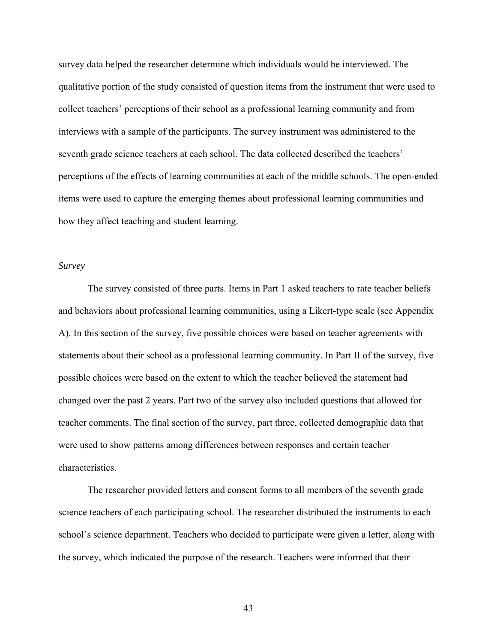survey data helped the researcher determine which individuals would be interviewed. The qualitative portion of the study consisted of question items from the instrument that were used to collect teachers' perceptions of their school as a professional learning community and from interviews with a sample of the participants. The survey instrument was administered to the seventh grade science teachers at each school. The data collected described the teachers' perceptions of the effects of learning communities at each of the middle schools. The open-ended items were used to capture the emerging themes about professional learning communities and how they affect teaching and student learning.

#### *Survey*

The survey consisted of three parts. Items in Part 1 asked teachers to rate teacher beliefs and behaviors about professional learning communities, using a Likert-type scale (see Appendix A). In this section of the survey, five possible choices were based on teacher agreements with statements about their school as a professional learning community. In Part II of the survey, five possible choices were based on the extent to which the teacher believed the statement had changed over the past 2 years. Part two of the survey also included questions that allowed for teacher comments. The final section of the survey, part three, collected demographic data that were used to show patterns among differences between responses and certain teacher characteristics.

The researcher provided letters and consent forms to all members of the seventh grade science teachers of each participating school. The researcher distributed the instruments to each school's science department. Teachers who decided to participate were given a letter, along with the survey, which indicated the purpose of the research. Teachers were informed that their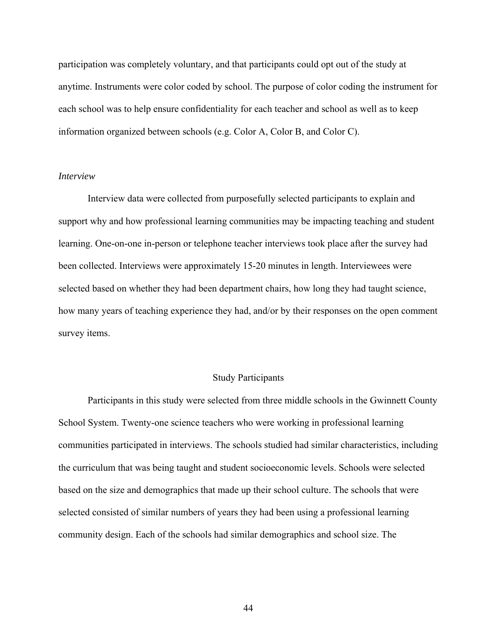participation was completely voluntary, and that participants could opt out of the study at anytime. Instruments were color coded by school. The purpose of color coding the instrument for each school was to help ensure confidentiality for each teacher and school as well as to keep information organized between schools (e.g. Color A, Color B, and Color C).

#### *Interview*

Interview data were collected from purposefully selected participants to explain and support why and how professional learning communities may be impacting teaching and student learning. One-on-one in-person or telephone teacher interviews took place after the survey had been collected. Interviews were approximately 15-20 minutes in length. Interviewees were selected based on whether they had been department chairs, how long they had taught science, how many years of teaching experience they had, and/or by their responses on the open comment survey items.

#### Study Participants

Participants in this study were selected from three middle schools in the Gwinnett County School System. Twenty-one science teachers who were working in professional learning communities participated in interviews. The schools studied had similar characteristics, including the curriculum that was being taught and student socioeconomic levels. Schools were selected based on the size and demographics that made up their school culture. The schools that were selected consisted of similar numbers of years they had been using a professional learning community design. Each of the schools had similar demographics and school size. The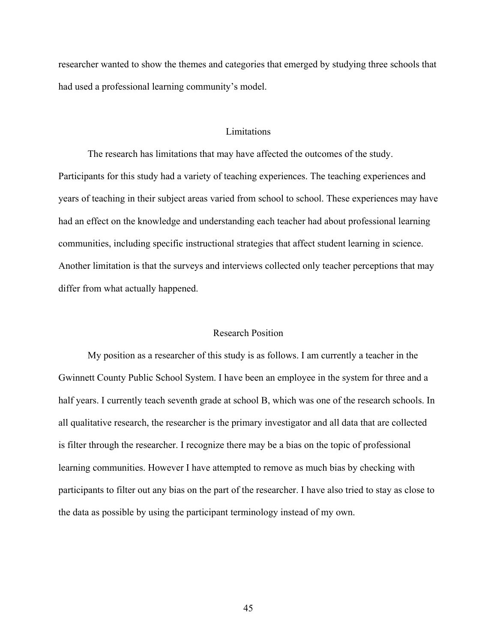researcher wanted to show the themes and categories that emerged by studying three schools that had used a professional learning community's model.

# **Limitations**

The research has limitations that may have affected the outcomes of the study. Participants for this study had a variety of teaching experiences. The teaching experiences and years of teaching in their subject areas varied from school to school. These experiences may have had an effect on the knowledge and understanding each teacher had about professional learning communities, including specific instructional strategies that affect student learning in science. Another limitation is that the surveys and interviews collected only teacher perceptions that may differ from what actually happened.

#### Research Position

 My position as a researcher of this study is as follows. I am currently a teacher in the Gwinnett County Public School System. I have been an employee in the system for three and a half years. I currently teach seventh grade at school B, which was one of the research schools. In all qualitative research, the researcher is the primary investigator and all data that are collected is filter through the researcher. I recognize there may be a bias on the topic of professional learning communities. However I have attempted to remove as much bias by checking with participants to filter out any bias on the part of the researcher. I have also tried to stay as close to the data as possible by using the participant terminology instead of my own.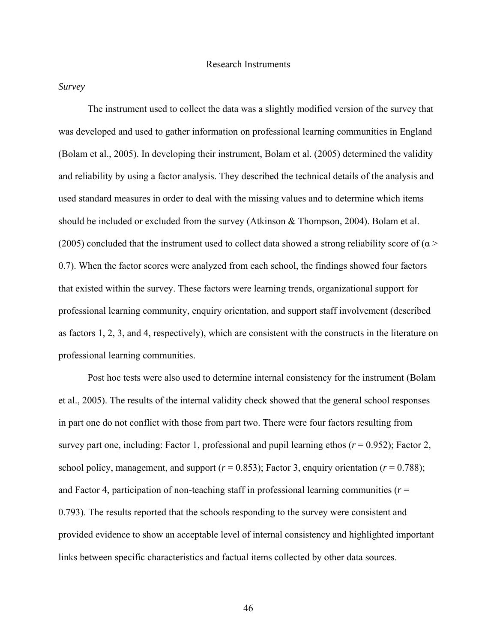### *Survey*

 The instrument used to collect the data was a slightly modified version of the survey that was developed and used to gather information on professional learning communities in England (Bolam et al., 2005). In developing their instrument, Bolam et al. (2005) determined the validity and reliability by using a factor analysis. They described the technical details of the analysis and used standard measures in order to deal with the missing values and to determine which items should be included or excluded from the survey (Atkinson & Thompson, 2004). Bolam et al. (2005) concluded that the instrument used to collect data showed a strong reliability score of ( $\alpha$  > 0.7). When the factor scores were analyzed from each school, the findings showed four factors that existed within the survey. These factors were learning trends, organizational support for professional learning community, enquiry orientation, and support staff involvement (described as factors 1, 2, 3, and 4, respectively), which are consistent with the constructs in the literature on professional learning communities.

 Post hoc tests were also used to determine internal consistency for the instrument (Bolam et al., 2005). The results of the internal validity check showed that the general school responses in part one do not conflict with those from part two. There were four factors resulting from survey part one, including: Factor 1, professional and pupil learning ethos  $(r = 0.952)$ ; Factor 2, school policy, management, and support ( $r = 0.853$ ); Factor 3, enquiry orientation ( $r = 0.788$ ); and Factor 4, participation of non-teaching staff in professional learning communities (*r* = 0.793). The results reported that the schools responding to the survey were consistent and provided evidence to show an acceptable level of internal consistency and highlighted important links between specific characteristics and factual items collected by other data sources.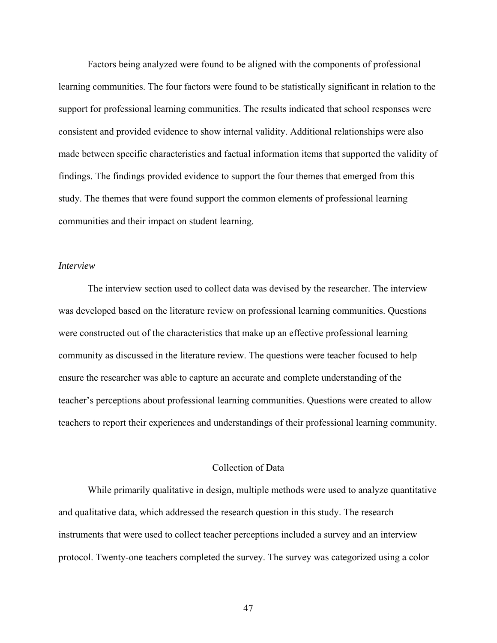Factors being analyzed were found to be aligned with the components of professional learning communities. The four factors were found to be statistically significant in relation to the support for professional learning communities. The results indicated that school responses were consistent and provided evidence to show internal validity. Additional relationships were also made between specific characteristics and factual information items that supported the validity of findings. The findings provided evidence to support the four themes that emerged from this study. The themes that were found support the common elements of professional learning communities and their impact on student learning.

## *Interview*

 The interview section used to collect data was devised by the researcher. The interview was developed based on the literature review on professional learning communities. Questions were constructed out of the characteristics that make up an effective professional learning community as discussed in the literature review. The questions were teacher focused to help ensure the researcher was able to capture an accurate and complete understanding of the teacher's perceptions about professional learning communities. Questions were created to allow teachers to report their experiences and understandings of their professional learning community.

## Collection of Data

 While primarily qualitative in design, multiple methods were used to analyze quantitative and qualitative data, which addressed the research question in this study. The research instruments that were used to collect teacher perceptions included a survey and an interview protocol. Twenty-one teachers completed the survey. The survey was categorized using a color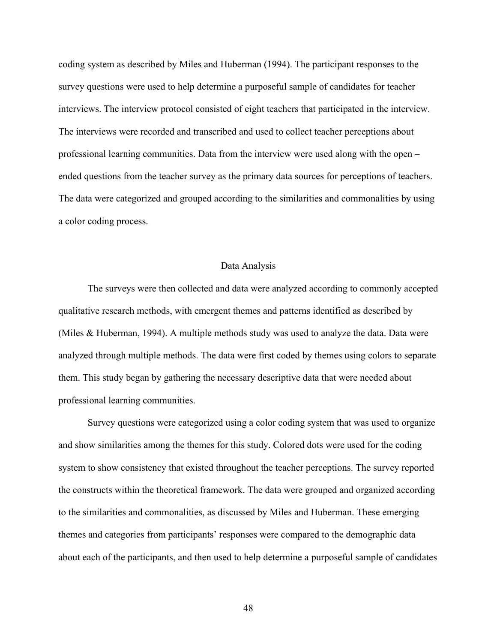coding system as described by Miles and Huberman (1994). The participant responses to the survey questions were used to help determine a purposeful sample of candidates for teacher interviews. The interview protocol consisted of eight teachers that participated in the interview. The interviews were recorded and transcribed and used to collect teacher perceptions about professional learning communities. Data from the interview were used along with the open – ended questions from the teacher survey as the primary data sources for perceptions of teachers. The data were categorized and grouped according to the similarities and commonalities by using a color coding process.

#### Data Analysis

The surveys were then collected and data were analyzed according to commonly accepted qualitative research methods, with emergent themes and patterns identified as described by (Miles & Huberman, 1994). A multiple methods study was used to analyze the data. Data were analyzed through multiple methods. The data were first coded by themes using colors to separate them. This study began by gathering the necessary descriptive data that were needed about professional learning communities.

Survey questions were categorized using a color coding system that was used to organize and show similarities among the themes for this study. Colored dots were used for the coding system to show consistency that existed throughout the teacher perceptions. The survey reported the constructs within the theoretical framework. The data were grouped and organized according to the similarities and commonalities, as discussed by Miles and Huberman. These emerging themes and categories from participants' responses were compared to the demographic data about each of the participants, and then used to help determine a purposeful sample of candidates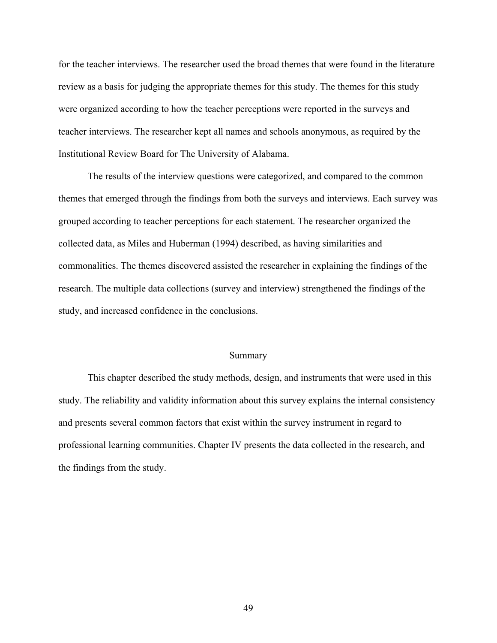for the teacher interviews. The researcher used the broad themes that were found in the literature review as a basis for judging the appropriate themes for this study. The themes for this study were organized according to how the teacher perceptions were reported in the surveys and teacher interviews. The researcher kept all names and schools anonymous, as required by the Institutional Review Board for The University of Alabama.

 The results of the interview questions were categorized, and compared to the common themes that emerged through the findings from both the surveys and interviews. Each survey was grouped according to teacher perceptions for each statement. The researcher organized the collected data, as Miles and Huberman (1994) described, as having similarities and commonalities. The themes discovered assisted the researcher in explaining the findings of the research. The multiple data collections (survey and interview) strengthened the findings of the study, and increased confidence in the conclusions.

#### Summary

 This chapter described the study methods, design, and instruments that were used in this study. The reliability and validity information about this survey explains the internal consistency and presents several common factors that exist within the survey instrument in regard to professional learning communities. Chapter IV presents the data collected in the research, and the findings from the study.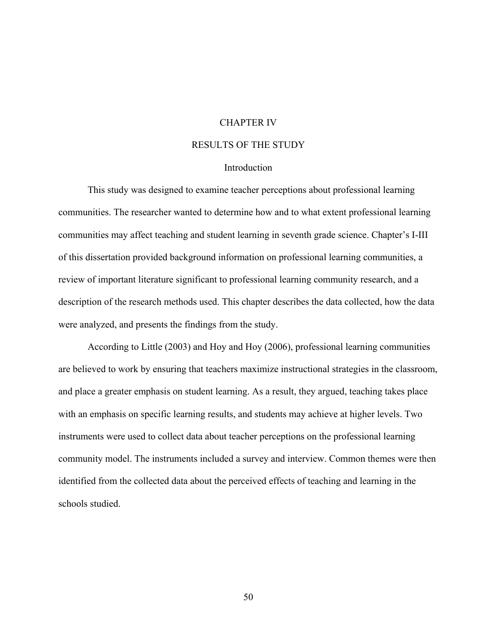# CHAPTER IV

# RESULTS OF THE STUDY

#### Introduction

 This study was designed to examine teacher perceptions about professional learning communities. The researcher wanted to determine how and to what extent professional learning communities may affect teaching and student learning in seventh grade science. Chapter's I-III of this dissertation provided background information on professional learning communities, a review of important literature significant to professional learning community research, and a description of the research methods used. This chapter describes the data collected, how the data were analyzed, and presents the findings from the study.

According to Little (2003) and Hoy and Hoy (2006), professional learning communities are believed to work by ensuring that teachers maximize instructional strategies in the classroom, and place a greater emphasis on student learning. As a result, they argued, teaching takes place with an emphasis on specific learning results, and students may achieve at higher levels. Two instruments were used to collect data about teacher perceptions on the professional learning community model. The instruments included a survey and interview. Common themes were then identified from the collected data about the perceived effects of teaching and learning in the schools studied.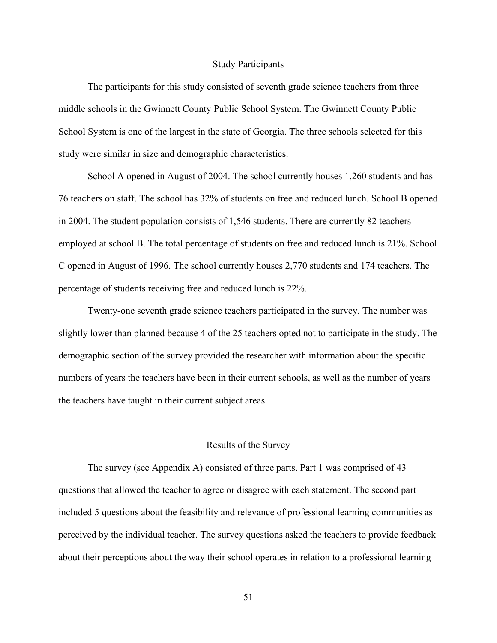#### Study Participants

 The participants for this study consisted of seventh grade science teachers from three middle schools in the Gwinnett County Public School System. The Gwinnett County Public School System is one of the largest in the state of Georgia. The three schools selected for this study were similar in size and demographic characteristics.

 School A opened in August of 2004. The school currently houses 1,260 students and has 76 teachers on staff. The school has 32% of students on free and reduced lunch. School B opened in 2004. The student population consists of 1,546 students. There are currently 82 teachers employed at school B. The total percentage of students on free and reduced lunch is 21%. School C opened in August of 1996. The school currently houses 2,770 students and 174 teachers. The percentage of students receiving free and reduced lunch is 22%.

Twenty-one seventh grade science teachers participated in the survey. The number was slightly lower than planned because 4 of the 25 teachers opted not to participate in the study. The demographic section of the survey provided the researcher with information about the specific numbers of years the teachers have been in their current schools, as well as the number of years the teachers have taught in their current subject areas.

#### Results of the Survey

The survey (see Appendix A) consisted of three parts. Part 1 was comprised of 43 questions that allowed the teacher to agree or disagree with each statement. The second part included 5 questions about the feasibility and relevance of professional learning communities as perceived by the individual teacher. The survey questions asked the teachers to provide feedback about their perceptions about the way their school operates in relation to a professional learning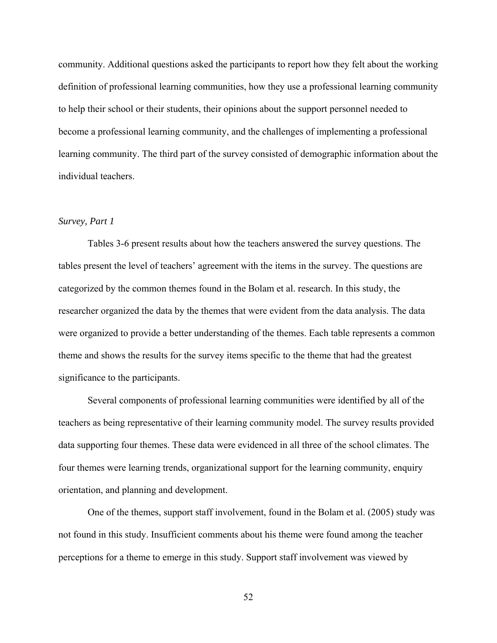community. Additional questions asked the participants to report how they felt about the working definition of professional learning communities, how they use a professional learning community to help their school or their students, their opinions about the support personnel needed to become a professional learning community, and the challenges of implementing a professional learning community. The third part of the survey consisted of demographic information about the individual teachers.

# *Survey, Part 1*

Tables 3-6 present results about how the teachers answered the survey questions. The tables present the level of teachers' agreement with the items in the survey. The questions are categorized by the common themes found in the Bolam et al. research. In this study, the researcher organized the data by the themes that were evident from the data analysis. The data were organized to provide a better understanding of the themes. Each table represents a common theme and shows the results for the survey items specific to the theme that had the greatest significance to the participants.

Several components of professional learning communities were identified by all of the teachers as being representative of their learning community model. The survey results provided data supporting four themes. These data were evidenced in all three of the school climates. The four themes were learning trends, organizational support for the learning community, enquiry orientation, and planning and development.

One of the themes, support staff involvement, found in the Bolam et al. (2005) study was not found in this study. Insufficient comments about his theme were found among the teacher perceptions for a theme to emerge in this study. Support staff involvement was viewed by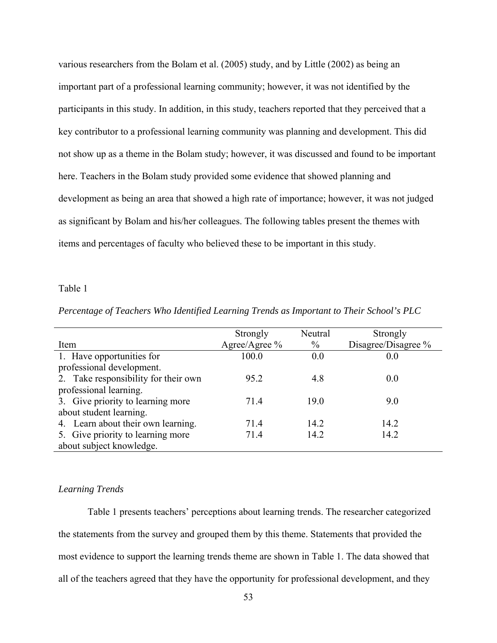various researchers from the Bolam et al. (2005) study, and by Little (2002) as being an important part of a professional learning community; however, it was not identified by the participants in this study. In addition, in this study, teachers reported that they perceived that a key contributor to a professional learning community was planning and development. This did not show up as a theme in the Bolam study; however, it was discussed and found to be important here. Teachers in the Bolam study provided some evidence that showed planning and development as being an area that showed a high rate of importance; however, it was not judged as significant by Bolam and his/her colleagues. The following tables present the themes with items and percentages of faculty who believed these to be important in this study.

#### Table 1

| Percentage of Teachers Who Identified Learning Trends as Important to Their School's PLC |  |  |  |  |  |
|------------------------------------------------------------------------------------------|--|--|--|--|--|
|------------------------------------------------------------------------------------------|--|--|--|--|--|

|                                      | Strongly      | Neutral       | Strongly            |
|--------------------------------------|---------------|---------------|---------------------|
| Item                                 | Agree/Agree % | $\frac{0}{0}$ | Disagree/Disagree % |
| 1. Have opportunities for            | 100.0         | 0.0           | 0.0                 |
| professional development.            |               |               |                     |
| 2. Take responsibility for their own | 95.2          | 4.8           | 0.0                 |
| professional learning.               |               |               |                     |
| 3. Give priority to learning more    | 71.4          | 19.0          | 9.0                 |
| about student learning.              |               |               |                     |
| 4. Learn about their own learning.   | 71.4          | 14.2          | 14.2                |
| 5. Give priority to learning more    | 71.4          | 14.2          | 14.2                |
| about subject knowledge.             |               |               |                     |

#### *Learning Trends*

 Table 1 presents teachers' perceptions about learning trends. The researcher categorized the statements from the survey and grouped them by this theme. Statements that provided the most evidence to support the learning trends theme are shown in Table 1. The data showed that all of the teachers agreed that they have the opportunity for professional development, and they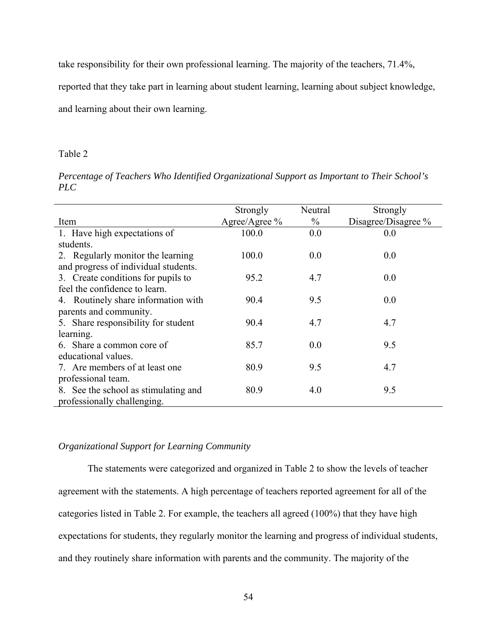take responsibility for their own professional learning. The majority of the teachers, 71.4%,

reported that they take part in learning about student learning, learning about subject knowledge,

and learning about their own learning.

#### Table 2

*Percentage of Teachers Who Identified Organizational Support as Important to Their School's PLC* 

|                                      | Strongly      | Neutral       | Strongly            |
|--------------------------------------|---------------|---------------|---------------------|
| Item                                 | Agree/Agree % | $\frac{0}{0}$ | Disagree/Disagree % |
| 1. Have high expectations of         | 100.0         | 0.0           | 0.0                 |
| students.                            |               |               |                     |
| 2. Regularly monitor the learning    | 100.0         | 0.0           | 0.0                 |
| and progress of individual students. |               |               |                     |
| 3. Create conditions for pupils to   | 95.2          | 4.7           | 0.0                 |
| feel the confidence to learn.        |               |               |                     |
| 4. Routinely share information with  | 90.4          | 9.5           | 0.0                 |
| parents and community.               |               |               |                     |
| 5. Share responsibility for student  | 90.4          | 4.7           | 4.7                 |
| learning.                            |               |               |                     |
| 6. Share a common core of            | 85.7          | 0.0           | 9.5                 |
| educational values.                  |               |               |                     |
| 7. Are members of at least one       | 80.9          | 9.5           | 4.7                 |
| professional team.                   |               |               |                     |
| 8. See the school as stimulating and | 80.9          | 4.0           | 9.5                 |
| professionally challenging.          |               |               |                     |

# *Organizational Support for Learning Community*

The statements were categorized and organized in Table 2 to show the levels of teacher agreement with the statements. A high percentage of teachers reported agreement for all of the categories listed in Table 2. For example, the teachers all agreed (100%) that they have high expectations for students, they regularly monitor the learning and progress of individual students, and they routinely share information with parents and the community. The majority of the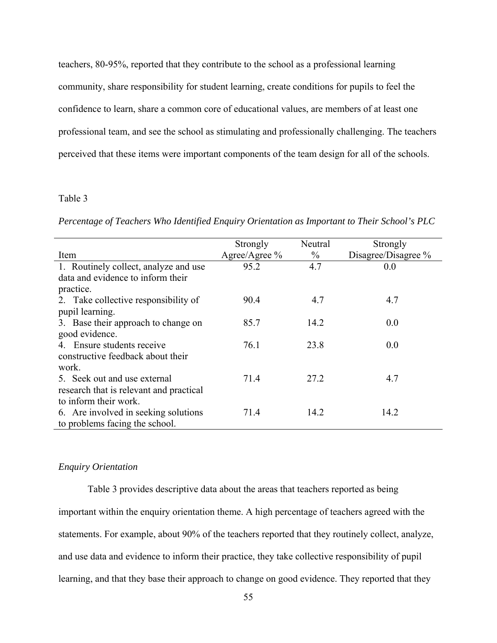teachers, 80-95%, reported that they contribute to the school as a professional learning community, share responsibility for student learning, create conditions for pupils to feel the confidence to learn, share a common core of educational values, are members of at least one professional team, and see the school as stimulating and professionally challenging. The teachers perceived that these items were important components of the team design for all of the schools.

## Table 3

*Percentage of Teachers Who Identified Enquiry Orientation as Important to Their School's PLC*

|                                         | Strongly      | Neutral       | Strongly            |
|-----------------------------------------|---------------|---------------|---------------------|
| Item                                    | Agree/Agree % | $\frac{0}{0}$ | Disagree/Disagree % |
| 1. Routinely collect, analyze and use   | 95.2          | 4.7           | 0.0                 |
| data and evidence to inform their       |               |               |                     |
| practice.                               |               |               |                     |
| 2. Take collective responsibility of    | 90.4          | 4.7           | 4.7                 |
| pupil learning.                         |               |               |                     |
| 3. Base their approach to change on     | 85.7          | 14.2          | 0.0                 |
| good evidence.                          |               |               |                     |
| 4. Ensure students receive              | 76.1          | 23.8          | 0.0                 |
| constructive feedback about their       |               |               |                     |
| work.                                   |               |               |                     |
| 5. Seek out and use external            | 71.4          | 27.2          | 4.7                 |
| research that is relevant and practical |               |               |                     |
| to inform their work.                   |               |               |                     |
| 6. Are involved in seeking solutions    | 71.4          | 14.2          | 14.2                |
| to problems facing the school.          |               |               |                     |

#### *Enquiry Orientation*

Table 3 provides descriptive data about the areas that teachers reported as being important within the enquiry orientation theme. A high percentage of teachers agreed with the statements. For example, about 90% of the teachers reported that they routinely collect, analyze, and use data and evidence to inform their practice, they take collective responsibility of pupil learning, and that they base their approach to change on good evidence. They reported that they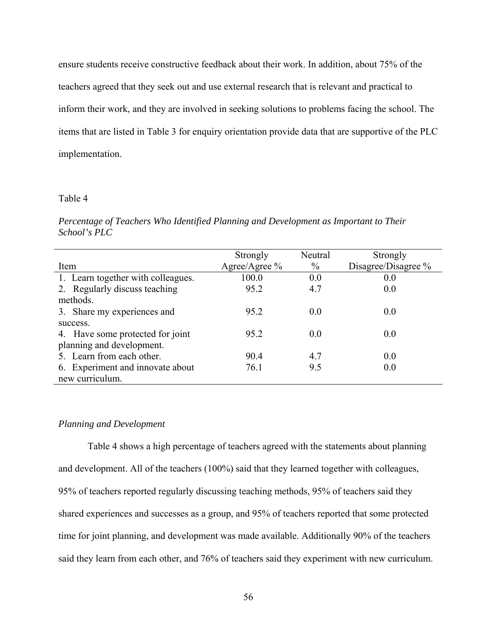ensure students receive constructive feedback about their work. In addition, about 75% of the teachers agreed that they seek out and use external research that is relevant and practical to inform their work, and they are involved in seeking solutions to problems facing the school. The items that are listed in Table 3 for enquiry orientation provide data that are supportive of the PLC implementation.

## Table 4

*Percentage of Teachers Who Identified Planning and Development as Important to Their School's PLC*

|                                    | Strongly      | Neutral       | Strongly            |
|------------------------------------|---------------|---------------|---------------------|
| Item                               | Agree/Agree % | $\frac{0}{0}$ | Disagree/Disagree % |
| 1. Learn together with colleagues. | 100.0         | 0.0           | 0.0                 |
| 2. Regularly discuss teaching      | 95.2          | 4.7           | 0.0                 |
| methods.                           |               |               |                     |
| 3. Share my experiences and        | 95.2          | 0.0           | 0.0                 |
| success.                           |               |               |                     |
| 4. Have some protected for joint   | 95.2          | 0.0           | 0.0                 |
| planning and development.          |               |               |                     |
| 5. Learn from each other.          | 90.4          | 4.7           | 0.0                 |
| 6. Experiment and innovate about   | 76.1          | 9.5           | 0.0                 |
| new curriculum.                    |               |               |                     |

#### *Planning and Development*

Table 4 shows a high percentage of teachers agreed with the statements about planning and development. All of the teachers (100%) said that they learned together with colleagues, 95% of teachers reported regularly discussing teaching methods, 95% of teachers said they shared experiences and successes as a group, and 95% of teachers reported that some protected time for joint planning, and development was made available. Additionally 90% of the teachers said they learn from each other, and 76% of teachers said they experiment with new curriculum.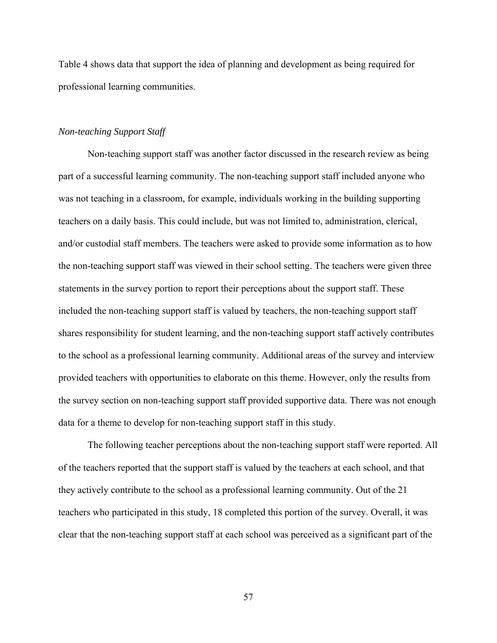Table 4 shows data that support the idea of planning and development as being required for professional learning communities.

## *Non-teaching Support Staff*

Non-teaching support staff was another factor discussed in the research review as being part of a successful learning community. The non-teaching support staff included anyone who was not teaching in a classroom, for example, individuals working in the building supporting teachers on a daily basis. This could include, but was not limited to, administration, clerical, and/or custodial staff members. The teachers were asked to provide some information as to how the non-teaching support staff was viewed in their school setting. The teachers were given three statements in the survey portion to report their perceptions about the support staff. These included the non-teaching support staff is valued by teachers, the non-teaching support staff shares responsibility for student learning, and the non-teaching support staff actively contributes to the school as a professional learning community. Additional areas of the survey and interview provided teachers with opportunities to elaborate on this theme. However, only the results from the survey section on non-teaching support staff provided supportive data. There was not enough data for a theme to develop for non-teaching support staff in this study.

The following teacher perceptions about the non-teaching support staff were reported. All of the teachers reported that the support staff is valued by the teachers at each school, and that they actively contribute to the school as a professional learning community. Out of the 21 teachers who participated in this study, 18 completed this portion of the survey. Overall, it was clear that the non-teaching support staff at each school was perceived as a significant part of the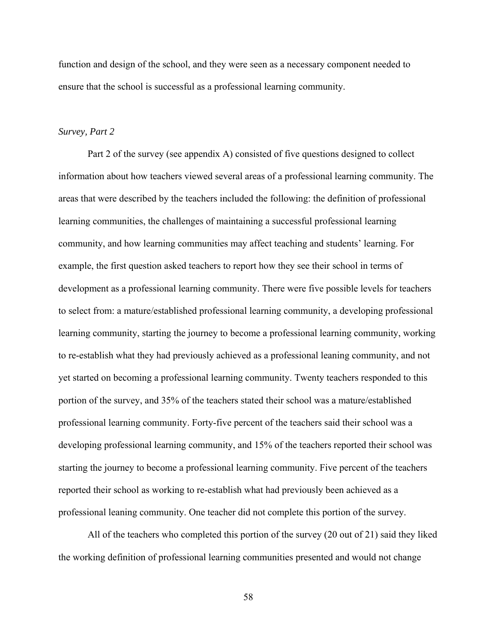function and design of the school, and they were seen as a necessary component needed to ensure that the school is successful as a professional learning community.

## *Survey, Part 2*

Part 2 of the survey (see appendix A) consisted of five questions designed to collect information about how teachers viewed several areas of a professional learning community. The areas that were described by the teachers included the following: the definition of professional learning communities, the challenges of maintaining a successful professional learning community, and how learning communities may affect teaching and students' learning. For example, the first question asked teachers to report how they see their school in terms of development as a professional learning community. There were five possible levels for teachers to select from: a mature/established professional learning community, a developing professional learning community, starting the journey to become a professional learning community, working to re-establish what they had previously achieved as a professional leaning community, and not yet started on becoming a professional learning community. Twenty teachers responded to this portion of the survey, and 35% of the teachers stated their school was a mature/established professional learning community. Forty-five percent of the teachers said their school was a developing professional learning community, and 15% of the teachers reported their school was starting the journey to become a professional learning community. Five percent of the teachers reported their school as working to re-establish what had previously been achieved as a professional leaning community. One teacher did not complete this portion of the survey.

 All of the teachers who completed this portion of the survey (20 out of 21) said they liked the working definition of professional learning communities presented and would not change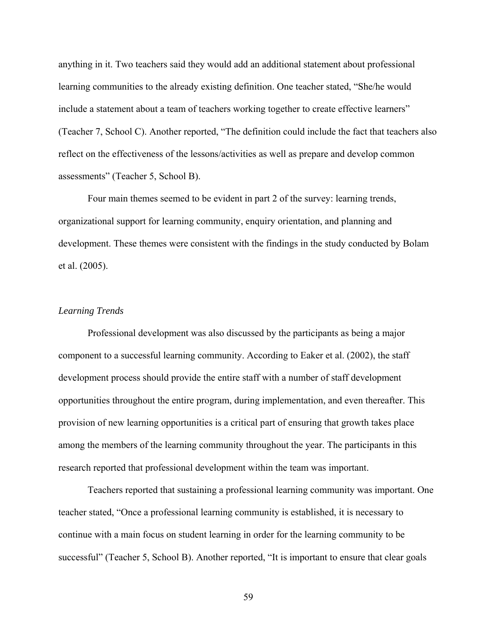anything in it. Two teachers said they would add an additional statement about professional learning communities to the already existing definition. One teacher stated, "She/he would include a statement about a team of teachers working together to create effective learners" (Teacher 7, School C). Another reported, "The definition could include the fact that teachers also reflect on the effectiveness of the lessons/activities as well as prepare and develop common assessments" (Teacher 5, School B).

Four main themes seemed to be evident in part 2 of the survey: learning trends, organizational support for learning community, enquiry orientation, and planning and development. These themes were consistent with the findings in the study conducted by Bolam et al. (2005).

# *Learning Trends*

Professional development was also discussed by the participants as being a major component to a successful learning community. According to Eaker et al. (2002), the staff development process should provide the entire staff with a number of staff development opportunities throughout the entire program, during implementation, and even thereafter. This provision of new learning opportunities is a critical part of ensuring that growth takes place among the members of the learning community throughout the year. The participants in this research reported that professional development within the team was important.

Teachers reported that sustaining a professional learning community was important. One teacher stated, "Once a professional learning community is established, it is necessary to continue with a main focus on student learning in order for the learning community to be successful" (Teacher 5, School B). Another reported, "It is important to ensure that clear goals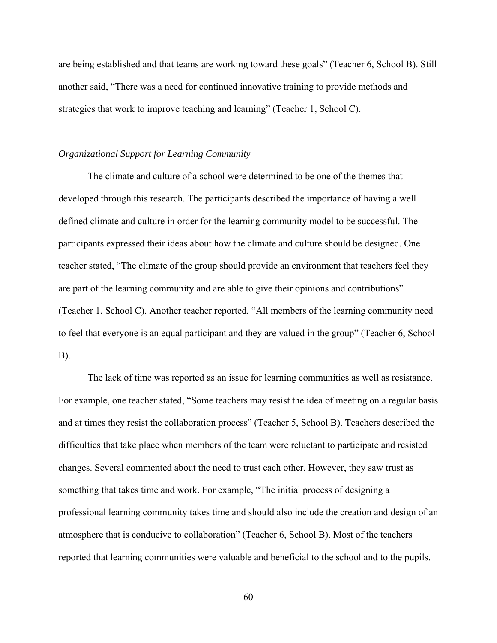are being established and that teams are working toward these goals" (Teacher 6, School B). Still another said, "There was a need for continued innovative training to provide methods and strategies that work to improve teaching and learning" (Teacher 1, School C).

## *Organizational Support for Learning Community*

The climate and culture of a school were determined to be one of the themes that developed through this research. The participants described the importance of having a well defined climate and culture in order for the learning community model to be successful. The participants expressed their ideas about how the climate and culture should be designed. One teacher stated, "The climate of the group should provide an environment that teachers feel they are part of the learning community and are able to give their opinions and contributions" (Teacher 1, School C). Another teacher reported, "All members of the learning community need to feel that everyone is an equal participant and they are valued in the group" (Teacher 6, School B).

The lack of time was reported as an issue for learning communities as well as resistance. For example, one teacher stated, "Some teachers may resist the idea of meeting on a regular basis and at times they resist the collaboration process" (Teacher 5, School B). Teachers described the difficulties that take place when members of the team were reluctant to participate and resisted changes. Several commented about the need to trust each other. However, they saw trust as something that takes time and work. For example, "The initial process of designing a professional learning community takes time and should also include the creation and design of an atmosphere that is conducive to collaboration" (Teacher 6, School B). Most of the teachers reported that learning communities were valuable and beneficial to the school and to the pupils.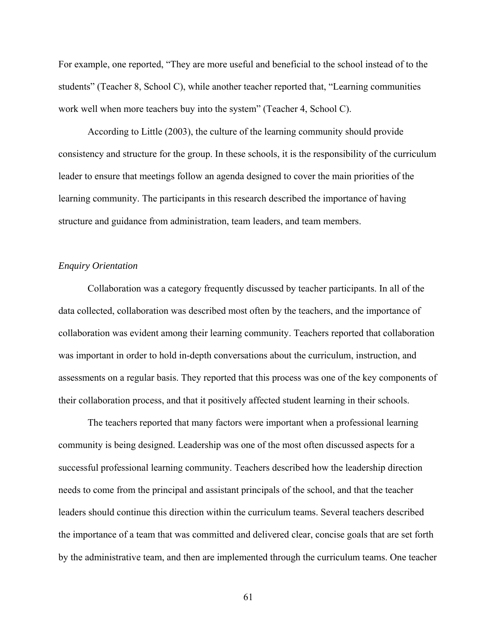For example, one reported, "They are more useful and beneficial to the school instead of to the students" (Teacher 8, School C), while another teacher reported that, "Learning communities work well when more teachers buy into the system" (Teacher 4, School C).

 According to Little (2003), the culture of the learning community should provide consistency and structure for the group. In these schools, it is the responsibility of the curriculum leader to ensure that meetings follow an agenda designed to cover the main priorities of the learning community. The participants in this research described the importance of having structure and guidance from administration, team leaders, and team members.

#### *Enquiry Orientation*

Collaboration was a category frequently discussed by teacher participants. In all of the data collected, collaboration was described most often by the teachers, and the importance of collaboration was evident among their learning community. Teachers reported that collaboration was important in order to hold in-depth conversations about the curriculum, instruction, and assessments on a regular basis. They reported that this process was one of the key components of their collaboration process, and that it positively affected student learning in their schools.

The teachers reported that many factors were important when a professional learning community is being designed. Leadership was one of the most often discussed aspects for a successful professional learning community. Teachers described how the leadership direction needs to come from the principal and assistant principals of the school, and that the teacher leaders should continue this direction within the curriculum teams. Several teachers described the importance of a team that was committed and delivered clear, concise goals that are set forth by the administrative team, and then are implemented through the curriculum teams. One teacher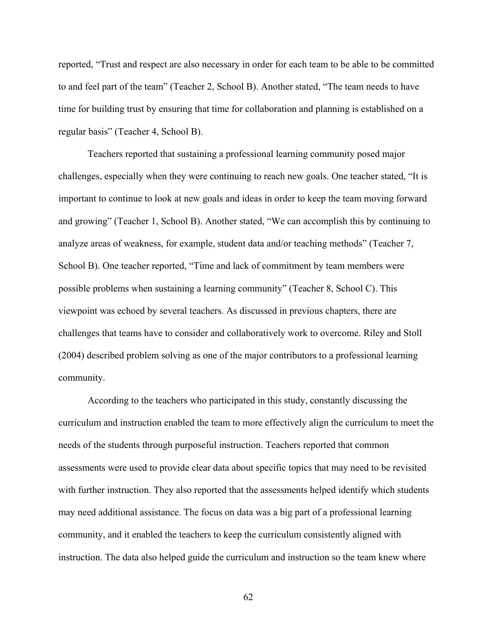reported, "Trust and respect are also necessary in order for each team to be able to be committed to and feel part of the team" (Teacher 2, School B). Another stated, "The team needs to have time for building trust by ensuring that time for collaboration and planning is established on a regular basis" (Teacher 4, School B).

Teachers reported that sustaining a professional learning community posed major challenges, especially when they were continuing to reach new goals. One teacher stated, "It is important to continue to look at new goals and ideas in order to keep the team moving forward and growing" (Teacher 1, School B). Another stated, "We can accomplish this by continuing to analyze areas of weakness, for example, student data and/or teaching methods" (Teacher 7, School B). One teacher reported, "Time and lack of commitment by team members were possible problems when sustaining a learning community" (Teacher 8, School C). This viewpoint was echoed by several teachers. As discussed in previous chapters, there are challenges that teams have to consider and collaboratively work to overcome. Riley and Stoll (2004) described problem solving as one of the major contributors to a professional learning community.

According to the teachers who participated in this study, constantly discussing the curriculum and instruction enabled the team to more effectively align the curriculum to meet the needs of the students through purposeful instruction. Teachers reported that common assessments were used to provide clear data about specific topics that may need to be revisited with further instruction. They also reported that the assessments helped identify which students may need additional assistance. The focus on data was a big part of a professional learning community, and it enabled the teachers to keep the curriculum consistently aligned with instruction. The data also helped guide the curriculum and instruction so the team knew where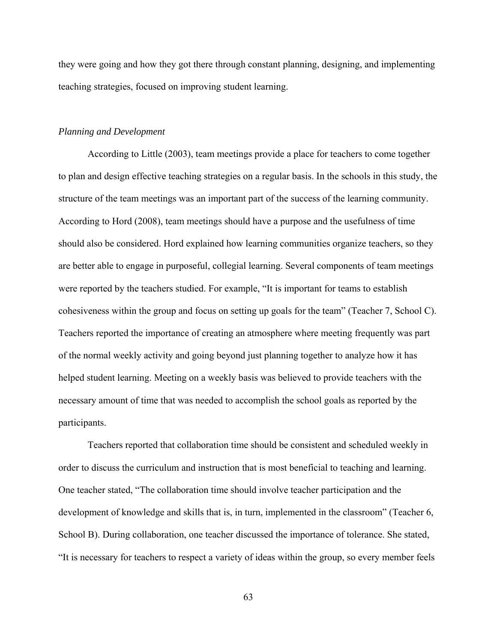they were going and how they got there through constant planning, designing, and implementing teaching strategies, focused on improving student learning.

#### *Planning and Development*

According to Little (2003), team meetings provide a place for teachers to come together to plan and design effective teaching strategies on a regular basis. In the schools in this study, the structure of the team meetings was an important part of the success of the learning community. According to Hord (2008), team meetings should have a purpose and the usefulness of time should also be considered. Hord explained how learning communities organize teachers, so they are better able to engage in purposeful, collegial learning. Several components of team meetings were reported by the teachers studied. For example, "It is important for teams to establish cohesiveness within the group and focus on setting up goals for the team" (Teacher 7, School C). Teachers reported the importance of creating an atmosphere where meeting frequently was part of the normal weekly activity and going beyond just planning together to analyze how it has helped student learning. Meeting on a weekly basis was believed to provide teachers with the necessary amount of time that was needed to accomplish the school goals as reported by the participants.

Teachers reported that collaboration time should be consistent and scheduled weekly in order to discuss the curriculum and instruction that is most beneficial to teaching and learning. One teacher stated, "The collaboration time should involve teacher participation and the development of knowledge and skills that is, in turn, implemented in the classroom" (Teacher 6, School B). During collaboration, one teacher discussed the importance of tolerance. She stated, "It is necessary for teachers to respect a variety of ideas within the group, so every member feels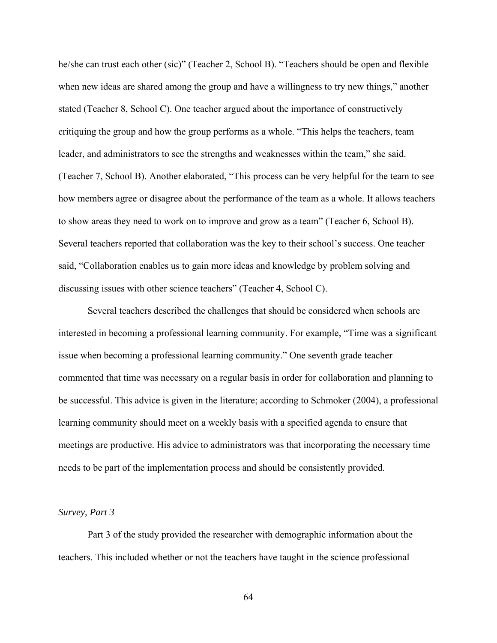he/she can trust each other (sic)" (Teacher 2, School B). "Teachers should be open and flexible when new ideas are shared among the group and have a willingness to try new things," another stated (Teacher 8, School C). One teacher argued about the importance of constructively critiquing the group and how the group performs as a whole. "This helps the teachers, team leader, and administrators to see the strengths and weaknesses within the team," she said. (Teacher 7, School B). Another elaborated, "This process can be very helpful for the team to see how members agree or disagree about the performance of the team as a whole. It allows teachers to show areas they need to work on to improve and grow as a team" (Teacher 6, School B). Several teachers reported that collaboration was the key to their school's success. One teacher said, "Collaboration enables us to gain more ideas and knowledge by problem solving and discussing issues with other science teachers" (Teacher 4, School C).

Several teachers described the challenges that should be considered when schools are interested in becoming a professional learning community. For example, "Time was a significant issue when becoming a professional learning community." One seventh grade teacher commented that time was necessary on a regular basis in order for collaboration and planning to be successful. This advice is given in the literature; according to Schmoker (2004), a professional learning community should meet on a weekly basis with a specified agenda to ensure that meetings are productive. His advice to administrators was that incorporating the necessary time needs to be part of the implementation process and should be consistently provided.

#### *Survey, Part 3*

Part 3 of the study provided the researcher with demographic information about the teachers. This included whether or not the teachers have taught in the science professional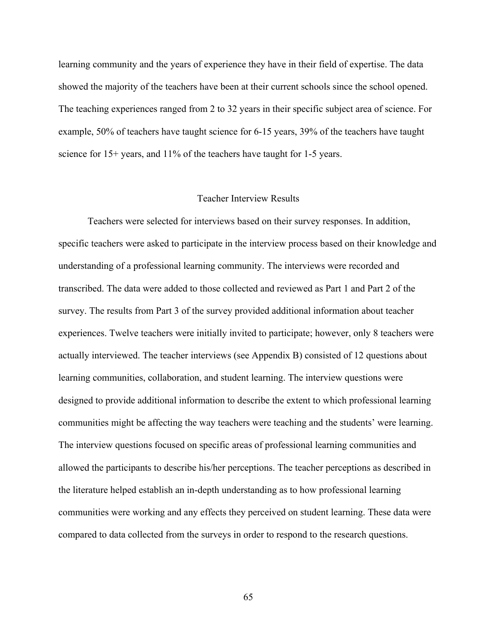learning community and the years of experience they have in their field of expertise. The data showed the majority of the teachers have been at their current schools since the school opened. The teaching experiences ranged from 2 to 32 years in their specific subject area of science. For example, 50% of teachers have taught science for 6-15 years, 39% of the teachers have taught science for 15+ years, and 11% of the teachers have taught for 1-5 years.

## Teacher Interview Results

Teachers were selected for interviews based on their survey responses. In addition, specific teachers were asked to participate in the interview process based on their knowledge and understanding of a professional learning community. The interviews were recorded and transcribed. The data were added to those collected and reviewed as Part 1 and Part 2 of the survey. The results from Part 3 of the survey provided additional information about teacher experiences. Twelve teachers were initially invited to participate; however, only 8 teachers were actually interviewed. The teacher interviews (see Appendix B) consisted of 12 questions about learning communities, collaboration, and student learning. The interview questions were designed to provide additional information to describe the extent to which professional learning communities might be affecting the way teachers were teaching and the students' were learning. The interview questions focused on specific areas of professional learning communities and allowed the participants to describe his/her perceptions. The teacher perceptions as described in the literature helped establish an in-depth understanding as to how professional learning communities were working and any effects they perceived on student learning. These data were compared to data collected from the surveys in order to respond to the research questions.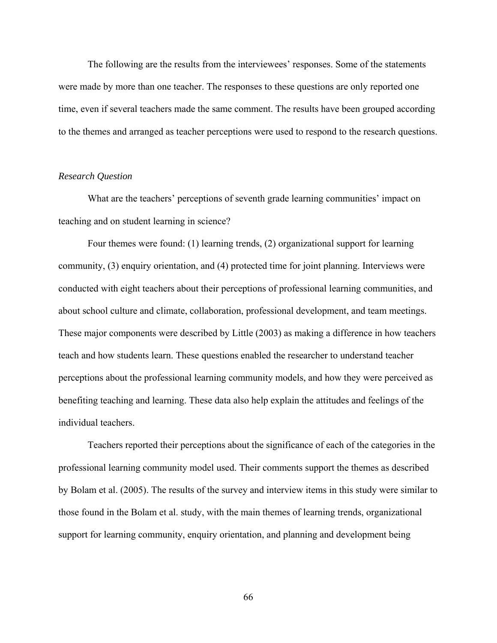The following are the results from the interviewees' responses. Some of the statements were made by more than one teacher. The responses to these questions are only reported one time, even if several teachers made the same comment. The results have been grouped according to the themes and arranged as teacher perceptions were used to respond to the research questions.

#### *Research Question*

 What are the teachers' perceptions of seventh grade learning communities' impact on teaching and on student learning in science?

Four themes were found: (1) learning trends, (2) organizational support for learning community, (3) enquiry orientation, and (4) protected time for joint planning. Interviews were conducted with eight teachers about their perceptions of professional learning communities, and about school culture and climate, collaboration, professional development, and team meetings. These major components were described by Little (2003) as making a difference in how teachers teach and how students learn. These questions enabled the researcher to understand teacher perceptions about the professional learning community models, and how they were perceived as benefiting teaching and learning. These data also help explain the attitudes and feelings of the individual teachers.

Teachers reported their perceptions about the significance of each of the categories in the professional learning community model used. Their comments support the themes as described by Bolam et al. (2005). The results of the survey and interview items in this study were similar to those found in the Bolam et al. study, with the main themes of learning trends, organizational support for learning community, enquiry orientation, and planning and development being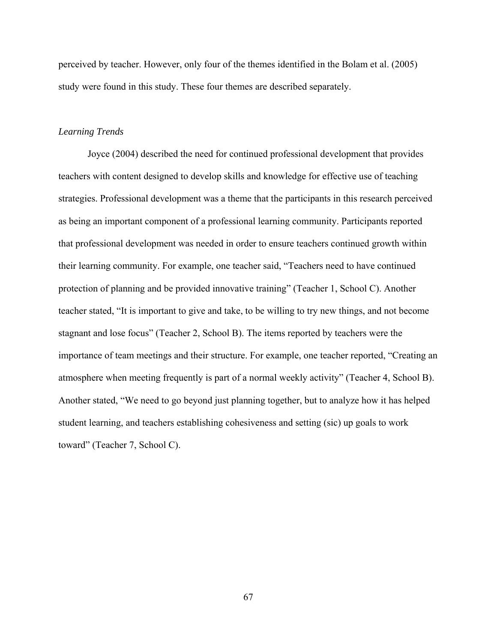perceived by teacher. However, only four of the themes identified in the Bolam et al. (2005) study were found in this study. These four themes are described separately.

## *Learning Trends*

Joyce (2004) described the need for continued professional development that provides teachers with content designed to develop skills and knowledge for effective use of teaching strategies. Professional development was a theme that the participants in this research perceived as being an important component of a professional learning community. Participants reported that professional development was needed in order to ensure teachers continued growth within their learning community. For example, one teacher said, "Teachers need to have continued protection of planning and be provided innovative training" (Teacher 1, School C). Another teacher stated, "It is important to give and take, to be willing to try new things, and not become stagnant and lose focus" (Teacher 2, School B). The items reported by teachers were the importance of team meetings and their structure. For example, one teacher reported, "Creating an atmosphere when meeting frequently is part of a normal weekly activity" (Teacher 4, School B). Another stated, "We need to go beyond just planning together, but to analyze how it has helped student learning, and teachers establishing cohesiveness and setting (sic) up goals to work toward" (Teacher 7, School C).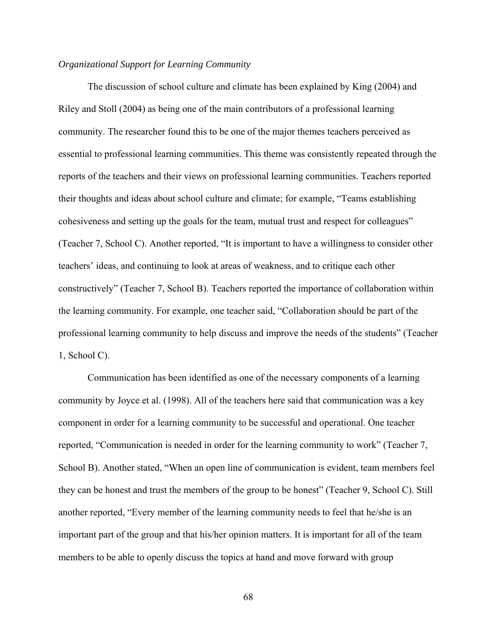## *Organizational Support for Learning Community*

The discussion of school culture and climate has been explained by King (2004) and Riley and Stoll (2004) as being one of the main contributors of a professional learning community. The researcher found this to be one of the major themes teachers perceived as essential to professional learning communities. This theme was consistently repeated through the reports of the teachers and their views on professional learning communities. Teachers reported their thoughts and ideas about school culture and climate; for example, "Teams establishing cohesiveness and setting up the goals for the team, mutual trust and respect for colleagues" (Teacher 7, School C). Another reported, "It is important to have a willingness to consider other teachers' ideas, and continuing to look at areas of weakness, and to critique each other constructively" (Teacher 7, School B). Teachers reported the importance of collaboration within the learning community. For example, one teacher said, "Collaboration should be part of the professional learning community to help discuss and improve the needs of the students" (Teacher 1, School C).

 Communication has been identified as one of the necessary components of a learning community by Joyce et al. (1998). All of the teachers here said that communication was a key component in order for a learning community to be successful and operational. One teacher reported, "Communication is needed in order for the learning community to work" (Teacher 7, School B). Another stated, "When an open line of communication is evident, team members feel they can be honest and trust the members of the group to be honest" (Teacher 9, School C). Still another reported, "Every member of the learning community needs to feel that he/she is an important part of the group and that his/her opinion matters. It is important for all of the team members to be able to openly discuss the topics at hand and move forward with group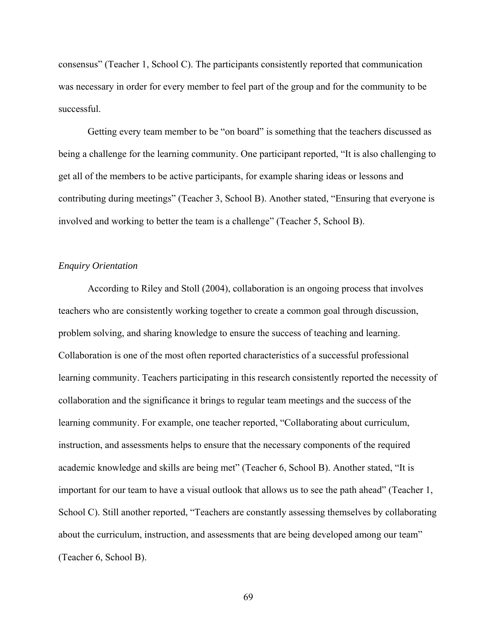consensus" (Teacher 1, School C). The participants consistently reported that communication was necessary in order for every member to feel part of the group and for the community to be successful.

Getting every team member to be "on board" is something that the teachers discussed as being a challenge for the learning community. One participant reported, "It is also challenging to get all of the members to be active participants, for example sharing ideas or lessons and contributing during meetings" (Teacher 3, School B). Another stated, "Ensuring that everyone is involved and working to better the team is a challenge" (Teacher 5, School B).

## *Enquiry Orientation*

According to Riley and Stoll (2004), collaboration is an ongoing process that involves teachers who are consistently working together to create a common goal through discussion, problem solving, and sharing knowledge to ensure the success of teaching and learning. Collaboration is one of the most often reported characteristics of a successful professional learning community. Teachers participating in this research consistently reported the necessity of collaboration and the significance it brings to regular team meetings and the success of the learning community. For example, one teacher reported, "Collaborating about curriculum, instruction, and assessments helps to ensure that the necessary components of the required academic knowledge and skills are being met" (Teacher 6, School B). Another stated, "It is important for our team to have a visual outlook that allows us to see the path ahead" (Teacher 1, School C). Still another reported, "Teachers are constantly assessing themselves by collaborating about the curriculum, instruction, and assessments that are being developed among our team" (Teacher 6, School B).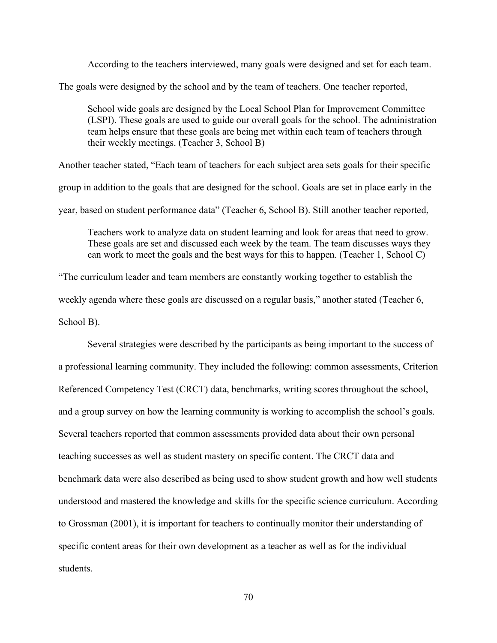According to the teachers interviewed, many goals were designed and set for each team.

The goals were designed by the school and by the team of teachers. One teacher reported,

School wide goals are designed by the Local School Plan for Improvement Committee (LSPI). These goals are used to guide our overall goals for the school. The administration team helps ensure that these goals are being met within each team of teachers through their weekly meetings. (Teacher 3, School B)

Another teacher stated, "Each team of teachers for each subject area sets goals for their specific group in addition to the goals that are designed for the school. Goals are set in place early in the year, based on student performance data" (Teacher 6, School B). Still another teacher reported,

Teachers work to analyze data on student learning and look for areas that need to grow. These goals are set and discussed each week by the team. The team discusses ways they can work to meet the goals and the best ways for this to happen. (Teacher 1, School C)

"The curriculum leader and team members are constantly working together to establish the weekly agenda where these goals are discussed on a regular basis," another stated (Teacher 6, School B).

Several strategies were described by the participants as being important to the success of a professional learning community. They included the following: common assessments, Criterion Referenced Competency Test (CRCT) data, benchmarks, writing scores throughout the school, and a group survey on how the learning community is working to accomplish the school's goals. Several teachers reported that common assessments provided data about their own personal teaching successes as well as student mastery on specific content. The CRCT data and benchmark data were also described as being used to show student growth and how well students understood and mastered the knowledge and skills for the specific science curriculum. According to Grossman (2001), it is important for teachers to continually monitor their understanding of specific content areas for their own development as a teacher as well as for the individual students.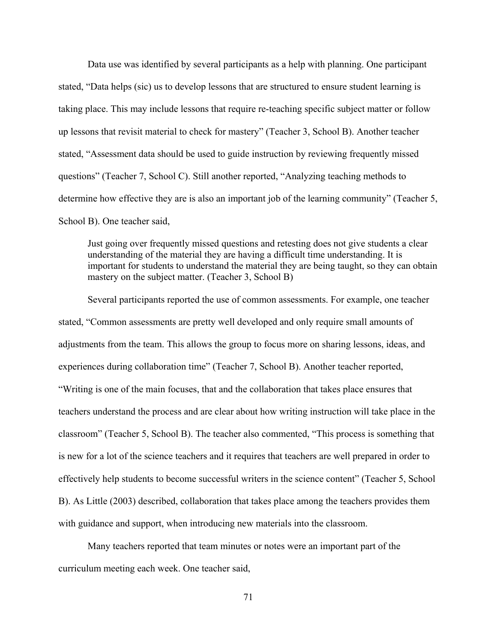Data use was identified by several participants as a help with planning. One participant stated, "Data helps (sic) us to develop lessons that are structured to ensure student learning is taking place. This may include lessons that require re-teaching specific subject matter or follow up lessons that revisit material to check for mastery" (Teacher 3, School B). Another teacher stated, "Assessment data should be used to guide instruction by reviewing frequently missed questions" (Teacher 7, School C). Still another reported, "Analyzing teaching methods to determine how effective they are is also an important job of the learning community" (Teacher 5, School B). One teacher said,

Just going over frequently missed questions and retesting does not give students a clear understanding of the material they are having a difficult time understanding. It is important for students to understand the material they are being taught, so they can obtain mastery on the subject matter. (Teacher 3, School B)

Several participants reported the use of common assessments. For example, one teacher stated, "Common assessments are pretty well developed and only require small amounts of adjustments from the team. This allows the group to focus more on sharing lessons, ideas, and experiences during collaboration time" (Teacher 7, School B). Another teacher reported, "Writing is one of the main focuses, that and the collaboration that takes place ensures that teachers understand the process and are clear about how writing instruction will take place in the classroom" (Teacher 5, School B). The teacher also commented, "This process is something that is new for a lot of the science teachers and it requires that teachers are well prepared in order to effectively help students to become successful writers in the science content" (Teacher 5, School B). As Little (2003) described, collaboration that takes place among the teachers provides them with guidance and support, when introducing new materials into the classroom.

Many teachers reported that team minutes or notes were an important part of the curriculum meeting each week. One teacher said,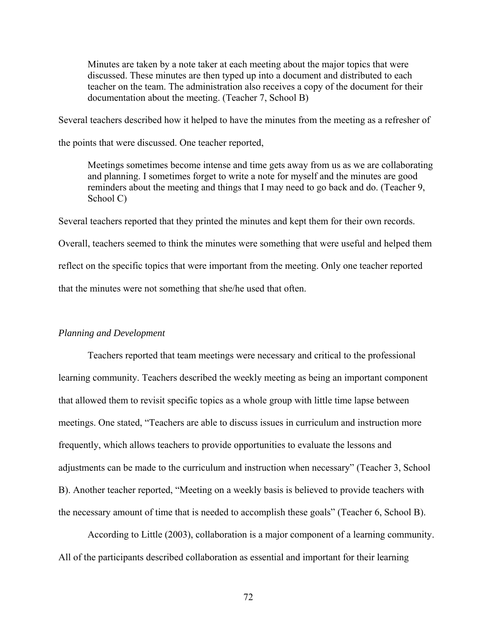Minutes are taken by a note taker at each meeting about the major topics that were discussed. These minutes are then typed up into a document and distributed to each teacher on the team. The administration also receives a copy of the document for their documentation about the meeting. (Teacher 7, School B)

Several teachers described how it helped to have the minutes from the meeting as a refresher of

the points that were discussed. One teacher reported,

Meetings sometimes become intense and time gets away from us as we are collaborating and planning. I sometimes forget to write a note for myself and the minutes are good reminders about the meeting and things that I may need to go back and do. (Teacher 9, School C)

Several teachers reported that they printed the minutes and kept them for their own records.

Overall, teachers seemed to think the minutes were something that were useful and helped them reflect on the specific topics that were important from the meeting. Only one teacher reported

that the minutes were not something that she/he used that often.

## *Planning and Development*

Teachers reported that team meetings were necessary and critical to the professional learning community. Teachers described the weekly meeting as being an important component that allowed them to revisit specific topics as a whole group with little time lapse between meetings. One stated, "Teachers are able to discuss issues in curriculum and instruction more frequently, which allows teachers to provide opportunities to evaluate the lessons and adjustments can be made to the curriculum and instruction when necessary" (Teacher 3, School B). Another teacher reported, "Meeting on a weekly basis is believed to provide teachers with the necessary amount of time that is needed to accomplish these goals" (Teacher 6, School B).

According to Little (2003), collaboration is a major component of a learning community. All of the participants described collaboration as essential and important for their learning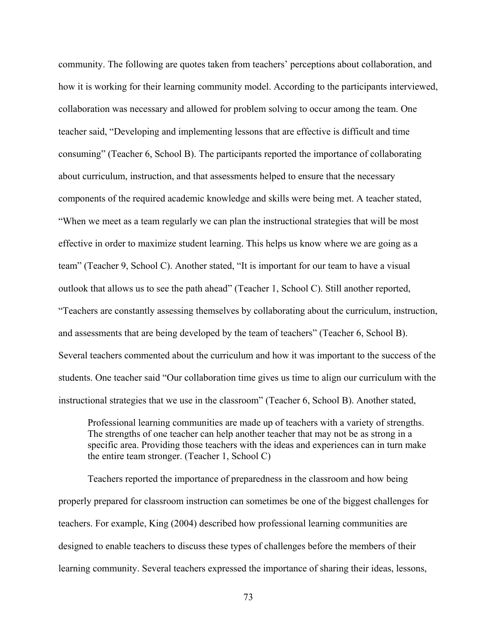community. The following are quotes taken from teachers' perceptions about collaboration, and how it is working for their learning community model. According to the participants interviewed, collaboration was necessary and allowed for problem solving to occur among the team. One teacher said, "Developing and implementing lessons that are effective is difficult and time consuming" (Teacher 6, School B). The participants reported the importance of collaborating about curriculum, instruction, and that assessments helped to ensure that the necessary components of the required academic knowledge and skills were being met. A teacher stated, "When we meet as a team regularly we can plan the instructional strategies that will be most effective in order to maximize student learning. This helps us know where we are going as a team" (Teacher 9, School C). Another stated, "It is important for our team to have a visual outlook that allows us to see the path ahead" (Teacher 1, School C). Still another reported, "Teachers are constantly assessing themselves by collaborating about the curriculum, instruction, and assessments that are being developed by the team of teachers" (Teacher 6, School B). Several teachers commented about the curriculum and how it was important to the success of the students. One teacher said "Our collaboration time gives us time to align our curriculum with the instructional strategies that we use in the classroom" (Teacher 6, School B). Another stated,

Professional learning communities are made up of teachers with a variety of strengths. The strengths of one teacher can help another teacher that may not be as strong in a specific area. Providing those teachers with the ideas and experiences can in turn make the entire team stronger. (Teacher 1, School C)

Teachers reported the importance of preparedness in the classroom and how being properly prepared for classroom instruction can sometimes be one of the biggest challenges for teachers. For example, King (2004) described how professional learning communities are designed to enable teachers to discuss these types of challenges before the members of their learning community. Several teachers expressed the importance of sharing their ideas, lessons,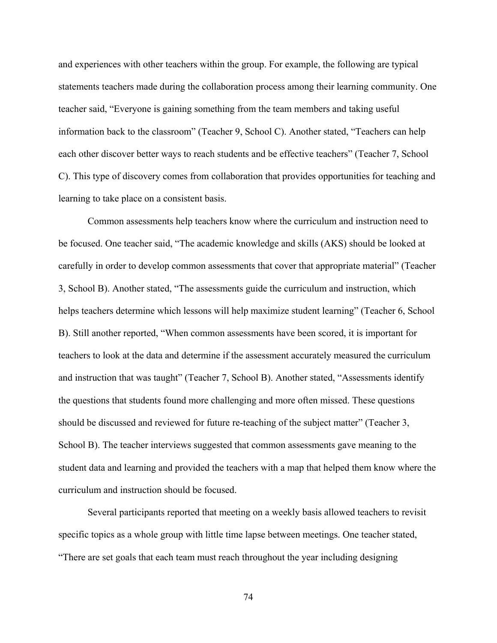and experiences with other teachers within the group. For example, the following are typical statements teachers made during the collaboration process among their learning community. One teacher said, "Everyone is gaining something from the team members and taking useful information back to the classroom" (Teacher 9, School C). Another stated, "Teachers can help each other discover better ways to reach students and be effective teachers" (Teacher 7, School C). This type of discovery comes from collaboration that provides opportunities for teaching and learning to take place on a consistent basis.

 Common assessments help teachers know where the curriculum and instruction need to be focused. One teacher said, "The academic knowledge and skills (AKS) should be looked at carefully in order to develop common assessments that cover that appropriate material" (Teacher 3, School B). Another stated, "The assessments guide the curriculum and instruction, which helps teachers determine which lessons will help maximize student learning" (Teacher 6, School B). Still another reported, "When common assessments have been scored, it is important for teachers to look at the data and determine if the assessment accurately measured the curriculum and instruction that was taught" (Teacher 7, School B). Another stated, "Assessments identify the questions that students found more challenging and more often missed. These questions should be discussed and reviewed for future re-teaching of the subject matter" (Teacher 3, School B). The teacher interviews suggested that common assessments gave meaning to the student data and learning and provided the teachers with a map that helped them know where the curriculum and instruction should be focused.

Several participants reported that meeting on a weekly basis allowed teachers to revisit specific topics as a whole group with little time lapse between meetings. One teacher stated, "There are set goals that each team must reach throughout the year including designing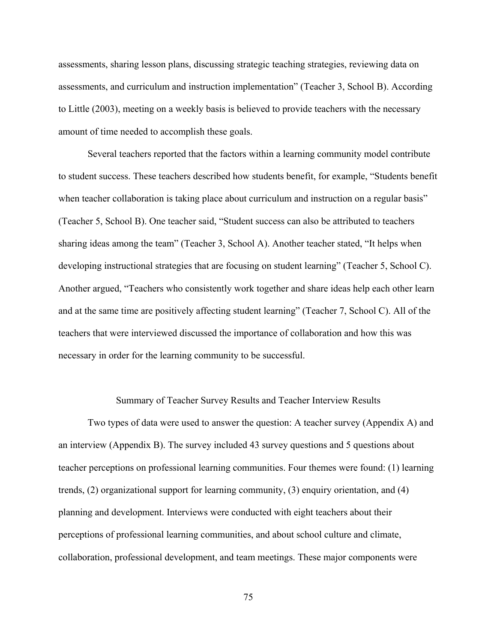assessments, sharing lesson plans, discussing strategic teaching strategies, reviewing data on assessments, and curriculum and instruction implementation" (Teacher 3, School B). According to Little (2003), meeting on a weekly basis is believed to provide teachers with the necessary amount of time needed to accomplish these goals.

 Several teachers reported that the factors within a learning community model contribute to student success. These teachers described how students benefit, for example, "Students benefit when teacher collaboration is taking place about curriculum and instruction on a regular basis" (Teacher 5, School B). One teacher said, "Student success can also be attributed to teachers sharing ideas among the team" (Teacher 3, School A). Another teacher stated, "It helps when developing instructional strategies that are focusing on student learning" (Teacher 5, School C). Another argued, "Teachers who consistently work together and share ideas help each other learn and at the same time are positively affecting student learning" (Teacher 7, School C). All of the teachers that were interviewed discussed the importance of collaboration and how this was necessary in order for the learning community to be successful.

#### Summary of Teacher Survey Results and Teacher Interview Results

Two types of data were used to answer the question: A teacher survey (Appendix A) and an interview (Appendix B). The survey included 43 survey questions and 5 questions about teacher perceptions on professional learning communities. Four themes were found: (1) learning trends, (2) organizational support for learning community, (3) enquiry orientation, and (4) planning and development. Interviews were conducted with eight teachers about their perceptions of professional learning communities, and about school culture and climate, collaboration, professional development, and team meetings. These major components were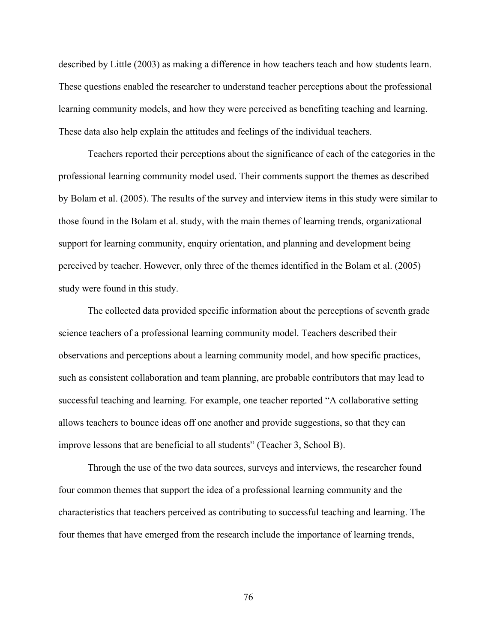described by Little (2003) as making a difference in how teachers teach and how students learn. These questions enabled the researcher to understand teacher perceptions about the professional learning community models, and how they were perceived as benefiting teaching and learning. These data also help explain the attitudes and feelings of the individual teachers.

Teachers reported their perceptions about the significance of each of the categories in the professional learning community model used. Their comments support the themes as described by Bolam et al. (2005). The results of the survey and interview items in this study were similar to those found in the Bolam et al. study, with the main themes of learning trends, organizational support for learning community, enquiry orientation, and planning and development being perceived by teacher. However, only three of the themes identified in the Bolam et al. (2005) study were found in this study.

The collected data provided specific information about the perceptions of seventh grade science teachers of a professional learning community model. Teachers described their observations and perceptions about a learning community model, and how specific practices, such as consistent collaboration and team planning, are probable contributors that may lead to successful teaching and learning. For example, one teacher reported "A collaborative setting allows teachers to bounce ideas off one another and provide suggestions, so that they can improve lessons that are beneficial to all students" (Teacher 3, School B).

Through the use of the two data sources, surveys and interviews, the researcher found four common themes that support the idea of a professional learning community and the characteristics that teachers perceived as contributing to successful teaching and learning. The four themes that have emerged from the research include the importance of learning trends,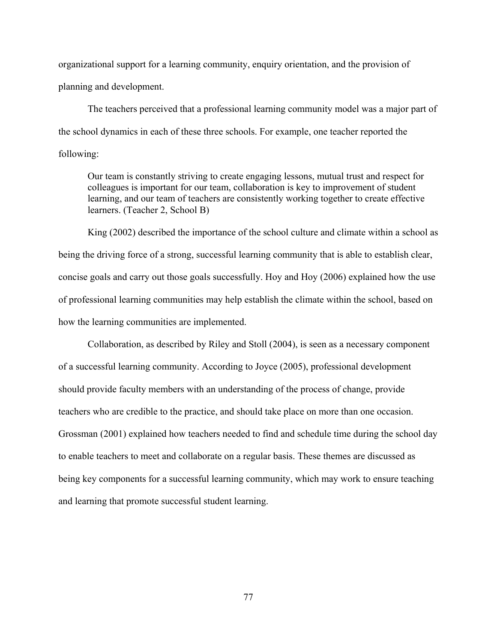organizational support for a learning community, enquiry orientation, and the provision of planning and development.

The teachers perceived that a professional learning community model was a major part of the school dynamics in each of these three schools. For example, one teacher reported the following:

Our team is constantly striving to create engaging lessons, mutual trust and respect for colleagues is important for our team, collaboration is key to improvement of student learning, and our team of teachers are consistently working together to create effective learners. (Teacher 2, School B)

King (2002) described the importance of the school culture and climate within a school as being the driving force of a strong, successful learning community that is able to establish clear, concise goals and carry out those goals successfully. Hoy and Hoy (2006) explained how the use of professional learning communities may help establish the climate within the school, based on how the learning communities are implemented.

Collaboration, as described by Riley and Stoll (2004), is seen as a necessary component of a successful learning community. According to Joyce (2005), professional development should provide faculty members with an understanding of the process of change, provide teachers who are credible to the practice, and should take place on more than one occasion. Grossman (2001) explained how teachers needed to find and schedule time during the school day to enable teachers to meet and collaborate on a regular basis. These themes are discussed as being key components for a successful learning community, which may work to ensure teaching and learning that promote successful student learning.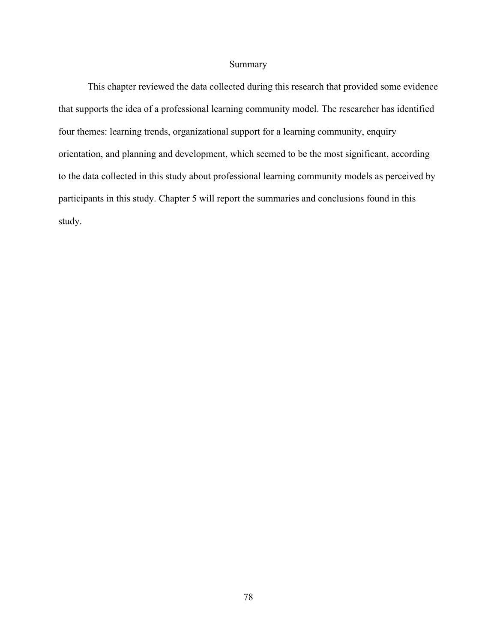## Summary

This chapter reviewed the data collected during this research that provided some evidence that supports the idea of a professional learning community model. The researcher has identified four themes: learning trends, organizational support for a learning community, enquiry orientation, and planning and development, which seemed to be the most significant, according to the data collected in this study about professional learning community models as perceived by participants in this study. Chapter 5 will report the summaries and conclusions found in this study.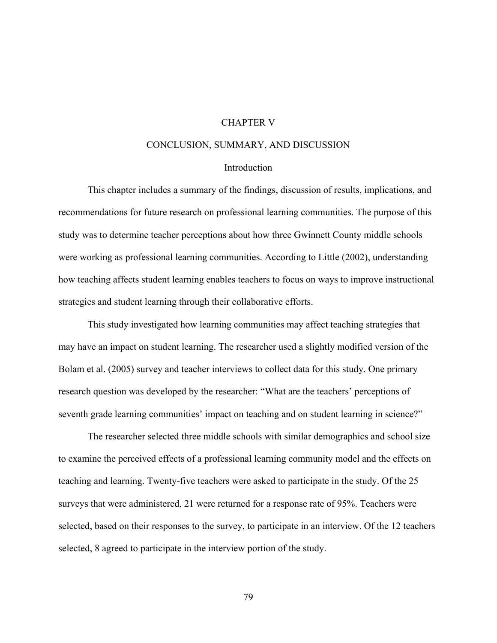### CHAPTER V

#### CONCLUSION, SUMMARY, AND DISCUSSION

#### **Introduction**

This chapter includes a summary of the findings, discussion of results, implications, and recommendations for future research on professional learning communities. The purpose of this study was to determine teacher perceptions about how three Gwinnett County middle schools were working as professional learning communities. According to Little (2002), understanding how teaching affects student learning enables teachers to focus on ways to improve instructional strategies and student learning through their collaborative efforts.

This study investigated how learning communities may affect teaching strategies that may have an impact on student learning. The researcher used a slightly modified version of the Bolam et al. (2005) survey and teacher interviews to collect data for this study. One primary research question was developed by the researcher: "What are the teachers' perceptions of seventh grade learning communities' impact on teaching and on student learning in science?"

The researcher selected three middle schools with similar demographics and school size to examine the perceived effects of a professional learning community model and the effects on teaching and learning. Twenty-five teachers were asked to participate in the study. Of the 25 surveys that were administered, 21 were returned for a response rate of 95%. Teachers were selected, based on their responses to the survey, to participate in an interview. Of the 12 teachers selected, 8 agreed to participate in the interview portion of the study.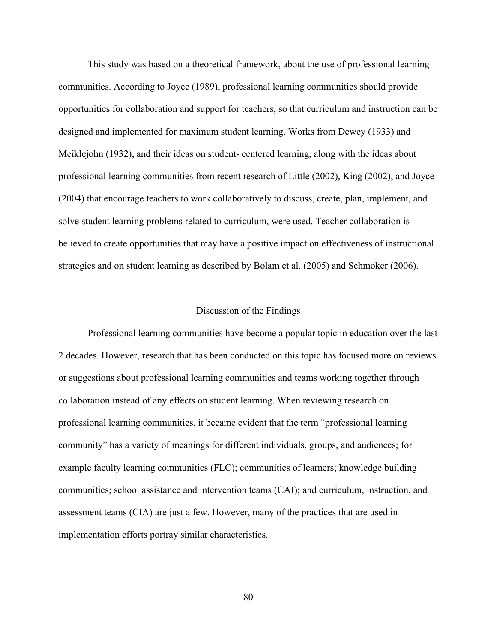This study was based on a theoretical framework, about the use of professional learning communities. According to Joyce (1989), professional learning communities should provide opportunities for collaboration and support for teachers, so that curriculum and instruction can be designed and implemented for maximum student learning. Works from Dewey (1933) and Meiklejohn (1932), and their ideas on student- centered learning, along with the ideas about professional learning communities from recent research of Little (2002), King (2002), and Joyce (2004) that encourage teachers to work collaboratively to discuss, create, plan, implement, and solve student learning problems related to curriculum, were used. Teacher collaboration is believed to create opportunities that may have a positive impact on effectiveness of instructional strategies and on student learning as described by Bolam et al. (2005) and Schmoker (2006).

### Discussion of the Findings

 Professional learning communities have become a popular topic in education over the last 2 decades. However, research that has been conducted on this topic has focused more on reviews or suggestions about professional learning communities and teams working together through collaboration instead of any effects on student learning. When reviewing research on professional learning communities, it became evident that the term "professional learning community" has a variety of meanings for different individuals, groups, and audiences; for example faculty learning communities (FLC); communities of learners; knowledge building communities; school assistance and intervention teams (CAI); and curriculum, instruction, and assessment teams (CIA) are just a few. However, many of the practices that are used in implementation efforts portray similar characteristics.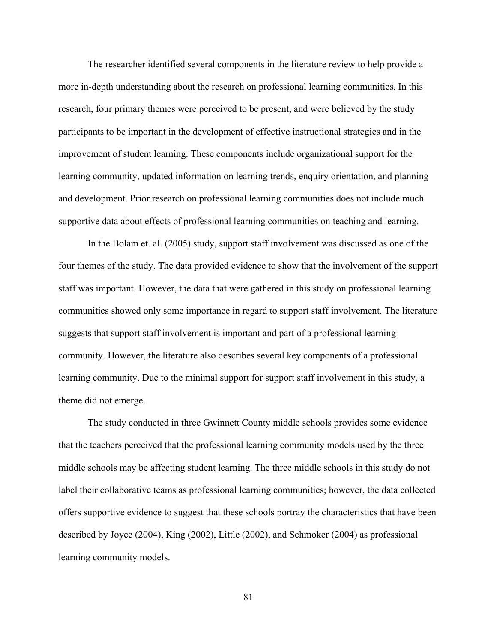The researcher identified several components in the literature review to help provide a more in-depth understanding about the research on professional learning communities. In this research, four primary themes were perceived to be present, and were believed by the study participants to be important in the development of effective instructional strategies and in the improvement of student learning. These components include organizational support for the learning community, updated information on learning trends, enquiry orientation, and planning and development. Prior research on professional learning communities does not include much supportive data about effects of professional learning communities on teaching and learning.

 In the Bolam et. al. (2005) study, support staff involvement was discussed as one of the four themes of the study. The data provided evidence to show that the involvement of the support staff was important. However, the data that were gathered in this study on professional learning communities showed only some importance in regard to support staff involvement. The literature suggests that support staff involvement is important and part of a professional learning community. However, the literature also describes several key components of a professional learning community. Due to the minimal support for support staff involvement in this study, a theme did not emerge.

The study conducted in three Gwinnett County middle schools provides some evidence that the teachers perceived that the professional learning community models used by the three middle schools may be affecting student learning. The three middle schools in this study do not label their collaborative teams as professional learning communities; however, the data collected offers supportive evidence to suggest that these schools portray the characteristics that have been described by Joyce (2004), King (2002), Little (2002), and Schmoker (2004) as professional learning community models.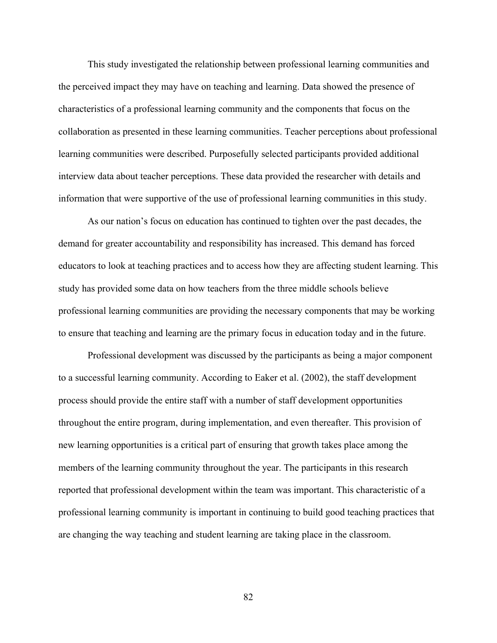This study investigated the relationship between professional learning communities and the perceived impact they may have on teaching and learning. Data showed the presence of characteristics of a professional learning community and the components that focus on the collaboration as presented in these learning communities. Teacher perceptions about professional learning communities were described. Purposefully selected participants provided additional interview data about teacher perceptions. These data provided the researcher with details and information that were supportive of the use of professional learning communities in this study.

As our nation's focus on education has continued to tighten over the past decades, the demand for greater accountability and responsibility has increased. This demand has forced educators to look at teaching practices and to access how they are affecting student learning. This study has provided some data on how teachers from the three middle schools believe professional learning communities are providing the necessary components that may be working to ensure that teaching and learning are the primary focus in education today and in the future.

Professional development was discussed by the participants as being a major component to a successful learning community. According to Eaker et al. (2002), the staff development process should provide the entire staff with a number of staff development opportunities throughout the entire program, during implementation, and even thereafter. This provision of new learning opportunities is a critical part of ensuring that growth takes place among the members of the learning community throughout the year. The participants in this research reported that professional development within the team was important. This characteristic of a professional learning community is important in continuing to build good teaching practices that are changing the way teaching and student learning are taking place in the classroom.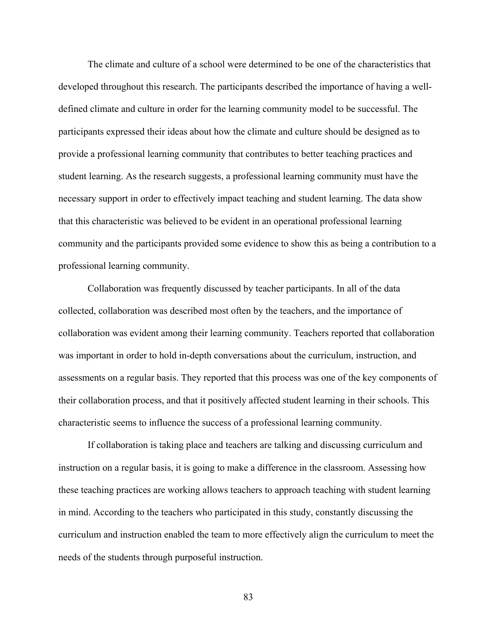The climate and culture of a school were determined to be one of the characteristics that developed throughout this research. The participants described the importance of having a welldefined climate and culture in order for the learning community model to be successful. The participants expressed their ideas about how the climate and culture should be designed as to provide a professional learning community that contributes to better teaching practices and student learning. As the research suggests, a professional learning community must have the necessary support in order to effectively impact teaching and student learning. The data show that this characteristic was believed to be evident in an operational professional learning community and the participants provided some evidence to show this as being a contribution to a professional learning community.

Collaboration was frequently discussed by teacher participants. In all of the data collected, collaboration was described most often by the teachers, and the importance of collaboration was evident among their learning community. Teachers reported that collaboration was important in order to hold in-depth conversations about the curriculum, instruction, and assessments on a regular basis. They reported that this process was one of the key components of their collaboration process, and that it positively affected student learning in their schools. This characteristic seems to influence the success of a professional learning community.

If collaboration is taking place and teachers are talking and discussing curriculum and instruction on a regular basis, it is going to make a difference in the classroom. Assessing how these teaching practices are working allows teachers to approach teaching with student learning in mind. According to the teachers who participated in this study, constantly discussing the curriculum and instruction enabled the team to more effectively align the curriculum to meet the needs of the students through purposeful instruction.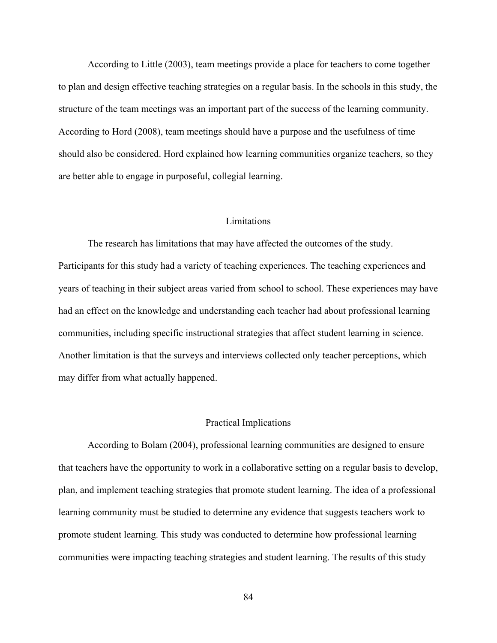According to Little (2003), team meetings provide a place for teachers to come together to plan and design effective teaching strategies on a regular basis. In the schools in this study, the structure of the team meetings was an important part of the success of the learning community. According to Hord (2008), team meetings should have a purpose and the usefulness of time should also be considered. Hord explained how learning communities organize teachers, so they are better able to engage in purposeful, collegial learning.

#### Limitations

 The research has limitations that may have affected the outcomes of the study. Participants for this study had a variety of teaching experiences. The teaching experiences and years of teaching in their subject areas varied from school to school. These experiences may have had an effect on the knowledge and understanding each teacher had about professional learning communities, including specific instructional strategies that affect student learning in science. Another limitation is that the surveys and interviews collected only teacher perceptions, which may differ from what actually happened.

#### Practical Implications

 According to Bolam (2004), professional learning communities are designed to ensure that teachers have the opportunity to work in a collaborative setting on a regular basis to develop, plan, and implement teaching strategies that promote student learning. The idea of a professional learning community must be studied to determine any evidence that suggests teachers work to promote student learning. This study was conducted to determine how professional learning communities were impacting teaching strategies and student learning. The results of this study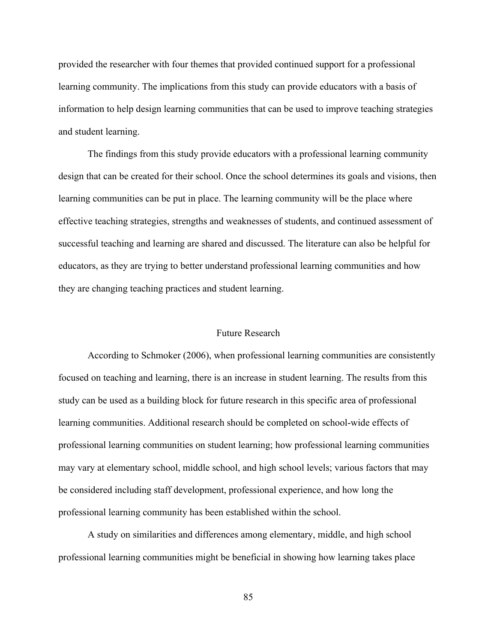provided the researcher with four themes that provided continued support for a professional learning community. The implications from this study can provide educators with a basis of information to help design learning communities that can be used to improve teaching strategies and student learning.

 The findings from this study provide educators with a professional learning community design that can be created for their school. Once the school determines its goals and visions, then learning communities can be put in place. The learning community will be the place where effective teaching strategies, strengths and weaknesses of students, and continued assessment of successful teaching and learning are shared and discussed. The literature can also be helpful for educators, as they are trying to better understand professional learning communities and how they are changing teaching practices and student learning.

#### Future Research

 According to Schmoker (2006), when professional learning communities are consistently focused on teaching and learning, there is an increase in student learning. The results from this study can be used as a building block for future research in this specific area of professional learning communities. Additional research should be completed on school-wide effects of professional learning communities on student learning; how professional learning communities may vary at elementary school, middle school, and high school levels; various factors that may be considered including staff development, professional experience, and how long the professional learning community has been established within the school.

A study on similarities and differences among elementary, middle, and high school professional learning communities might be beneficial in showing how learning takes place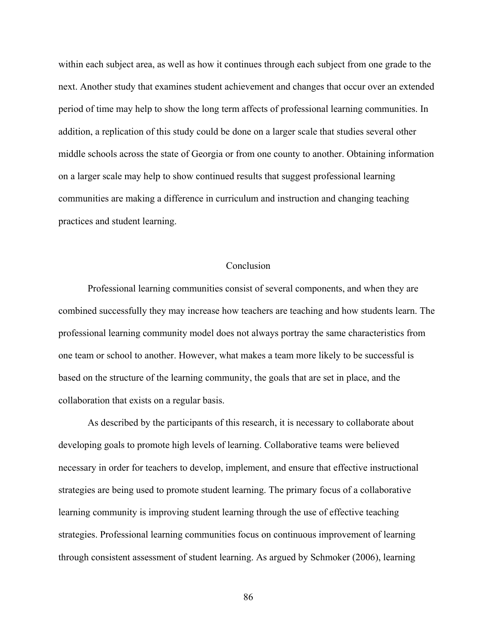within each subject area, as well as how it continues through each subject from one grade to the next. Another study that examines student achievement and changes that occur over an extended period of time may help to show the long term affects of professional learning communities. In addition, a replication of this study could be done on a larger scale that studies several other middle schools across the state of Georgia or from one county to another. Obtaining information on a larger scale may help to show continued results that suggest professional learning communities are making a difference in curriculum and instruction and changing teaching practices and student learning.

## **Conclusion**

Professional learning communities consist of several components, and when they are combined successfully they may increase how teachers are teaching and how students learn. The professional learning community model does not always portray the same characteristics from one team or school to another. However, what makes a team more likely to be successful is based on the structure of the learning community, the goals that are set in place, and the collaboration that exists on a regular basis.

As described by the participants of this research, it is necessary to collaborate about developing goals to promote high levels of learning. Collaborative teams were believed necessary in order for teachers to develop, implement, and ensure that effective instructional strategies are being used to promote student learning. The primary focus of a collaborative learning community is improving student learning through the use of effective teaching strategies. Professional learning communities focus on continuous improvement of learning through consistent assessment of student learning. As argued by Schmoker (2006), learning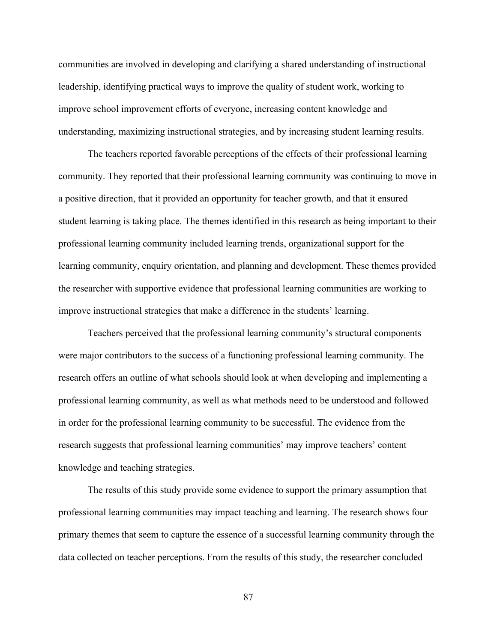communities are involved in developing and clarifying a shared understanding of instructional leadership, identifying practical ways to improve the quality of student work, working to improve school improvement efforts of everyone, increasing content knowledge and understanding, maximizing instructional strategies, and by increasing student learning results.

The teachers reported favorable perceptions of the effects of their professional learning community. They reported that their professional learning community was continuing to move in a positive direction, that it provided an opportunity for teacher growth, and that it ensured student learning is taking place. The themes identified in this research as being important to their professional learning community included learning trends, organizational support for the learning community, enquiry orientation, and planning and development. These themes provided the researcher with supportive evidence that professional learning communities are working to improve instructional strategies that make a difference in the students' learning.

Teachers perceived that the professional learning community's structural components were major contributors to the success of a functioning professional learning community. The research offers an outline of what schools should look at when developing and implementing a professional learning community, as well as what methods need to be understood and followed in order for the professional learning community to be successful. The evidence from the research suggests that professional learning communities' may improve teachers' content knowledge and teaching strategies.

 The results of this study provide some evidence to support the primary assumption that professional learning communities may impact teaching and learning. The research shows four primary themes that seem to capture the essence of a successful learning community through the data collected on teacher perceptions. From the results of this study, the researcher concluded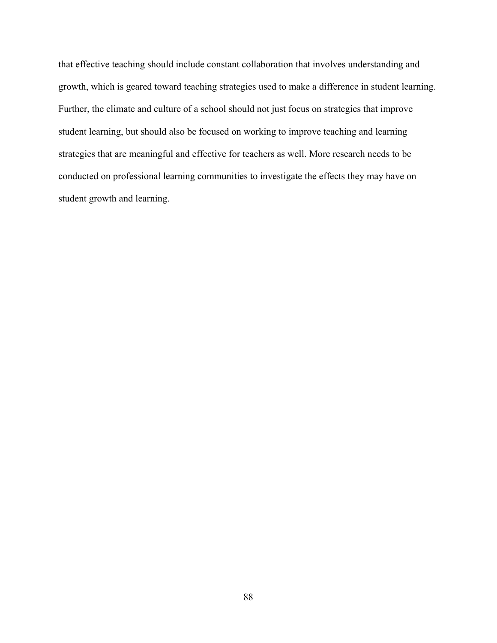that effective teaching should include constant collaboration that involves understanding and growth, which is geared toward teaching strategies used to make a difference in student learning. Further, the climate and culture of a school should not just focus on strategies that improve student learning, but should also be focused on working to improve teaching and learning strategies that are meaningful and effective for teachers as well. More research needs to be conducted on professional learning communities to investigate the effects they may have on student growth and learning.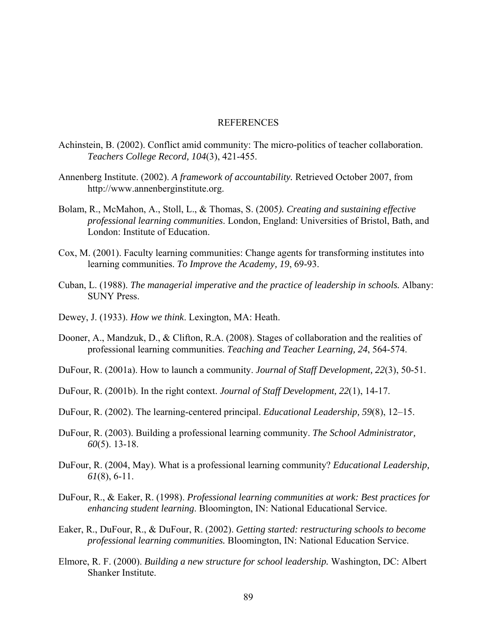#### REFERENCES

- Achinstein, B. (2002). Conflict amid community: The micro-politics of teacher collaboration. *Teachers College Record, 104*(3), 421-455.
- Annenberg Institute. (2002). *A framework of accountability.* Retrieved October 2007, from http://www.annenberginstitute.org.
- Bolam, R., McMahon, A., Stoll, L., & Thomas, S. (2005*). Creating and sustaining effective professional learning communities*. London, England: Universities of Bristol, Bath, and London: Institute of Education.
- Cox, M. (2001). Faculty learning communities: Change agents for transforming institutes into learning communities. *To Improve the Academy, 19*, 69-93.
- Cuban, L. (1988). *The managerial imperative and the practice of leadership in schools.* Albany: SUNY Press.
- Dewey, J. (1933). *How we think*. Lexington, MA: Heath.
- Dooner, A., Mandzuk, D., & Clifton, R.A. (2008). Stages of collaboration and the realities of professional learning communities. *Teaching and Teacher Learning, 24*, 564-574.
- DuFour, R. (2001a). How to launch a community. *Journal of Staff Development, 22*(3), 50-51.
- DuFour, R. (2001b). In the right context. *Journal of Staff Development, 22*(1), 14-17.
- DuFour, R. (2002). The learning-centered principal. *Educational Leadership, 59*(8), 12–15.
- DuFour, R. (2003). Building a professional learning community. *The School Administrator, 60*(5). 13-18.
- DuFour, R. (2004, May). What is a professional learning community? *Educational Leadership, 61*(8), 6-11.
- DuFour, R., & Eaker, R. (1998). *Professional learning communities at work: Best practices for enhancing student learning*. Bloomington, IN: National Educational Service.
- Eaker, R., DuFour, R., & DuFour, R. (2002). *Getting started: restructuring schools to become professional learning communities.* Bloomington, IN: National Education Service.
- Elmore, R. F. (2000). *Building a new structure for school leadership.* Washington, DC: Albert Shanker Institute.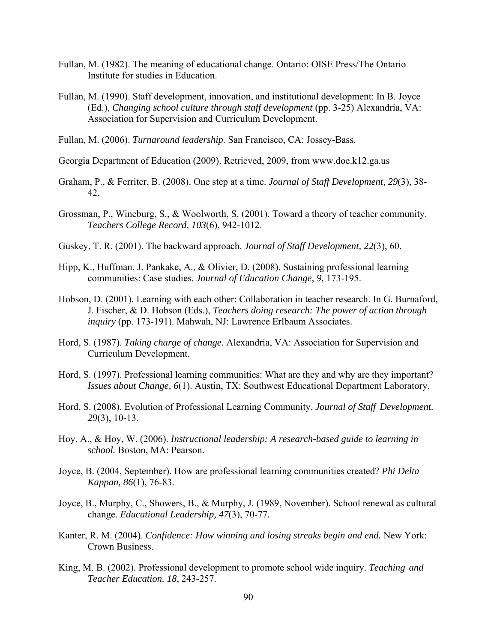- Fullan, M. (1982). The meaning of educational change. Ontario: OISE Press/The Ontario Institute for studies in Education.
- Fullan, M. (1990). Staff development, innovation, and institutional development: In B. Joyce (Ed.), *Changing school culture through staff development* (pp. 3-25) Alexandria, VA: Association for Supervision and Curriculum Development.
- Fullan, M. (2006). *Turnaround leadership.* San Francisco, CA: Jossey-Bass.

Georgia Department of Education (2009). Retrieved, 2009, from www.doe.k12.ga.us

- Graham, P., & Ferriter, B. (2008). One step at a time. *Journal of Staff Development, 29*(3), 38- 42.
- Grossman, P., Wineburg, S., & Woolworth, S. (2001). Toward a theory of teacher community. *Teachers College Record, 103*(6), 942-1012.
- Guskey, T. R. (2001). The backward approach. *Journal of Staff Development, 22*(3), 60.
- Hipp, K., Huffman, J. Pankake, A., & Olivier, D. (2008). Sustaining professional learning communities: Case studies. *Journal of Education Change, 9,* 173-195.
- Hobson, D. (2001). Learning with each other: Collaboration in teacher research. In G. Burnaford, J. Fischer, & D. Hobson (Eds.), *Teachers doing research: The power of action through inquiry* (pp. 173-191). Mahwah, NJ: Lawrence Erlbaum Associates.
- Hord, S. (1987). *Taking charge of change.* Alexandria, VA: Association for Supervision and Curriculum Development.
- Hord, S. (1997). Professional learning communities: What are they and why are they important? *Issues about Change, 6*(1). Austin, TX: Southwest Educational Department Laboratory.
- Hord, S. (2008). Evolution of Professional Learning Community. *Journal of Staff Development. 29*(3), 10-13.
- Hoy, A., & Hoy, W. (2006). *Instructional leadership: A research-based guide to learning in school.* Boston, MA: Pearson.
- Joyce, B. (2004, September). How are professional learning communities created? *Phi Delta Kappan, 86*(1), 76-83.
- Joyce, B., Murphy, C., Showers, B., & Murphy, J. (1989, November). School renewal as cultural change. *Educational Leadership, 47*(3), 70-77*.*
- Kanter, R. M. (2004). *Confidence: How winning and losing streaks begin and end.* New York: Crown Business.
- King, M. B. (2002). Professional development to promote school wide inquiry. *Teaching and Teacher Education. 18*, 243-257.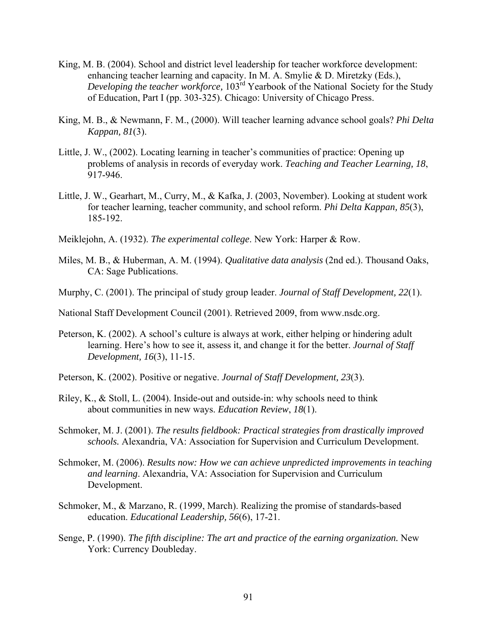- King, M. B. (2004). School and district level leadership for teacher workforce development: enhancing teacher learning and capacity. In M. A. Smylie & D. Miretzky (Eds.), *Developing the teacher workforce*, 103<sup>rd</sup> Yearbook of the National Society for the Study of Education, Part I (pp. 303-325). Chicago: University of Chicago Press.
- King, M. B., & Newmann, F. M., (2000). Will teacher learning advance school goals? *Phi Delta Kappan, 81*(3).
- Little, J. W., (2002). Locating learning in teacher's communities of practice: Opening up problems of analysis in records of everyday work. *Teaching and Teacher Learning, 18*, 917-946.
- Little, J. W., Gearhart, M., Curry, M., & Kafka, J. (2003, November). Looking at student work for teacher learning, teacher community, and school reform. *Phi Delta Kappan, 85*(3), 185-192.
- Meiklejohn, A. (1932). *The experimental college*. New York: Harper & Row.
- Miles, M. B., & Huberman, A. M. (1994). *Qualitative data analysis* (2nd ed.). Thousand Oaks, CA: Sage Publications.
- Murphy, C. (2001). The principal of study group leader. *Journal of Staff Development, 22*(1).

National Staff Development Council (2001). Retrieved 2009, from www.nsdc.org.

- Peterson, K. (2002). A school's culture is always at work, either helping or hindering adult learning. Here's how to see it, assess it, and change it for the better. *Journal of Staff Development, 16*(3), 11-15.
- Peterson, K. (2002). Positive or negative. *Journal of Staff Development, 23*(3).
- Riley, K., & Stoll, L.  $(2004)$ . Inside-out and outside-in: why schools need to think about communities in new ways. *Education Review*, *18*(1).
- Schmoker, M. J. (2001). *The results fieldbook: Practical strategies from drastically improved schools.* Alexandria, VA: Association for Supervision and Curriculum Development.
- Schmoker, M. (2006). *Results now: How we can achieve unpredicted improvements in teaching and learning*. Alexandria, VA: Association for Supervision and Curriculum Development.
- Schmoker, M., & Marzano, R. (1999, March). Realizing the promise of standards-based education. *Educational Leadership, 56*(6), 17-21.
- Senge, P. (1990). *The fifth discipline: The art and practice of the earning organization.* New York: Currency Doubleday.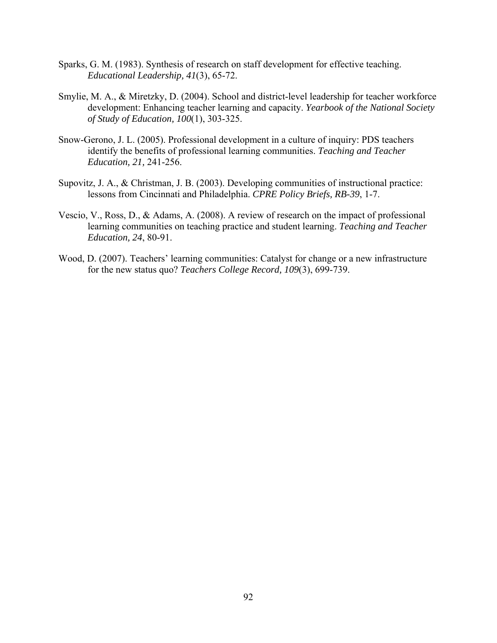- Sparks, G. M. (1983). Synthesis of research on staff development for effective teaching. *Educational Leadership, 41*(3), 65-72.
- Smylie, M. A., & Miretzky, D. (2004). School and district-level leadership for teacher workforce development: Enhancing teacher learning and capacity. *Yearbook of the National Society of Study of Education, 100*(1), 303-325.
- Snow-Gerono, J. L. (2005). Professional development in a culture of inquiry: PDS teachers identify the benefits of professional learning communities. *Teaching and Teacher Education, 21,* 241-256.
- Supovitz, J. A., & Christman, J. B. (2003). Developing communities of instructional practice: lessons from Cincinnati and Philadelphia. *CPRE Policy Briefs, RB-39*, 1-7.
- Vescio, V., Ross, D., & Adams, A. (2008). A review of research on the impact of professional learning communities on teaching practice and student learning. *Teaching and Teacher Education, 24*, 80-91.
- Wood, D. (2007). Teachers' learning communities: Catalyst for change or a new infrastructure for the new status quo? *Teachers College Record, 109*(3), 699-739.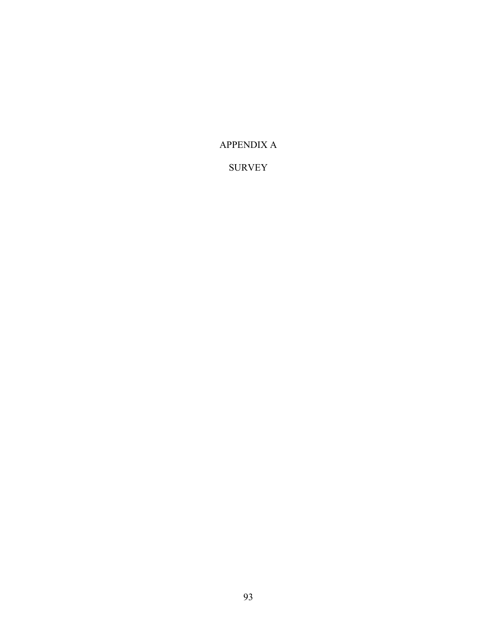## APPENDIX A

## SURVEY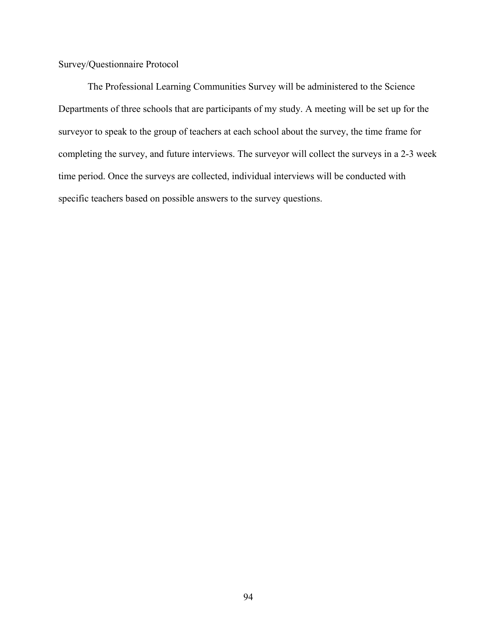Survey/Questionnaire Protocol

The Professional Learning Communities Survey will be administered to the Science Departments of three schools that are participants of my study. A meeting will be set up for the surveyor to speak to the group of teachers at each school about the survey, the time frame for completing the survey, and future interviews. The surveyor will collect the surveys in a 2-3 week time period. Once the surveys are collected, individual interviews will be conducted with specific teachers based on possible answers to the survey questions.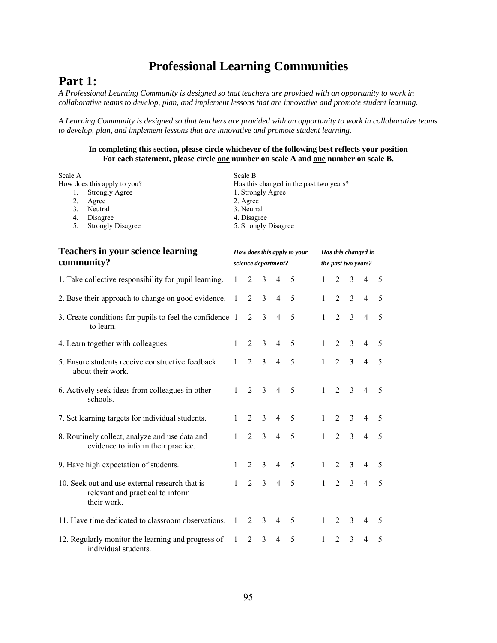# **Professional Learning Communities**

## **Part 1:**

*A Professional Learning Community is designed so that teachers are provided with an opportunity to work in collaborative teams to develop, plan, and implement lessons that are innovative and promote student learning.* 

*A Learning Community is designed so that teachers are provided with an opportunity to work in collaborative teams to develop, plan, and implement lessons that are innovative and promote student learning.* 

#### **In completing this section, please circle whichever of the following best reflects your position**  For each statement, please circle **one** number on scale A and **one** number on scale B.

| Scale A                     | Scale B                                 |
|-----------------------------|-----------------------------------------|
| How does this apply to you? | Has this changed in the past two years? |
| <b>Strongly Agree</b>       | 1. Strongly Agree                       |
| Agree                       | 2. Agree                                |
| Neutral                     | 3. Neutral                              |
| Disagree<br>-4.             | 4. Disagree                             |
| <b>Strongly Disagree</b>    | 5. Strongly Disagree                    |

| <b>Teachers in your science learning</b><br>community?                                            | How does this apply to your<br>science department? |                |                |                | Has this changed in<br>the past two years? |              |                |                |                |    |
|---------------------------------------------------------------------------------------------------|----------------------------------------------------|----------------|----------------|----------------|--------------------------------------------|--------------|----------------|----------------|----------------|----|
| 1. Take collective responsibility for pupil learning.                                             | $\mathbf{1}$                                       | 2              | 3              | 4              | 5                                          | $\mathbf{1}$ | $\mathfrak{D}$ | $\overline{3}$ | $\overline{4}$ | -5 |
| 2. Base their approach to change on good evidence.                                                | -1                                                 | 2              | $\overline{3}$ | $\overline{4}$ | 5                                          | $\mathbf{1}$ | $\overline{2}$ | $\overline{3}$ | $\overline{4}$ | 5  |
| 3. Create conditions for pupils to feel the confidence 1<br>to learn.                             |                                                    | $\overline{2}$ | 3              | $\overline{4}$ | 5                                          | $\mathbf{1}$ | $\overline{2}$ | $\overline{3}$ | $\overline{4}$ | 5  |
| 4. Learn together with colleagues.                                                                | $\mathbf{1}$                                       | $\overline{2}$ | 3              | $\overline{4}$ | 5                                          | $\mathbf{1}$ | $\mathfrak{D}$ | $\overline{3}$ | $\overline{4}$ | 5  |
| 5. Ensure students receive constructive feedback<br>about their work.                             | $\mathbf{1}$                                       | $\overline{2}$ | $\overline{3}$ | $\overline{4}$ | 5                                          | $\mathbf{1}$ | $\overline{2}$ | $\overline{3}$ | $\overline{4}$ | 5  |
| 6. Actively seek ideas from colleagues in other<br>schools.                                       | 1                                                  | $\overline{2}$ | 3              | $\overline{4}$ | 5                                          | 1            | $\overline{2}$ | 3              | $\overline{4}$ | -5 |
| 7. Set learning targets for individual students.                                                  | 1                                                  | 2              | $\overline{3}$ | $\overline{4}$ | 5                                          | $\mathbf{1}$ | $\overline{2}$ | $\overline{3}$ | $\overline{4}$ | 5  |
| 8. Routinely collect, analyze and use data and<br>evidence to inform their practice.              | $\mathbf{1}$                                       | $\overline{2}$ | $\overline{3}$ | $\overline{4}$ | 5                                          | $\mathbf{1}$ | $\overline{2}$ | $\overline{3}$ | $\overline{4}$ | 5  |
| 9. Have high expectation of students.                                                             | $\mathbf{1}$                                       | $\mathfrak{D}$ | $\overline{3}$ | $\overline{4}$ | 5                                          | $\mathbf{1}$ | $\overline{2}$ | $\overline{3}$ | $\overline{4}$ | 5  |
| 10. Seek out and use external research that is<br>relevant and practical to inform<br>their work. | $\mathbf{1}$                                       | $\overline{2}$ | $\overline{3}$ | $\overline{4}$ | 5                                          | $\mathbf{1}$ | $\overline{2}$ | $\overline{3}$ | $\overline{4}$ | 5  |
| 11. Have time dedicated to classroom observations.                                                | -1                                                 | 2              | $\overline{3}$ | $\overline{4}$ | 5                                          | $\mathbf{1}$ | 2              | $\overline{3}$ | $\overline{4}$ | -5 |
| 12. Regularly monitor the learning and progress of<br>individual students.                        | 1                                                  | $\overline{2}$ | $\mathcal{E}$  | 4              | 5                                          | $\mathbf{1}$ | $\overline{2}$ | $\mathcal{E}$  | $\overline{4}$ | 5  |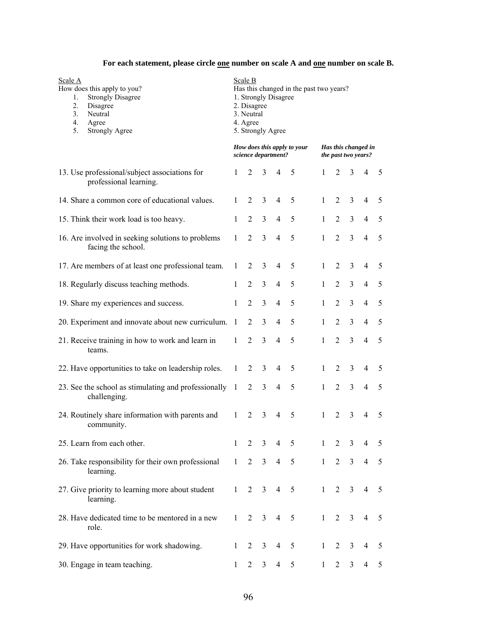## For each statement, please circle **<u>one</u>** number on scale A and **<u>one</u>** number on scale B.

| Scale A<br>How does this apply to you?<br><b>Strongly Disagree</b><br>1.<br>2.<br>Disagree<br>3.<br>Neutral<br>Agree<br>4.<br>5.<br><b>Strongly Agree</b> | Scale B<br>Has this changed in the past two years?<br>1. Strongly Disagree<br>2. Disagree<br>3. Neutral<br>4. Agree<br>5. Strongly Agree |                |                |                     |                             |              |                |                |                                                   |                |
|-----------------------------------------------------------------------------------------------------------------------------------------------------------|------------------------------------------------------------------------------------------------------------------------------------------|----------------|----------------|---------------------|-----------------------------|--------------|----------------|----------------|---------------------------------------------------|----------------|
|                                                                                                                                                           |                                                                                                                                          |                |                | science department? | How does this apply to your |              |                |                | Has this changed in<br><i>the past two years?</i> |                |
| 13. Use professional/subject associations for<br>professional learning.                                                                                   | 1                                                                                                                                        | 2              | 3              | $\overline{4}$      | 5                           | 1            | 2              | 3              | $\overline{4}$                                    | 5              |
| 14. Share a common core of educational values.                                                                                                            | 1                                                                                                                                        | 2              | 3              | $\overline{4}$      | 5                           | 1            | 2              | 3              | $\overline{4}$                                    | 5              |
| 15. Think their work load is too heavy.                                                                                                                   | 1                                                                                                                                        | $\overline{c}$ | $\overline{3}$ | $\overline{4}$      | 5                           | 1            | 2              | $\overline{3}$ | $\overline{4}$                                    | 5              |
| 16. Are involved in seeking solutions to problems<br>facing the school.                                                                                   | 1                                                                                                                                        | $\overline{2}$ | $\overline{3}$ | $\overline{4}$      | 5                           | 1            | $\overline{2}$ | $\overline{3}$ | $\overline{4}$                                    | 5              |
| 17. Are members of at least one professional team.                                                                                                        | 1                                                                                                                                        | 2              | 3              | $\overline{4}$      | 5                           | 1            | $\overline{2}$ | $\mathfrak{Z}$ | $\overline{4}$                                    | 5              |
| 18. Regularly discuss teaching methods.                                                                                                                   | 1                                                                                                                                        | 2              | 3              | $\overline{4}$      | 5                           | 1            | $\overline{2}$ | $\overline{3}$ | $\overline{4}$                                    | 5              |
| 19. Share my experiences and success.                                                                                                                     | $\mathbf{1}$                                                                                                                             | $\overline{2}$ | 3              | $\overline{4}$      | 5                           | 1            | $\overline{2}$ | $\overline{3}$ | $\overline{4}$                                    | 5              |
| 20. Experiment and innovate about new curriculum. 1                                                                                                       |                                                                                                                                          | $\overline{2}$ | $\overline{3}$ | $\overline{4}$      | 5                           | 1            | $\overline{2}$ | $\overline{3}$ | $\overline{4}$                                    | 5              |
| 21. Receive training in how to work and learn in<br>teams.                                                                                                | $\mathbf{1}$                                                                                                                             | 2              | $\overline{3}$ | $\overline{4}$      | 5                           | 1            | $\overline{2}$ | $\overline{3}$ | $\overline{4}$                                    | 5              |
| 22. Have opportunities to take on leadership roles.                                                                                                       | $\mathbf{1}$                                                                                                                             | 2              | 3              | $\overline{4}$      | 5                           | 1            | 2              | $\overline{3}$ | $\overline{4}$                                    | 5              |
| 23. See the school as stimulating and professionally 1<br>challenging.                                                                                    |                                                                                                                                          | $\overline{2}$ | 3              | $\overline{4}$      | 5                           | 1            | $\overline{2}$ | $\overline{3}$ | $\overline{4}$                                    | 5              |
| 24. Routinely share information with parents and<br>community.                                                                                            | $\mathbf{1}$                                                                                                                             | $\overline{2}$ | 3              | 4                   | 5                           | 1            | 2              | $\overline{3}$ | $\overline{4}$                                    | 5              |
| 25. Learn from each other.                                                                                                                                |                                                                                                                                          |                | $2 \t3 \t4$    |                     | 5                           | $\mathbf{1}$ | $\overline{2}$ | $\overline{3}$ | $\overline{4}$                                    | 5              |
| 26. Take responsibility for their own professional 1<br>learning.                                                                                         |                                                                                                                                          | $\overline{2}$ | $\overline{3}$ | $\overline{4}$      | 5                           | 1            | $\overline{2}$ | $\overline{3}$ | $\overline{4}$                                    | 5              |
| 27. Give priority to learning more about student<br>learning.                                                                                             | 1                                                                                                                                        | $2^{\circ}$    | 3 <sup>7</sup> | $\overline{4}$      | $5\overline{)}$             | 1            | $\overline{2}$ | $\mathfrak{Z}$ | $\overline{4}$                                    | 5              |
| 28. Have dedicated time to be mentored in a new<br>role.                                                                                                  | 1                                                                                                                                        | $\overline{2}$ | 3 <sup>7</sup> | $4\quad 5$          |                             | 1            | $2^{\circ}$    | $\mathfrak{Z}$ | $\overline{4}$                                    | $\overline{5}$ |
| 29. Have opportunities for work shadowing.                                                                                                                | 1                                                                                                                                        | $\overline{2}$ | $\mathfrak{Z}$ | $\overline{4}$      | $5\overline{)}$             | $\mathbf{1}$ | $\overline{2}$ | $\mathfrak{Z}$ | $\overline{4}$                                    | 5              |
| 30. Engage in team teaching.                                                                                                                              | $\mathbf{1}$                                                                                                                             | $\overline{2}$ | $\mathfrak{Z}$ | $\overline{4}$      | 5                           | $\mathbf{1}$ | $\overline{2}$ | $\mathfrak{Z}$ | $\overline{4}$                                    | 5              |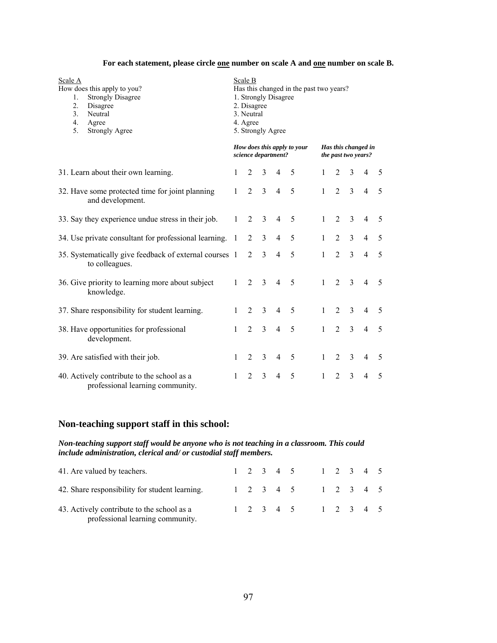#### For each statement, please circle **<u>one</u> number on scale A and <u>one</u> number on scale B.**

| Scale A<br>How does this apply to you?<br>1.<br><b>Strongly Disagree</b><br>$\overline{2}$ .<br>Disagree<br>3.<br>Neutral<br>4.<br>Agree<br>5.<br><b>Strongly Agree</b> | Scale B<br>Has this changed in the past two years?<br>1. Strongly Disagree<br>2. Disagree<br>3. Neutral<br>4. Agree<br>5. Strongly Agree |                             |                |                     |                             |              |                |                                            |                |   |
|-------------------------------------------------------------------------------------------------------------------------------------------------------------------------|------------------------------------------------------------------------------------------------------------------------------------------|-----------------------------|----------------|---------------------|-----------------------------|--------------|----------------|--------------------------------------------|----------------|---|
|                                                                                                                                                                         |                                                                                                                                          |                             |                | science department? | How does this apply to your |              |                | Has this changed in<br>the past two years? |                |   |
| 31. Learn about their own learning.                                                                                                                                     | $\mathbf{1}$                                                                                                                             | $\mathfrak{D}$              | 3              | $\overline{4}$      | 5                           | 1            | 2              | 3                                          | $\overline{4}$ | 5 |
| 32. Have some protected time for joint planning<br>and development.                                                                                                     | 1                                                                                                                                        | $\overline{2}$              | $\overline{3}$ | $\overline{4}$      | 5                           | $\mathbf{1}$ | $\overline{2}$ | $\overline{3}$                             | $\overline{4}$ | 5 |
| 33. Say they experience undue stress in their job.                                                                                                                      | $\mathbf{1}$                                                                                                                             | 2                           | $\overline{3}$ | $\overline{4}$      | 5                           | $\mathbf{1}$ | $\overline{2}$ | $\overline{3}$                             | $\overline{4}$ | 5 |
| 34. Use private consultant for professional learning. 1                                                                                                                 |                                                                                                                                          | $\overline{2}$              | 3              | $\overline{4}$      | 5                           | $\mathbf{1}$ | 2              | $\overline{3}$                             | $\overline{4}$ | 5 |
| 35. Systematically give feedback of external courses 1<br>to colleagues.                                                                                                |                                                                                                                                          | $\overline{2}$              | $\overline{3}$ | $\overline{4}$      | 5                           | $\mathbf{1}$ | $\overline{2}$ | $\overline{3}$                             | $\overline{4}$ | 5 |
| 36. Give priority to learning more about subject<br>knowledge.                                                                                                          | $\mathbf{1}$                                                                                                                             | 2                           | $\overline{3}$ | $\overline{4}$      | 5                           | $\mathbf{1}$ | 2              | 3                                          | $\overline{4}$ | 5 |
| 37. Share responsibility for student learning.                                                                                                                          | $\mathbf{1}$                                                                                                                             | 2                           | 3              | $\overline{4}$      | 5                           | $\mathbf{1}$ | 2              | 3                                          | $\overline{4}$ | 5 |
| 38. Have opportunities for professional<br>development.                                                                                                                 | $\mathbf{1}$                                                                                                                             | $\overline{2}$              | $\overline{3}$ | $\overline{4}$      | 5                           | $\mathbf{1}$ | $\overline{2}$ | $\overline{3}$                             | $\overline{4}$ | 5 |
| 39. Are satisfied with their job.                                                                                                                                       | $\mathbf{1}$                                                                                                                             | 2                           | 3              | $\overline{4}$      | 5                           | $\mathbf{1}$ | 2              | 3                                          | $\overline{4}$ | 5 |
| 40. Actively contribute to the school as a<br>professional learning community.                                                                                          | $\mathbf{1}$                                                                                                                             | $\mathcal{D}_{\mathcal{L}}$ | 3              | 4                   | 5                           | $\mathbf{1}$ | $\mathfrak{D}$ | $\overline{3}$                             | $\overline{4}$ | 5 |

## **Non-teaching support staff in this school:**

#### *Non-teaching support staff would be anyone who is not teaching in a classroom. This could include administration, clerical and/ or custodial staff members.*

| 41. Are valued by teachers.                                                    |  |  | $1 \t2 \t3 \t4 \t5 \t1 \t2 \t3 \t4 \t5$ |  |  |  |
|--------------------------------------------------------------------------------|--|--|-----------------------------------------|--|--|--|
| 42. Share responsibility for student learning.                                 |  |  | 1 2 3 4 5 1 2 3 4 5                     |  |  |  |
| 43. Actively contribute to the school as a<br>professional learning community. |  |  | $1 \t2 \t3 \t4 \t5 \t1 \t2 \t3 \t4 \t5$ |  |  |  |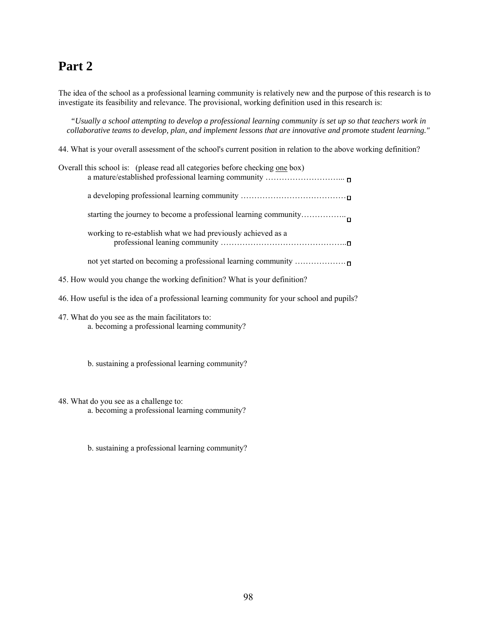# **Part 2**

The idea of the school as a professional learning community is relatively new and the purpose of this research is to investigate its feasibility and relevance. The provisional, working definition used in this research is:

*"Usually a school attempting to develop a professional learning community is set up so that teachers work in collaborative teams to develop, plan, and implement lessons that are innovative and promote student learning."* 

44. What is your overall assessment of the school's current position in relation to the above working definition?

| Overall this school is: (please read all categories before checking one box) |
|------------------------------------------------------------------------------|
|                                                                              |
| starting the journey to become a professional learning community             |
| working to re-establish what we had previously achieved as a                 |
| not yet started on becoming a professional learning community                |

- 45. How would you change the working definition? What is your definition?
- 46. How useful is the idea of a professional learning community for your school and pupils?
- 47. What do you see as the main facilitators to: a. becoming a professional learning community?

b. sustaining a professional learning community?

48. What do you see as a challenge to:

a. becoming a professional learning community?

b. sustaining a professional learning community?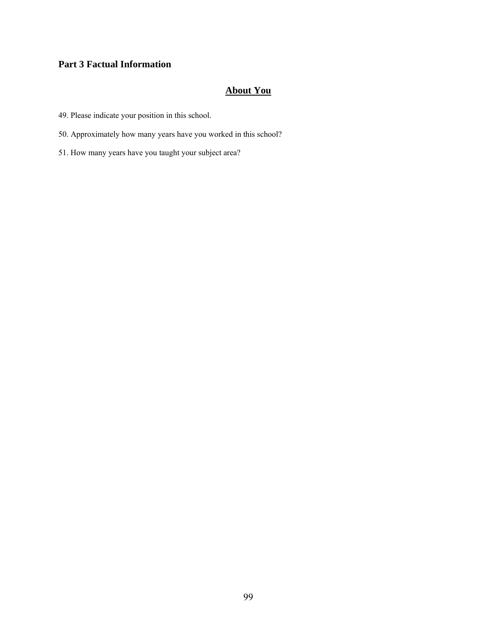#### **Part 3 Factual Information**

#### **About You**

- 49. Please indicate your position in this school.
- 50. Approximately how many years have you worked in this school?
- 51. How many years have you taught your subject area?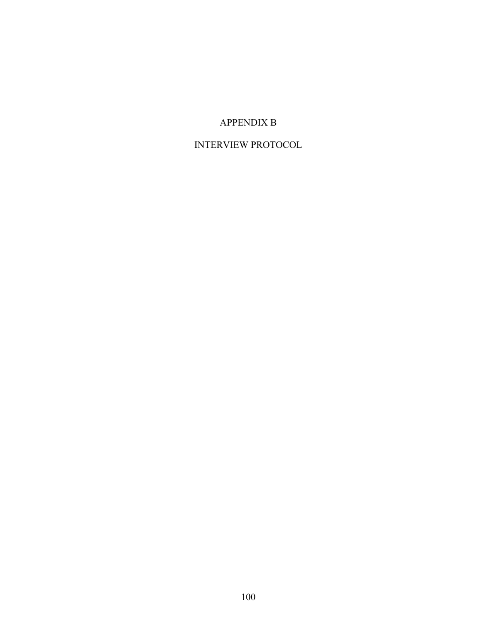### APPENDIX B

### INTERVIEW PROTOCOL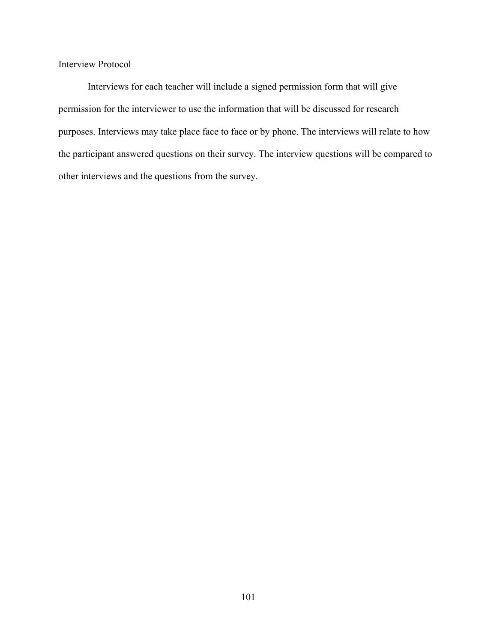Interview Protocol

Interviews for each teacher will include a signed permission form that will give permission for the interviewer to use the information that will be discussed for research purposes. Interviews may take place face to face or by phone. The interviews will relate to how the participant answered questions on their survey. The interview questions will be compared to other interviews and the questions from the survey.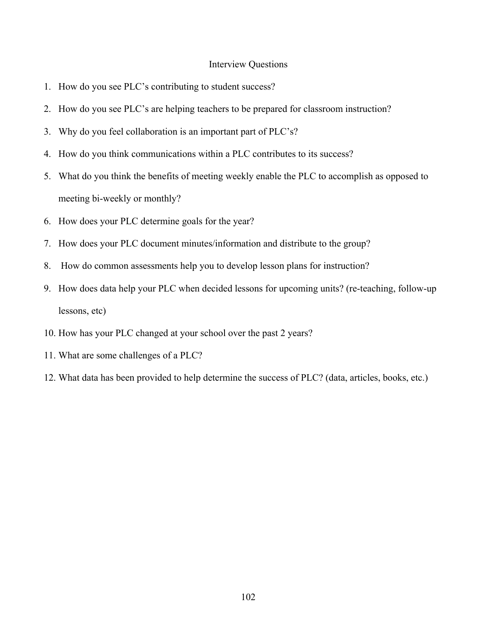#### Interview Questions

- 1. How do you see PLC's contributing to student success?
- 2. How do you see PLC's are helping teachers to be prepared for classroom instruction?
- 3. Why do you feel collaboration is an important part of PLC's?
- 4. How do you think communications within a PLC contributes to its success?
- 5. What do you think the benefits of meeting weekly enable the PLC to accomplish as opposed to meeting bi-weekly or monthly?
- 6. How does your PLC determine goals for the year?
- 7. How does your PLC document minutes/information and distribute to the group?
- 8. How do common assessments help you to develop lesson plans for instruction?
- 9. How does data help your PLC when decided lessons for upcoming units? (re-teaching, follow-up lessons, etc)
- 10. How has your PLC changed at your school over the past 2 years?
- 11. What are some challenges of a PLC?
- 12. What data has been provided to help determine the success of PLC? (data, articles, books, etc.)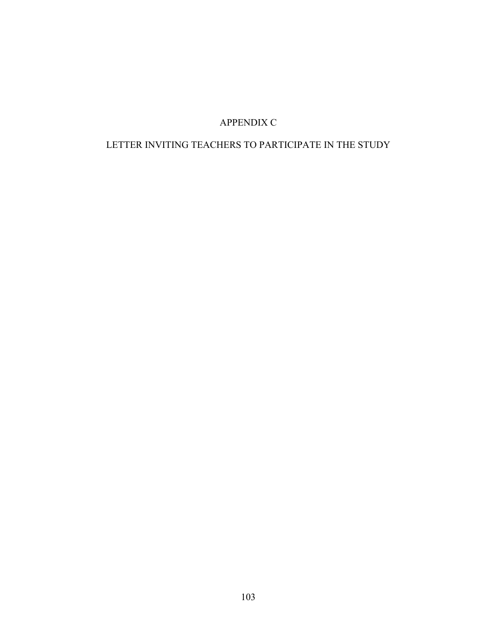# APPENDIX C

### LETTER INVITING TEACHERS TO PARTICIPATE IN THE STUDY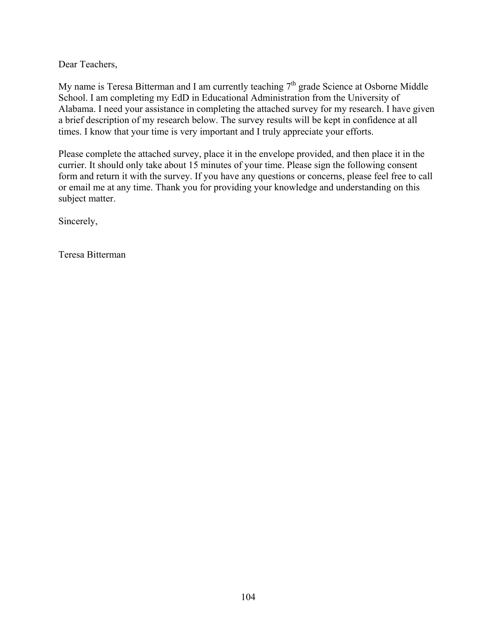Dear Teachers,

My name is Teresa Bitterman and I am currently teaching  $7<sup>th</sup>$  grade Science at Osborne Middle School. I am completing my EdD in Educational Administration from the University of Alabama. I need your assistance in completing the attached survey for my research. I have given a brief description of my research below. The survey results will be kept in confidence at all times. I know that your time is very important and I truly appreciate your efforts.

Please complete the attached survey, place it in the envelope provided, and then place it in the currier. It should only take about 15 minutes of your time. Please sign the following consent form and return it with the survey. If you have any questions or concerns, please feel free to call or email me at any time. Thank you for providing your knowledge and understanding on this subject matter.

Sincerely,

Teresa Bitterman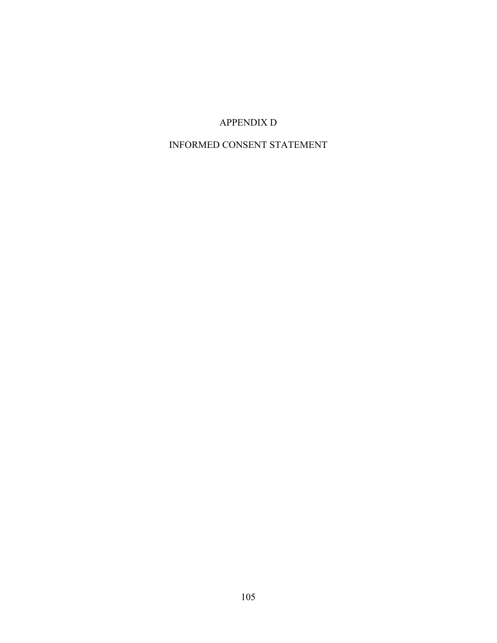## APPENDIX D

### INFORMED CONSENT STATEMENT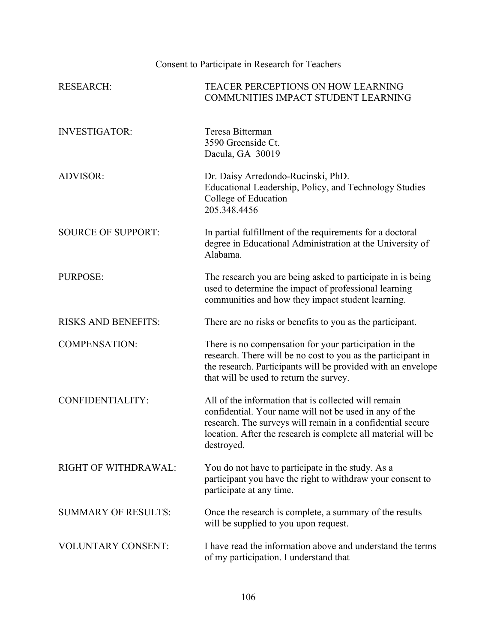# Consent to Participate in Research for Teachers

| <b>RESEARCH:</b>           | <b>TEACER PERCEPTIONS ON HOW LEARNING</b><br>COMMUNITIES IMPACT STUDENT LEARNING                                                                                                                                                                            |
|----------------------------|-------------------------------------------------------------------------------------------------------------------------------------------------------------------------------------------------------------------------------------------------------------|
| <b>INVESTIGATOR:</b>       | Teresa Bitterman<br>3590 Greenside Ct.<br>Dacula, GA 30019                                                                                                                                                                                                  |
| <b>ADVISOR:</b>            | Dr. Daisy Arredondo-Rucinski, PhD.<br>Educational Leadership, Policy, and Technology Studies<br>College of Education<br>205.348.4456                                                                                                                        |
| <b>SOURCE OF SUPPORT:</b>  | In partial fulfillment of the requirements for a doctoral<br>degree in Educational Administration at the University of<br>Alabama.                                                                                                                          |
| PURPOSE:                   | The research you are being asked to participate in is being<br>used to determine the impact of professional learning<br>communities and how they impact student learning.                                                                                   |
| <b>RISKS AND BENEFITS:</b> | There are no risks or benefits to you as the participant.                                                                                                                                                                                                   |
| <b>COMPENSATION:</b>       | There is no compensation for your participation in the<br>research. There will be no cost to you as the participant in<br>the research. Participants will be provided with an envelope<br>that will be used to return the survey.                           |
| CONFIDENTIALITY:           | All of the information that is collected will remain<br>confidential. Your name will not be used in any of the<br>research. The surveys will remain in a confidential secure<br>location. After the research is complete all material will be<br>destroyed. |
| RIGHT OF WITHDRAWAL:       | You do not have to participate in the study. As a<br>participant you have the right to withdraw your consent to<br>participate at any time.                                                                                                                 |
| <b>SUMMARY OF RESULTS:</b> | Once the research is complete, a summary of the results<br>will be supplied to you upon request.                                                                                                                                                            |
| <b>VOLUNTARY CONSENT:</b>  | I have read the information above and understand the terms<br>of my participation. I understand that                                                                                                                                                        |